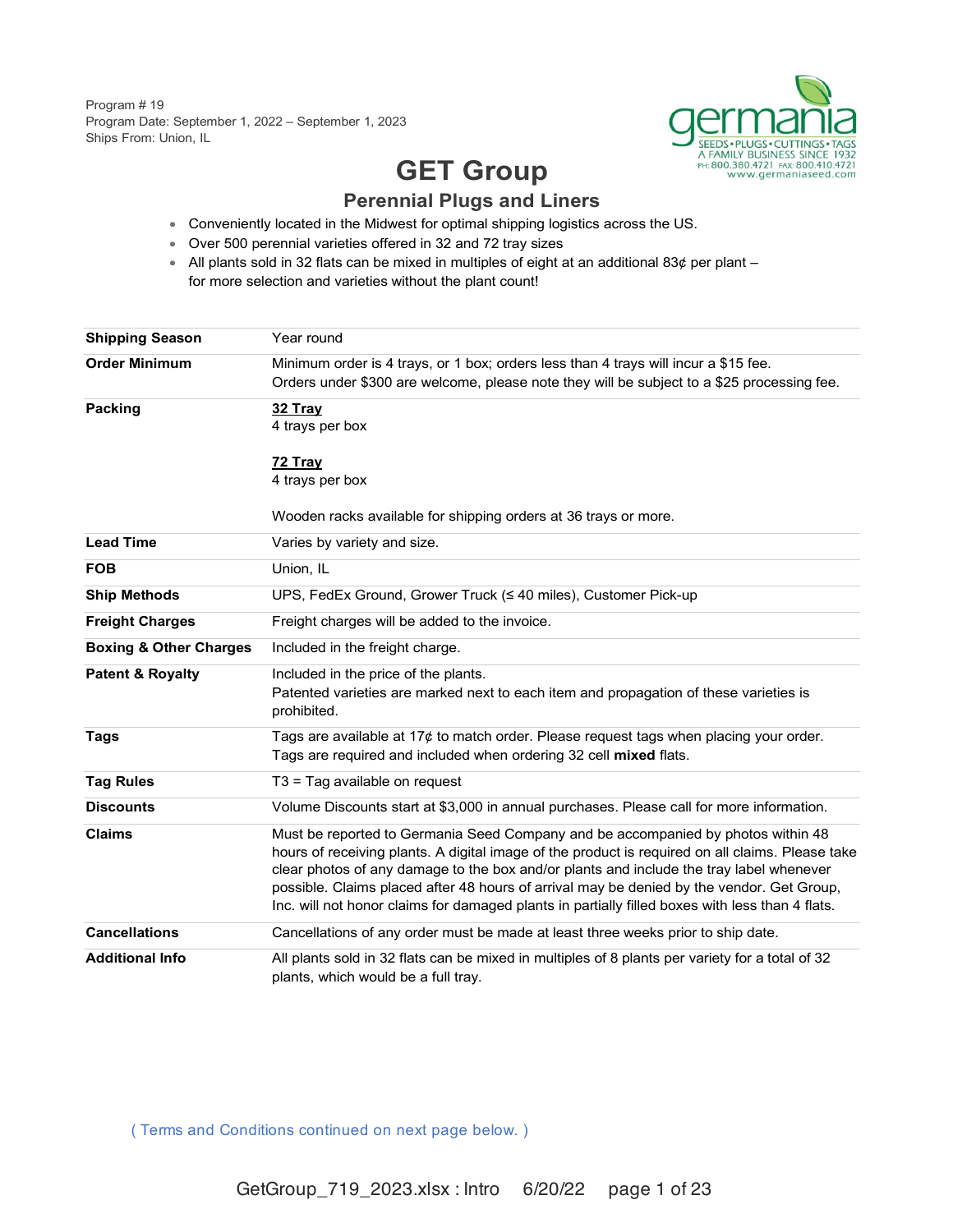Program # 19 Program Date: September 1, 2022 – September 1, 2023 Ships From: Union, IL



# **GET Group Perennial Plugs and Liners**

- Conveniently located in the Midwest for optimal shipping logistics across the US.
- Over 500 perennial varieties offered in 32 and 72 tray sizes
- All plants sold in 32 flats can be mixed in multiples of eight at an additional 83 $\rlap{\phi}$  per plant for more selection and varieties without the plant count!

| <b>Shipping Season</b>            | Year round                                                                                                                                                                                                                                                                                                                                                                                                                                                                      |
|-----------------------------------|---------------------------------------------------------------------------------------------------------------------------------------------------------------------------------------------------------------------------------------------------------------------------------------------------------------------------------------------------------------------------------------------------------------------------------------------------------------------------------|
| <b>Order Minimum</b>              | Minimum order is 4 trays, or 1 box; orders less than 4 trays will incur a \$15 fee.<br>Orders under \$300 are welcome, please note they will be subject to a \$25 processing fee.                                                                                                                                                                                                                                                                                               |
| Packing                           | 32 Tray<br>4 trays per box                                                                                                                                                                                                                                                                                                                                                                                                                                                      |
|                                   | 72 Tray<br>4 trays per box                                                                                                                                                                                                                                                                                                                                                                                                                                                      |
|                                   | Wooden racks available for shipping orders at 36 trays or more.                                                                                                                                                                                                                                                                                                                                                                                                                 |
| <b>Lead Time</b>                  | Varies by variety and size.                                                                                                                                                                                                                                                                                                                                                                                                                                                     |
| <b>FOB</b>                        | Union, IL                                                                                                                                                                                                                                                                                                                                                                                                                                                                       |
| <b>Ship Methods</b>               | UPS, FedEx Ground, Grower Truck (≤ 40 miles), Customer Pick-up                                                                                                                                                                                                                                                                                                                                                                                                                  |
| <b>Freight Charges</b>            | Freight charges will be added to the invoice.                                                                                                                                                                                                                                                                                                                                                                                                                                   |
| <b>Boxing &amp; Other Charges</b> | Included in the freight charge.                                                                                                                                                                                                                                                                                                                                                                                                                                                 |
| <b>Patent &amp; Royalty</b>       | Included in the price of the plants.<br>Patented varieties are marked next to each item and propagation of these varieties is<br>prohibited.                                                                                                                                                                                                                                                                                                                                    |
| <b>Tags</b>                       | Tags are available at $17¢$ to match order. Please request tags when placing your order.<br>Tags are required and included when ordering 32 cell mixed flats.                                                                                                                                                                                                                                                                                                                   |
| <b>Tag Rules</b>                  | T3 = Tag available on request                                                                                                                                                                                                                                                                                                                                                                                                                                                   |
| <b>Discounts</b>                  | Volume Discounts start at \$3,000 in annual purchases. Please call for more information.                                                                                                                                                                                                                                                                                                                                                                                        |
| <b>Claims</b>                     | Must be reported to Germania Seed Company and be accompanied by photos within 48<br>hours of receiving plants. A digital image of the product is required on all claims. Please take<br>clear photos of any damage to the box and/or plants and include the tray label whenever<br>possible. Claims placed after 48 hours of arrival may be denied by the vendor. Get Group,<br>Inc. will not honor claims for damaged plants in partially filled boxes with less than 4 flats. |
| <b>Cancellations</b>              | Cancellations of any order must be made at least three weeks prior to ship date.                                                                                                                                                                                                                                                                                                                                                                                                |
| <b>Additional Info</b>            | All plants sold in 32 flats can be mixed in multiples of 8 plants per variety for a total of 32<br>plants, which would be a full tray.                                                                                                                                                                                                                                                                                                                                          |

( Terms and Conditions continued on next page below. )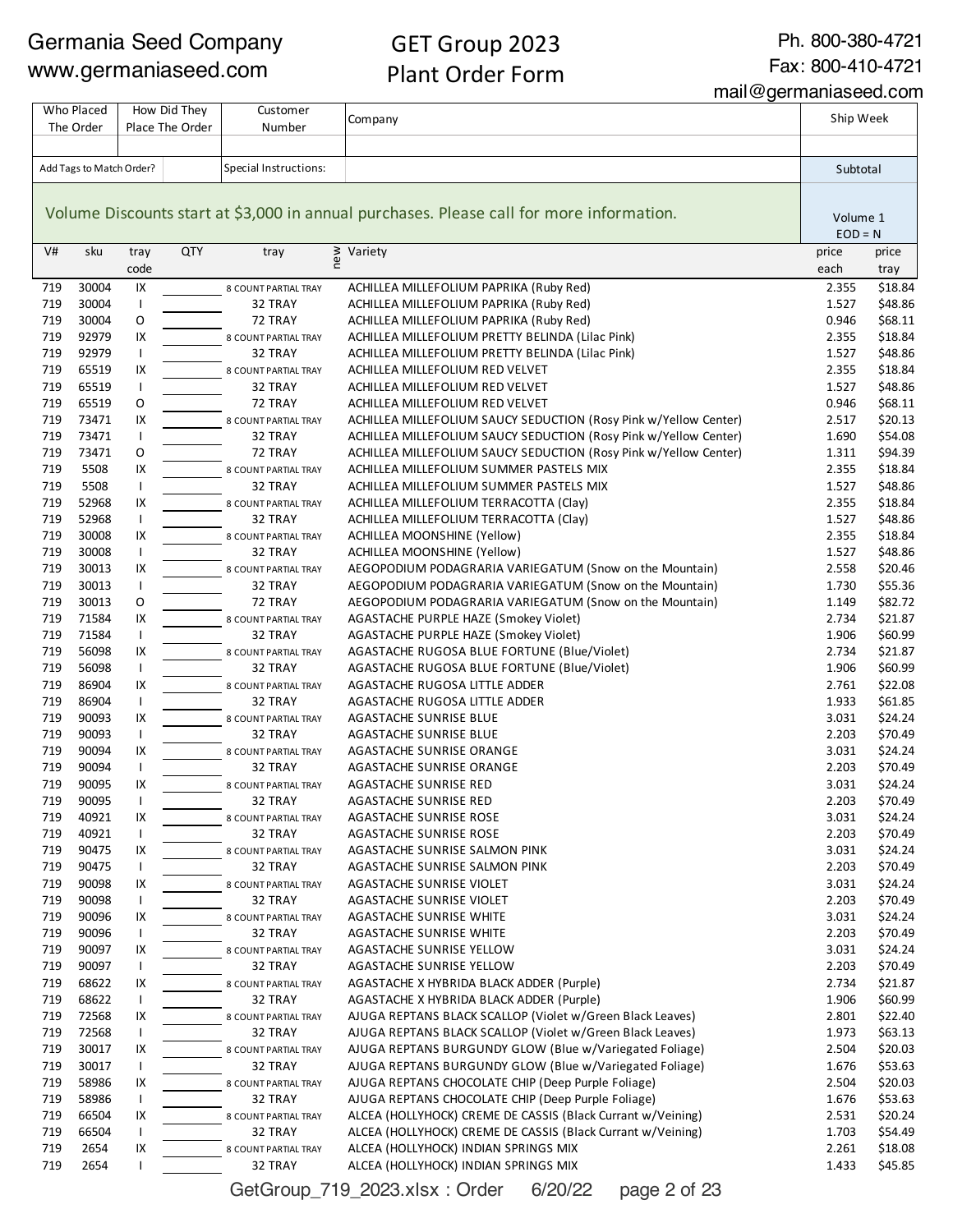## GET Group 2023 Plant Order Form

Ph. 800-380-4721 Fax: 800-410-4721

mail@germaniaseed.com

| Who Placed |                          |                | How Did They    | Customer                        |                                                                                          | Ship Week      |                    |
|------------|--------------------------|----------------|-----------------|---------------------------------|------------------------------------------------------------------------------------------|----------------|--------------------|
|            | The Order                |                | Place The Order | Number                          | Company                                                                                  |                |                    |
|            |                          |                |                 |                                 |                                                                                          |                |                    |
|            | Add Tags to Match Order? |                |                 | Special Instructions:           |                                                                                          | Subtotal       |                    |
|            |                          |                |                 |                                 |                                                                                          |                |                    |
|            |                          |                |                 |                                 |                                                                                          |                |                    |
|            |                          |                |                 |                                 | Volume Discounts start at \$3,000 in annual purchases. Please call for more information. | Volume 1       |                    |
|            |                          |                |                 |                                 |                                                                                          | $EOD = N$      |                    |
| V#         | sku                      | tray           | <b>QTY</b>      | tray                            | ≥ Variety<br>e                                                                           | price          | price              |
|            |                          | code           |                 |                                 |                                                                                          | each           | tray               |
| 719        | 30004                    | IX             |                 | 8 COUNT PARTIAL TRAY            | ACHILLEA MILLEFOLIUM PAPRIKA (Ruby Red)                                                  | 2.355          | \$18.84            |
| 719        | 30004                    | $\mathsf{I}$   |                 | 32 TRAY                         | ACHILLEA MILLEFOLIUM PAPRIKA (Ruby Red)                                                  | 1.527          | \$48.86            |
| 719        | 30004                    | O              |                 | 72 TRAY                         | ACHILLEA MILLEFOLIUM PAPRIKA (Ruby Red)                                                  | 0.946          | \$68.11            |
| 719        | 92979                    | IX             |                 | 8 COUNT PARTIAL TRAY            | ACHILLEA MILLEFOLIUM PRETTY BELINDA (Lilac Pink)                                         | 2.355          | \$18.84            |
| 719        | 92979                    | $\mathsf{I}$   |                 | 32 TRAY                         | ACHILLEA MILLEFOLIUM PRETTY BELINDA (Lilac Pink)                                         | 1.527          | \$48.86            |
| 719        | 65519                    | IX             |                 | 8 COUNT PARTIAL TRAY            | ACHILLEA MILLEFOLIUM RED VELVET                                                          | 2.355          | \$18.84            |
| 719        | 65519                    | $\mathsf{I}$   |                 | 32 TRAY                         | ACHILLEA MILLEFOLIUM RED VELVET                                                          | 1.527          | \$48.86            |
| 719        | 65519                    | O              |                 | 72 TRAY                         | ACHILLEA MILLEFOLIUM RED VELVET                                                          | 0.946          | \$68.11            |
| 719        | 73471                    | IX             |                 | 8 COUNT PARTIAL TRAY            | ACHILLEA MILLEFOLIUM SAUCY SEDUCTION (Rosy Pink w/Yellow Center)                         | 2.517          | \$20.13            |
| 719        | 73471                    | $\mathsf{I}$   |                 | 32 TRAY                         | ACHILLEA MILLEFOLIUM SAUCY SEDUCTION (Rosy Pink w/Yellow Center)                         | 1.690          | \$54.08            |
| 719        | 73471                    | O              |                 | 72 TRAY                         | ACHILLEA MILLEFOLIUM SAUCY SEDUCTION (Rosy Pink w/Yellow Center)                         | 1.311          | \$94.39            |
| 719        | 5508                     | IX             |                 | 8 COUNT PARTIAL TRAY            | ACHILLEA MILLEFOLIUM SUMMER PASTELS MIX                                                  | 2.355          | \$18.84            |
| 719        | 5508                     | $\mathsf{I}$   |                 | 32 TRAY                         | ACHILLEA MILLEFOLIUM SUMMER PASTELS MIX                                                  | 1.527          | \$48.86            |
| 719        | 52968                    | IX             |                 | 8 COUNT PARTIAL TRAY            | ACHILLEA MILLEFOLIUM TERRACOTTA (Clay)                                                   | 2.355          | \$18.84            |
| 719        | 52968                    | $\overline{1}$ |                 | 32 TRAY                         | ACHILLEA MILLEFOLIUM TERRACOTTA (Clay)                                                   | 1.527          | \$48.86            |
| 719        | 30008                    | IX             |                 | 8 COUNT PARTIAL TRAY            | <b>ACHILLEA MOONSHINE (Yellow)</b>                                                       | 2.355          | \$18.84            |
| 719        | 30008                    | $\mathsf{I}$   |                 | 32 TRAY                         | <b>ACHILLEA MOONSHINE (Yellow)</b>                                                       | 1.527          | \$48.86            |
| 719        | 30013                    | IX             |                 | 8 COUNT PARTIAL TRAY            | AEGOPODIUM PODAGRARIA VARIEGATUM (Snow on the Mountain)                                  | 2.558          | \$20.46            |
| 719<br>719 | 30013<br>30013           | $\mathsf{I}$   |                 | 32 TRAY                         | AEGOPODIUM PODAGRARIA VARIEGATUM (Snow on the Mountain)                                  | 1.730          | \$55.36<br>\$82.72 |
| 719        | 71584                    | O<br>IX        |                 | 72 TRAY                         | AEGOPODIUM PODAGRARIA VARIEGATUM (Snow on the Mountain)                                  | 1.149<br>2.734 | \$21.87            |
| 719        | 71584                    | $\mathsf{I}$   |                 | 8 COUNT PARTIAL TRAY<br>32 TRAY | AGASTACHE PURPLE HAZE (Smokey Violet)<br>AGASTACHE PURPLE HAZE (Smokey Violet)           | 1.906          | \$60.99            |
| 719        | 56098                    | IX             |                 | 8 COUNT PARTIAL TRAY            | AGASTACHE RUGOSA BLUE FORTUNE (Blue/Violet)                                              | 2.734          | \$21.87            |
| 719        | 56098                    | $\overline{1}$ |                 | 32 TRAY                         | AGASTACHE RUGOSA BLUE FORTUNE (Blue/Violet)                                              | 1.906          | \$60.99            |
| 719        | 86904                    | IX             |                 | 8 COUNT PARTIAL TRAY            | AGASTACHE RUGOSA LITTLE ADDER                                                            | 2.761          | \$22.08            |
| 719        | 86904                    | $\mathsf{I}$   |                 | 32 TRAY                         | AGASTACHE RUGOSA LITTLE ADDER                                                            | 1.933          | \$61.85            |
| 719        | 90093                    | IX             |                 | 8 COUNT PARTIAL TRAY            | AGASTACHE SUNRISE BLUE                                                                   | 3.031          | \$24.24            |
| 719        | 90093                    | $\mathsf{I}$   |                 | 32 TRAY                         | AGASTACHE SUNRISE BLUE                                                                   | 2.203          | \$70.49            |
| 719        | 90094                    | IX             |                 | 8 COUNT PARTIAL TRAY            | AGASTACHE SUNRISE ORANGE                                                                 | 3.031          | \$24.24            |
| 719        | 90094                    | $\mathsf{I}$   |                 | 32 TRAY                         | AGASTACHE SUNRISE ORANGE                                                                 | 2.203          | \$70.49            |
| 719        | 90095                    | IX             |                 | 8 COUNT PARTIAL TRAY            | AGASTACHE SUNRISE RED                                                                    | 3.031          | \$24.24            |
| 719        | 90095                    |                |                 | 32 TRAY                         | AGASTACHE SUNRISE RED                                                                    | 2.203          | \$70.49            |
| 719        | 40921                    | IX             |                 | 8 COUNT PARTIAL TRAY            | <b>AGASTACHE SUNRISE ROSE</b>                                                            | 3.031          | \$24.24            |
| 719        | 40921                    | $\mathsf{I}$   |                 | 32 TRAY                         | <b>AGASTACHE SUNRISE ROSE</b>                                                            | 2.203          | \$70.49            |
| 719        | 90475                    | IX             |                 | 8 COUNT PARTIAL TRAY            | AGASTACHE SUNRISE SALMON PINK                                                            | 3.031          | \$24.24            |
| 719        | 90475                    | $\mathsf{I}$   |                 | 32 TRAY                         | AGASTACHE SUNRISE SALMON PINK                                                            | 2.203          | \$70.49            |
| 719        | 90098                    | IX             |                 | 8 COUNT PARTIAL TRAY            | AGASTACHE SUNRISE VIOLET                                                                 | 3.031          | \$24.24            |
| 719        | 90098                    | $\mathsf{I}$   |                 | 32 TRAY                         | AGASTACHE SUNRISE VIOLET                                                                 | 2.203          | \$70.49            |
| 719        | 90096                    | IX             |                 | 8 COUNT PARTIAL TRAY            | AGASTACHE SUNRISE WHITE                                                                  | 3.031          | \$24.24            |
| 719        | 90096                    | $\mathsf{I}$   |                 | 32 TRAY                         | AGASTACHE SUNRISE WHITE                                                                  | 2.203          | \$70.49            |
| 719        | 90097                    | IX             |                 | 8 COUNT PARTIAL TRAY            | AGASTACHE SUNRISE YELLOW                                                                 | 3.031          | \$24.24            |
| 719        | 90097                    | $\mathsf{I}$   |                 | 32 TRAY                         | AGASTACHE SUNRISE YELLOW                                                                 | 2.203          | \$70.49            |
| 719        | 68622                    | IX             |                 | 8 COUNT PARTIAL TRAY            | AGASTACHE X HYBRIDA BLACK ADDER (Purple)                                                 | 2.734          | \$21.87            |
| 719        | 68622                    | $\mathbf{I}$   |                 | 32 TRAY                         | AGASTACHE X HYBRIDA BLACK ADDER (Purple)                                                 | 1.906          | \$60.99            |
| 719        | 72568                    | IX             |                 | 8 COUNT PARTIAL TRAY            | AJUGA REPTANS BLACK SCALLOP (Violet w/Green Black Leaves)                                | 2.801          | \$22.40            |
| 719        | 72568                    | $\mathbf{I}$   |                 | 32 TRAY                         | AJUGA REPTANS BLACK SCALLOP (Violet w/Green Black Leaves)                                | 1.973          | \$63.13            |
| 719        | 30017                    | IX             |                 | 8 COUNT PARTIAL TRAY            | AJUGA REPTANS BURGUNDY GLOW (Blue w/Variegated Foliage)                                  | 2.504          | \$20.03            |
| 719        | 30017                    | $\mathsf{I}$   |                 | 32 TRAY                         | AJUGA REPTANS BURGUNDY GLOW (Blue w/Variegated Foliage)                                  | 1.676          | \$53.63            |
| 719        | 58986                    | IX             |                 | 8 COUNT PARTIAL TRAY            | AJUGA REPTANS CHOCOLATE CHIP (Deep Purple Foliage)                                       | 2.504          | \$20.03            |
| 719        | 58986                    | $\mathbf{I}$   |                 | 32 TRAY                         | AJUGA REPTANS CHOCOLATE CHIP (Deep Purple Foliage)                                       | 1.676          | \$53.63            |
| 719        | 66504                    | IX             |                 | 8 COUNT PARTIAL TRAY            | ALCEA (HOLLYHOCK) CREME DE CASSIS (Black Currant w/Veining)                              | 2.531          | \$20.24            |
| 719        | 66504                    | $\mathsf{I}$   |                 | 32 TRAY                         | ALCEA (HOLLYHOCK) CREME DE CASSIS (Black Currant w/Veining)                              | 1.703          | \$54.49            |
| 719        | 2654                     | IX             |                 | 8 COUNT PARTIAL TRAY            | ALCEA (HOLLYHOCK) INDIAN SPRINGS MIX                                                     | 2.261          | \$18.08            |
| 719        | 2654                     | $\mathsf{I}$   |                 | 32 TRAY                         | ALCEA (HOLLYHOCK) INDIAN SPRINGS MIX                                                     | 1.433          | \$45.85            |

GetGroup\_719\_2023.xlsx : Order 6/20/22 page 2 of 23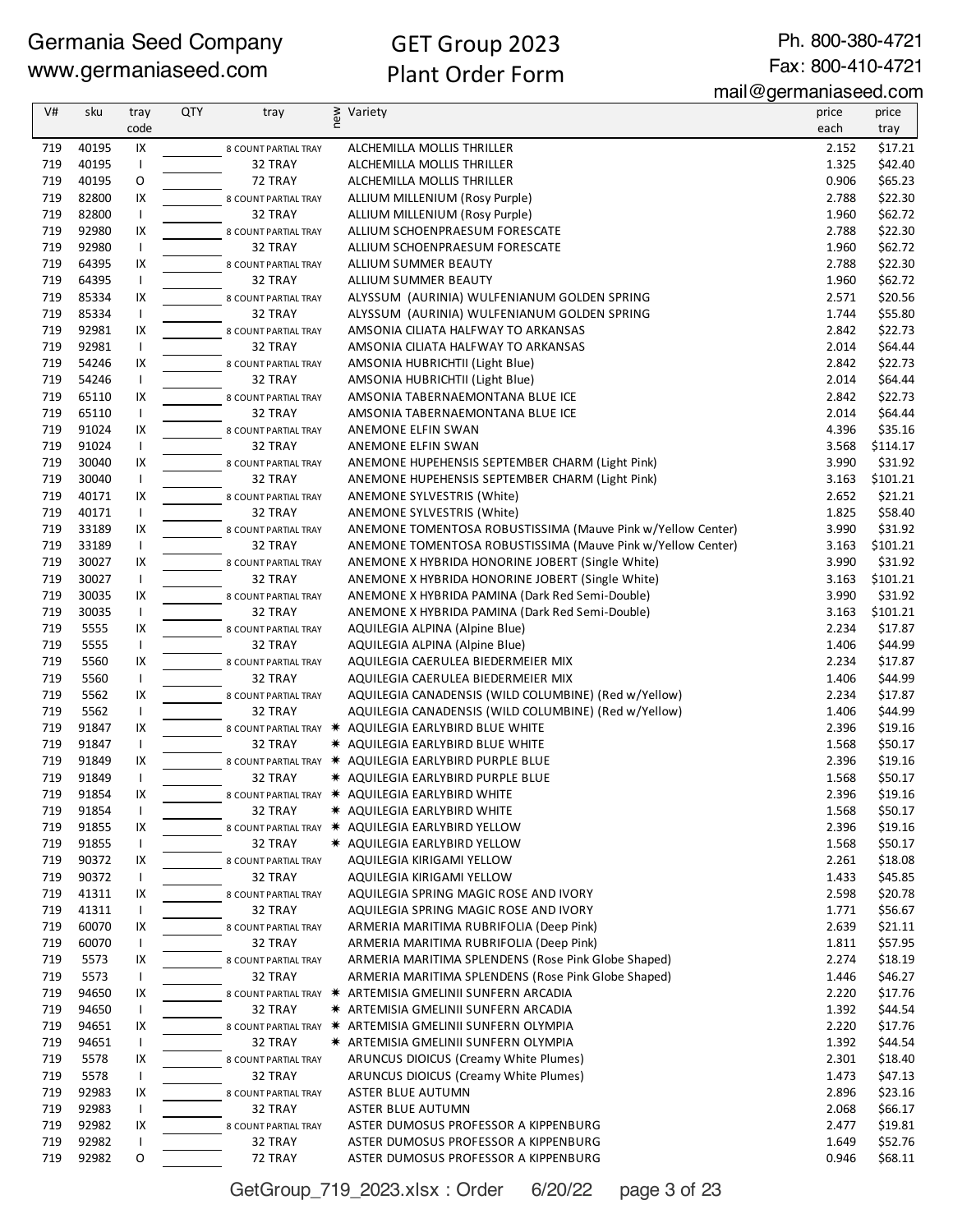Ph. 800-380-4721 Fax: 800-410-4721

mail@germaniaseed.com

| V#  | sku   | tray           | <b>QTY</b> | tray                   | new | Variety                                                     | price | price    |
|-----|-------|----------------|------------|------------------------|-----|-------------------------------------------------------------|-------|----------|
|     |       | code           |            |                        |     |                                                             | each  | tray     |
| 719 | 40195 | IX             |            | 8 COUNT PARTIAL TRAY   |     | ALCHEMILLA MOLLIS THRILLER                                  | 2.152 | \$17.21  |
| 719 | 40195 | $\mathbf{I}$   |            | 32 TRAY                |     | ALCHEMILLA MOLLIS THRILLER                                  | 1.325 | \$42.40  |
| 719 | 40195 | O              |            | 72 TRAY                |     | ALCHEMILLA MOLLIS THRILLER                                  | 0.906 | \$65.23  |
| 719 | 82800 | IX             |            | 8 COUNT PARTIAL TRAY   |     | ALLIUM MILLENIUM (Rosy Purple)                              | 2.788 | \$22.30  |
| 719 | 82800 | $\mathsf{I}$   |            | 32 TRAY                |     | ALLIUM MILLENIUM (Rosy Purple)                              | 1.960 | \$62.72  |
| 719 | 92980 | IX             |            | 8 COUNT PARTIAL TRAY   |     | ALLIUM SCHOENPRAESUM FORESCATE                              | 2.788 | \$22.30  |
| 719 | 92980 | Τ.             |            | 32 TRAY                |     | ALLIUM SCHOENPRAESUM FORESCATE                              | 1.960 | \$62.72  |
| 719 | 64395 | IX             |            | 8 COUNT PARTIAL TRAY   |     | ALLIUM SUMMER BEAUTY                                        | 2.788 | \$22.30  |
| 719 | 64395 | $\mathsf{I}$   |            | 32 TRAY                |     | ALLIUM SUMMER BEAUTY                                        | 1.960 | \$62.72  |
| 719 | 85334 | IX             |            | 8 COUNT PARTIAL TRAY   |     | ALYSSUM (AURINIA) WULFENIANUM GOLDEN SPRING                 | 2.571 | \$20.56  |
| 719 | 85334 | $\mathbf{I}$   |            | 32 TRAY                |     | ALYSSUM (AURINIA) WULFENIANUM GOLDEN SPRING                 | 1.744 | \$55.80  |
| 719 | 92981 | IX             |            | 8 COUNT PARTIAL TRAY   |     | AMSONIA CILIATA HALFWAY TO ARKANSAS                         | 2.842 | \$22.73  |
| 719 | 92981 | $\overline{1}$ |            | 32 TRAY                |     | AMSONIA CILIATA HALFWAY TO ARKANSAS                         | 2.014 | \$64.44  |
| 719 | 54246 | IX             |            | 8 COUNT PARTIAL TRAY   |     | AMSONIA HUBRICHTII (Light Blue)                             | 2.842 | \$22.73  |
| 719 | 54246 | $\mathsf{I}$   |            | 32 TRAY                |     | AMSONIA HUBRICHTII (Light Blue)                             | 2.014 | \$64.44  |
| 719 | 65110 | IX             |            | 8 COUNT PARTIAL TRAY   |     | AMSONIA TABERNAEMONTANA BLUE ICE                            | 2.842 | \$22.73  |
| 719 | 65110 | $\mathsf{I}$   |            | 32 TRAY                |     | AMSONIA TABERNAEMONTANA BLUE ICE                            | 2.014 | \$64.44  |
| 719 | 91024 | IX             |            | 8 COUNT PARTIAL TRAY   |     | ANEMONE ELFIN SWAN                                          | 4.396 | \$35.16  |
| 719 | 91024 | $\mathbf{I}$   |            | 32 TRAY                |     | ANEMONE ELFIN SWAN                                          | 3.568 | \$114.17 |
| 719 | 30040 | IX             |            | 8 COUNT PARTIAL TRAY   |     | ANEMONE HUPEHENSIS SEPTEMBER CHARM (Light Pink)             | 3.990 | \$31.92  |
| 719 | 30040 | $\mathbf{I}$   |            | 32 TRAY                |     | ANEMONE HUPEHENSIS SEPTEMBER CHARM (Light Pink)             | 3.163 | \$101.21 |
| 719 | 40171 | IX             |            | 8 COUNT PARTIAL TRAY   |     | ANEMONE SYLVESTRIS (White)                                  | 2.652 | \$21.21  |
| 719 | 40171 | $\mathsf{I}$   |            | 32 TRAY                |     | ANEMONE SYLVESTRIS (White)                                  | 1.825 | \$58.40  |
| 719 | 33189 | IX             |            | 8 COUNT PARTIAL TRAY   |     | ANEMONE TOMENTOSA ROBUSTISSIMA (Mauve Pink w/Yellow Center) | 3.990 | \$31.92  |
| 719 | 33189 | $\mathsf{I}$   |            | 32 TRAY                |     | ANEMONE TOMENTOSA ROBUSTISSIMA (Mauve Pink w/Yellow Center) | 3.163 | \$101.21 |
| 719 | 30027 | IX             |            | 8 COUNT PARTIAL TRAY   |     | ANEMONE X HYBRIDA HONORINE JOBERT (Single White)            | 3.990 | \$31.92  |
| 719 | 30027 | $\mathsf{I}$   |            | 32 TRAY                |     | ANEMONE X HYBRIDA HONORINE JOBERT (Single White)            | 3.163 | \$101.21 |
| 719 | 30035 | IX             |            | 8 COUNT PARTIAL TRAY   |     | ANEMONE X HYBRIDA PAMINA (Dark Red Semi-Double)             | 3.990 | \$31.92  |
| 719 | 30035 | Τ.             |            | 32 TRAY                |     | ANEMONE X HYBRIDA PAMINA (Dark Red Semi-Double)             | 3.163 | \$101.21 |
| 719 | 5555  | IX             |            | 8 COUNT PARTIAL TRAY   |     | AQUILEGIA ALPINA (Alpine Blue)                              | 2.234 | \$17.87  |
| 719 | 5555  | $\mathsf{I}$   |            | 32 TRAY                |     | AQUILEGIA ALPINA (Alpine Blue)                              | 1.406 | \$44.99  |
| 719 | 5560  | IX             |            | 8 COUNT PARTIAL TRAY   |     | AQUILEGIA CAERULEA BIEDERMEIER MIX                          | 2.234 | \$17.87  |
| 719 | 5560  | $\mathsf{I}$   |            | 32 TRAY                |     | AQUILEGIA CAERULEA BIEDERMEIER MIX                          | 1.406 | \$44.99  |
| 719 | 5562  | IX             |            | 8 COUNT PARTIAL TRAY   |     | AQUILEGIA CANADENSIS (WILD COLUMBINE) (Red w/Yellow)        | 2.234 | \$17.87  |
| 719 | 5562  | $\mathsf{I}$   |            | 32 TRAY                |     | AQUILEGIA CANADENSIS (WILD COLUMBINE) (Red w/Yellow)        | 1.406 | \$44.99  |
| 719 | 91847 | IX             |            |                        |     | 8 COUNT PARTIAL TRAY * AQUILEGIA EARLYBIRD BLUE WHITE       | 2.396 | \$19.16  |
| 719 | 91847 | $\mathsf{I}$   |            | 32 TRAY                |     | * AQUILEGIA EARLYBIRD BLUE WHITE                            | 1.568 | \$50.17  |
| 719 | 91849 | IX             |            |                        |     | 8 COUNT PARTIAL TRAY * AQUILEGIA EARLYBIRD PURPLE BLUE      | 2.396 | \$19.16  |
| 719 | 91849 | $\mathsf{I}$   |            | 32 TRAY                |     | * AQUILEGIA EARLYBIRD PURPLE BLUE                           | 1.568 | \$50.17  |
| 719 | 91854 | IX             |            |                        |     | 8 COUNT PARTIAL TRAY * AQUILEGIA EARLYBIRD WHITE            | 2.396 | \$19.16  |
| 719 | 91854 |                |            | 32 TRAY                |     | * AQUILEGIA EARLYBIRD WHITE                                 | 1.568 | \$50.17  |
| 719 | 91855 | IX             |            | 8 COUNT PARTIAL TRAY * |     | AQUILEGIA EARLYBIRD YELLOW                                  | 2.396 | \$19.16  |
| 719 | 91855 | $\mathbf{I}$   |            | 32 TRAY                |     | * AQUILEGIA EARLYBIRD YELLOW                                | 1.568 | \$50.17  |
| 719 | 90372 | IX             |            | 8 COUNT PARTIAL TRAY   |     | AQUILEGIA KIRIGAMI YELLOW                                   | 2.261 | \$18.08  |
| 719 | 90372 |                |            | 32 TRAY                |     | AQUILEGIA KIRIGAMI YELLOW                                   | 1.433 | \$45.85  |
| 719 | 41311 | IX             |            | 8 COUNT PARTIAL TRAY   |     | AQUILEGIA SPRING MAGIC ROSE AND IVORY                       | 2.598 | \$20.78  |
| 719 | 41311 | $\mathbf{I}$   |            | 32 TRAY                |     | AQUILEGIA SPRING MAGIC ROSE AND IVORY                       | 1.771 | \$56.67  |
| 719 | 60070 | IX             |            | 8 COUNT PARTIAL TRAY   |     | ARMERIA MARITIMA RUBRIFOLIA (Deep Pink)                     | 2.639 | \$21.11  |
| 719 | 60070 | $\mathbf{I}$   |            | 32 TRAY                |     | ARMERIA MARITIMA RUBRIFOLIA (Deep Pink)                     | 1.811 | \$57.95  |
| 719 | 5573  | IX             |            | 8 COUNT PARTIAL TRAY   |     | ARMERIA MARITIMA SPLENDENS (Rose Pink Globe Shaped)         | 2.274 | \$18.19  |
| 719 | 5573  | $\mathsf{I}$   |            | 32 TRAY                |     | ARMERIA MARITIMA SPLENDENS (Rose Pink Globe Shaped)         | 1.446 | \$46.27  |
| 719 | 94650 | IX             |            |                        |     | 8 COUNT PARTIAL TRAY * ARTEMISIA GMELINII SUNFERN ARCADIA   | 2.220 | \$17.76  |
| 719 | 94650 | $\mathbf{I}$   |            | 32 TRAY                |     | <b>* ARTEMISIA GMELINII SUNFERN ARCADIA</b>                 | 1.392 | \$44.54  |
| 719 | 94651 | IX             |            |                        |     | 8 COUNT PARTIAL TRAY * ARTEMISIA GMELINII SUNFERN OLYMPIA   | 2.220 | \$17.76  |
| 719 | 94651 | $\mathbf{I}$   |            | 32 TRAY                |     | * ARTEMISIA GMELINII SUNFERN OLYMPIA                        | 1.392 | \$44.54  |
| 719 | 5578  | IX             |            | 8 COUNT PARTIAL TRAY   |     | ARUNCUS DIOICUS (Creamy White Plumes)                       | 2.301 | \$18.40  |
| 719 | 5578  | $\mathbf{I}$   |            | 32 TRAY                |     | ARUNCUS DIOICUS (Creamy White Plumes)                       | 1.473 | \$47.13  |
| 719 | 92983 | IX             |            | 8 COUNT PARTIAL TRAY   |     | ASTER BLUE AUTUMN                                           | 2.896 | \$23.16  |
| 719 | 92983 | $\mathbf{I}$   |            | 32 TRAY                |     | ASTER BLUE AUTUMN                                           | 2.068 | \$66.17  |
| 719 | 92982 | IX             |            | 8 COUNT PARTIAL TRAY   |     | ASTER DUMOSUS PROFESSOR A KIPPENBURG                        | 2.477 | \$19.81  |
| 719 | 92982 | $\mathsf{I}$   |            | 32 TRAY                |     | ASTER DUMOSUS PROFESSOR A KIPPENBURG                        | 1.649 | \$52.76  |
| 719 | 92982 | 0              |            | 72 TRAY                |     | ASTER DUMOSUS PROFESSOR A KIPPENBURG                        | 0.946 | \$68.11  |

GetGroup\_719\_2023.xlsx : Order 6/20/22 page 3 of 23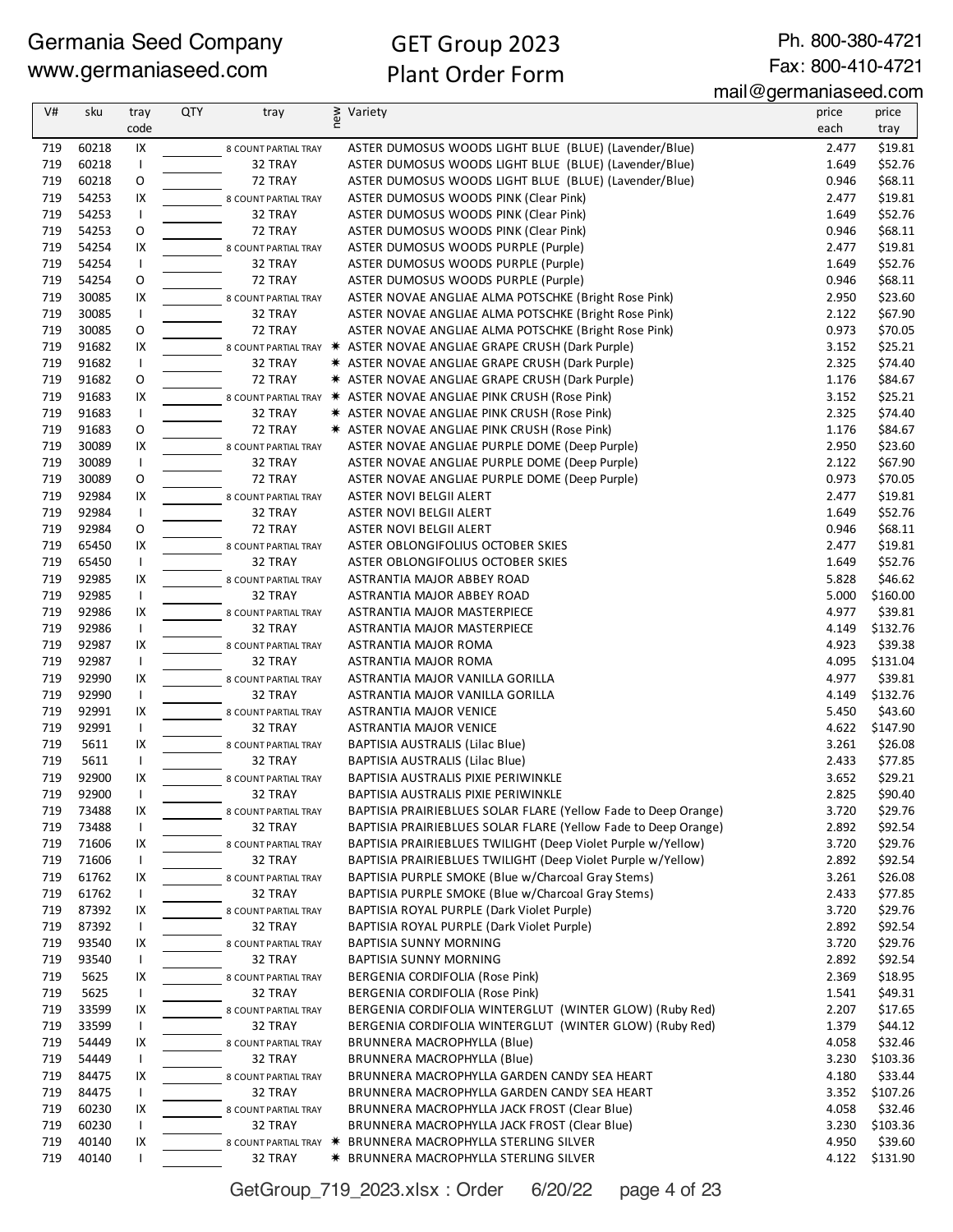# GET Group 2023 Plant Order Form

Ph. 800-380-4721 Fax: 800-410-4721

| V#  | sku   | tray           | <b>QTY</b> | tray                   | new | Variety                                                              | price | price    |
|-----|-------|----------------|------------|------------------------|-----|----------------------------------------------------------------------|-------|----------|
|     |       | code           |            |                        |     |                                                                      | each  | tray     |
| 719 | 60218 | IX             |            | 8 COUNT PARTIAL TRAY   |     | ASTER DUMOSUS WOODS LIGHT BLUE (BLUE) (Lavender/Blue)                | 2.477 | \$19.81  |
| 719 | 60218 | $\mathsf{I}$   |            | 32 TRAY                |     | ASTER DUMOSUS WOODS LIGHT BLUE (BLUE) (Lavender/Blue)                | 1.649 | \$52.76  |
| 719 | 60218 | O              |            | 72 TRAY                |     | ASTER DUMOSUS WOODS LIGHT BLUE (BLUE) (Lavender/Blue)                | 0.946 | \$68.11  |
| 719 | 54253 | IX             |            | 8 COUNT PARTIAL TRAY   |     | ASTER DUMOSUS WOODS PINK (Clear Pink)                                | 2.477 | \$19.81  |
| 719 | 54253 | $\mathbf{I}$   |            | 32 TRAY                |     | ASTER DUMOSUS WOODS PINK (Clear Pink)                                | 1.649 | \$52.76  |
| 719 | 54253 | O              |            | 72 TRAY                |     | ASTER DUMOSUS WOODS PINK (Clear Pink)                                | 0.946 | \$68.11  |
| 719 | 54254 | IX             |            | 8 COUNT PARTIAL TRAY   |     | ASTER DUMOSUS WOODS PURPLE (Purple)                                  | 2.477 | \$19.81  |
| 719 | 54254 | $\mathsf{I}$   |            | 32 TRAY                |     | ASTER DUMOSUS WOODS PURPLE (Purple)                                  | 1.649 | \$52.76  |
| 719 | 54254 | $\mathsf O$    |            | 72 TRAY                |     | ASTER DUMOSUS WOODS PURPLE (Purple)                                  | 0.946 | \$68.11  |
| 719 | 30085 | IX             |            | 8 COUNT PARTIAL TRAY   |     | ASTER NOVAE ANGLIAE ALMA POTSCHKE (Bright Rose Pink)                 | 2.950 | \$23.60  |
| 719 | 30085 | $\overline{1}$ |            | 32 TRAY                |     | ASTER NOVAE ANGLIAE ALMA POTSCHKE (Bright Rose Pink)                 | 2.122 | \$67.90  |
| 719 | 30085 | O              |            | 72 TRAY                |     | ASTER NOVAE ANGLIAE ALMA POTSCHKE (Bright Rose Pink)                 | 0.973 | \$70.05  |
| 719 | 91682 | IX             |            |                        |     | 8 COUNT PARTIAL TRAY * ASTER NOVAE ANGLIAE GRAPE CRUSH (Dark Purple) | 3.152 | \$25.21  |
| 719 | 91682 | $\mathbf{I}$   |            | 32 TRAY                |     | * ASTER NOVAE ANGLIAE GRAPE CRUSH (Dark Purple)                      | 2.325 | \$74.40  |
| 719 | 91682 | $\mathsf O$    |            | 72 TRAY                |     | <b>★ ASTER NOVAE ANGLIAE GRAPE CRUSH (Dark Purple)</b>               | 1.176 | \$84.67  |
| 719 | 91683 | IX             |            |                        |     | 8 COUNT PARTIAL TRAY * ASTER NOVAE ANGLIAE PINK CRUSH (Rose Pink)    | 3.152 | \$25.21  |
| 719 | 91683 | $\mathsf{I}$   |            | 32 TRAY                |     | * ASTER NOVAE ANGLIAE PINK CRUSH (Rose Pink)                         | 2.325 | \$74.40  |
| 719 | 91683 | O              |            | 72 TRAY                |     | * ASTER NOVAE ANGLIAE PINK CRUSH (Rose Pink)                         | 1.176 | \$84.67  |
| 719 | 30089 | IX             |            | 8 COUNT PARTIAL TRAY   |     | ASTER NOVAE ANGLIAE PURPLE DOME (Deep Purple)                        | 2.950 | \$23.60  |
| 719 | 30089 | $\mathbf{I}$   |            | 32 TRAY                |     | ASTER NOVAE ANGLIAE PURPLE DOME (Deep Purple)                        | 2.122 | \$67.90  |
| 719 | 30089 | O              |            | 72 TRAY                |     | ASTER NOVAE ANGLIAE PURPLE DOME (Deep Purple)                        | 0.973 | \$70.05  |
| 719 | 92984 | IX             |            | 8 COUNT PARTIAL TRAY   |     | ASTER NOVI BELGII ALERT                                              | 2.477 | \$19.81  |
| 719 | 92984 | $\mathbf{I}$   |            | 32 TRAY                |     | ASTER NOVI BELGII ALERT                                              | 1.649 | \$52.76  |
| 719 | 92984 | O              |            | 72 TRAY                |     | ASTER NOVI BELGII ALERT                                              | 0.946 | \$68.11  |
| 719 | 65450 | IX             |            | 8 COUNT PARTIAL TRAY   |     | ASTER OBLONGIFOLIUS OCTOBER SKIES                                    | 2.477 | \$19.81  |
| 719 | 65450 | $\mathbf{I}$   |            | 32 TRAY                |     | ASTER OBLONGIFOLIUS OCTOBER SKIES                                    | 1.649 | \$52.76  |
| 719 | 92985 | IX             |            | 8 COUNT PARTIAL TRAY   |     | ASTRANTIA MAJOR ABBEY ROAD                                           | 5.828 | \$46.62  |
| 719 | 92985 | $\mathbf{I}$   |            | 32 TRAY                |     | ASTRANTIA MAJOR ABBEY ROAD                                           | 5.000 | \$160.00 |
| 719 | 92986 | IX             |            | 8 COUNT PARTIAL TRAY   |     | ASTRANTIA MAJOR MASTERPIECE                                          | 4.977 | \$39.81  |
| 719 | 92986 | $\mathbf{I}$   |            | 32 TRAY                |     | ASTRANTIA MAJOR MASTERPIECE                                          | 4.149 | \$132.76 |
| 719 | 92987 | IX             |            | 8 COUNT PARTIAL TRAY   |     | ASTRANTIA MAJOR ROMA                                                 | 4.923 | \$39.38  |
| 719 | 92987 | $\mathbf{I}$   |            | 32 TRAY                |     | ASTRANTIA MAJOR ROMA                                                 | 4.095 | \$131.04 |
| 719 | 92990 | IX             |            | 8 COUNT PARTIAL TRAY   |     | ASTRANTIA MAJOR VANILLA GORILLA                                      | 4.977 | \$39.81  |
| 719 | 92990 | $\mathbf{I}$   |            | 32 TRAY                |     | ASTRANTIA MAJOR VANILLA GORILLA                                      | 4.149 | \$132.76 |
| 719 | 92991 | IX             |            | 8 COUNT PARTIAL TRAY   |     | <b>ASTRANTIA MAJOR VENICE</b>                                        | 5.450 | \$43.60  |
| 719 | 92991 | $\mathbf{I}$   |            | 32 TRAY                |     | ASTRANTIA MAJOR VENICE                                               | 4.622 | \$147.90 |
| 719 | 5611  | IX             |            | 8 COUNT PARTIAL TRAY   |     | <b>BAPTISIA AUSTRALIS (Lilac Blue)</b>                               | 3.261 | \$26.08  |
| 719 | 5611  | $\mathbf{I}$   |            | 32 TRAY                |     | BAPTISIA AUSTRALIS (Lilac Blue)                                      | 2.433 | \$77.85  |
| 719 | 92900 | IX             |            | 8 COUNT PARTIAL TRAY   |     | BAPTISIA AUSTRALIS PIXIE PERIWINKLE                                  | 3.652 | \$29.21  |
| 719 | 92900 |                |            | 32 TRAY                |     | BAPTISIA AUSTRALIS PIXIE PERIWINKLE                                  | 2.825 | \$90.40  |
| 719 | 73488 | IX             |            | 8 COUNT PARTIAL TRAY   |     | BAPTISIA PRAIRIEBLUES SOLAR FLARE (Yellow Fade to Deep Orange)       | 3.720 | \$29.76  |
| 719 | 73488 | $\mathsf{I}$   |            | 32 TRAY                |     | BAPTISIA PRAIRIEBLUES SOLAR FLARE (Yellow Fade to Deep Orange)       | 2.892 | \$92.54  |
| 719 | 71606 | IX             |            | 8 COUNT PARTIAL TRAY   |     | BAPTISIA PRAIRIEBLUES TWILIGHT (Deep Violet Purple w/Yellow)         | 3.720 | \$29.76  |
| 719 | 71606 |                |            | 32 TRAY                |     | BAPTISIA PRAIRIEBLUES TWILIGHT (Deep Violet Purple w/Yellow)         | 2.892 | \$92.54  |
| 719 | 61762 | IX             |            | 8 COUNT PARTIAL TRAY   |     | BAPTISIA PURPLE SMOKE (Blue w/Charcoal Gray Stems)                   | 3.261 | \$26.08  |
| 719 | 61762 | $\mathbf{I}$   |            | 32 TRAY                |     | BAPTISIA PURPLE SMOKE (Blue w/Charcoal Gray Stems)                   | 2.433 | \$77.85  |
| 719 | 87392 | IX             |            | 8 COUNT PARTIAL TRAY   |     | BAPTISIA ROYAL PURPLE (Dark Violet Purple)                           | 3.720 | \$29.76  |
| 719 | 87392 |                |            | 32 TRAY                |     | BAPTISIA ROYAL PURPLE (Dark Violet Purple)                           | 2.892 | \$92.54  |
| 719 | 93540 | IX             |            | 8 COUNT PARTIAL TRAY   |     | <b>BAPTISIA SUNNY MORNING</b>                                        | 3.720 | \$29.76  |
| 719 | 93540 | $\mathbf{I}$   |            | 32 TRAY                |     | <b>BAPTISIA SUNNY MORNING</b>                                        | 2.892 | \$92.54  |
| 719 | 5625  | IX             |            | 8 COUNT PARTIAL TRAY   |     | BERGENIA CORDIFOLIA (Rose Pink)                                      | 2.369 | \$18.95  |
| 719 | 5625  |                |            | 32 TRAY                |     | BERGENIA CORDIFOLIA (Rose Pink)                                      | 1.541 | \$49.31  |
| 719 | 33599 | IX             |            | 8 COUNT PARTIAL TRAY   |     | BERGENIA CORDIFOLIA WINTERGLUT (WINTER GLOW) (Ruby Red)              | 2.207 | \$17.65  |
| 719 | 33599 |                |            | 32 TRAY                |     | BERGENIA CORDIFOLIA WINTERGLUT (WINTER GLOW) (Ruby Red)              | 1.379 | \$44.12  |
| 719 | 54449 | IX             |            | 8 COUNT PARTIAL TRAY   |     | BRUNNERA MACROPHYLLA (Blue)                                          | 4.058 | \$32.46  |
| 719 | 54449 |                |            | 32 TRAY                |     | BRUNNERA MACROPHYLLA (Blue)                                          | 3.230 | \$103.36 |
| 719 | 84475 | IX             |            | 8 COUNT PARTIAL TRAY   |     | BRUNNERA MACROPHYLLA GARDEN CANDY SEA HEART                          | 4.180 | \$33.44  |
| 719 | 84475 | $\mathbf{I}$   |            | 32 TRAY                |     | BRUNNERA MACROPHYLLA GARDEN CANDY SEA HEART                          | 3.352 | \$107.26 |
| 719 | 60230 | IX             |            | 8 COUNT PARTIAL TRAY   |     | BRUNNERA MACROPHYLLA JACK FROST (Clear Blue)                         | 4.058 | \$32.46  |
| 719 | 60230 |                |            | 32 TRAY                |     | BRUNNERA MACROPHYLLA JACK FROST (Clear Blue)                         | 3.230 | \$103.36 |
| 719 | 40140 | IX             |            | 8 COUNT PARTIAL TRAY * |     | BRUNNERA MACROPHYLLA STERLING SILVER                                 | 4.950 | \$39.60  |
| 719 | 40140 |                |            | 32 TRAY                |     | * BRUNNERA MACROPHYLLA STERLING SILVER                               | 4.122 | \$131.90 |

GetGroup\_719\_2023.xlsx : Order 6/20/22 page 4 of 23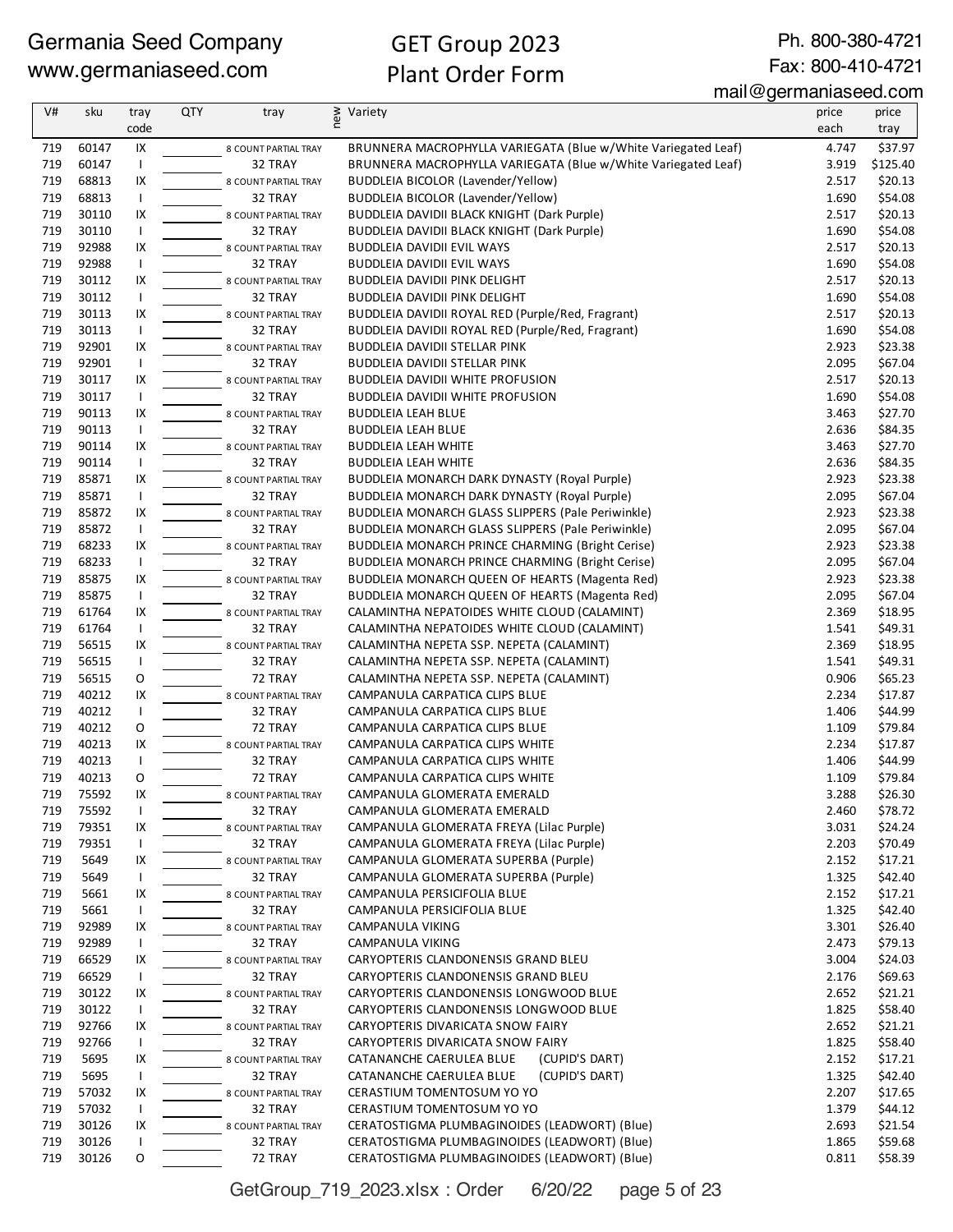# GET Group 2023 Plant Order Form

Ph. 800-380-4721 Fax: 800-410-4721

mail@germaniaseed.com

| V#  | sku   | tray                     | <b>QTY</b> | tray                 | new<br>Variety                                                | price | price    |
|-----|-------|--------------------------|------------|----------------------|---------------------------------------------------------------|-------|----------|
|     |       | code                     |            |                      |                                                               | each  | tray     |
| 719 | 60147 | IX                       |            | 8 COUNT PARTIAL TRAY | BRUNNERA MACROPHYLLA VARIEGATA (Blue w/White Variegated Leaf) | 4.747 | \$37.97  |
| 719 | 60147 |                          |            | 32 TRAY              | BRUNNERA MACROPHYLLA VARIEGATA (Blue w/White Variegated Leaf) | 3.919 | \$125.40 |
| 719 | 68813 | IX                       |            | 8 COUNT PARTIAL TRAY | BUDDLEIA BICOLOR (Lavender/Yellow)                            | 2.517 | \$20.13  |
| 719 | 68813 | $\mathbf{I}$             |            | 32 TRAY              | <b>BUDDLEIA BICOLOR (Lavender/Yellow)</b>                     | 1.690 | \$54.08  |
| 719 | 30110 | IX                       |            | 8 COUNT PARTIAL TRAY | <b>BUDDLEIA DAVIDII BLACK KNIGHT (Dark Purple)</b>            | 2.517 | \$20.13  |
| 719 | 30110 | $\mathbf{I}$             |            | 32 TRAY              | <b>BUDDLEIA DAVIDII BLACK KNIGHT (Dark Purple)</b>            | 1.690 | \$54.08  |
| 719 | 92988 | IX                       |            | 8 COUNT PARTIAL TRAY | <b>BUDDLEIA DAVIDII EVIL WAYS</b>                             | 2.517 | \$20.13  |
| 719 | 92988 | $\mathbf{I}$             |            | 32 TRAY              | <b>BUDDLEIA DAVIDII EVIL WAYS</b>                             | 1.690 | \$54.08  |
| 719 | 30112 | IX                       |            | 8 COUNT PARTIAL TRAY | BUDDLEIA DAVIDII PINK DELIGHT                                 | 2.517 | \$20.13  |
| 719 | 30112 | $\mathbf{I}$             |            | 32 TRAY              | <b>BUDDLEIA DAVIDII PINK DELIGHT</b>                          | 1.690 | \$54.08  |
| 719 | 30113 | IX                       |            | 8 COUNT PARTIAL TRAY | BUDDLEIA DAVIDII ROYAL RED (Purple/Red, Fragrant)             | 2.517 | \$20.13  |
| 719 | 30113 | $\mathbf{I}$             |            | 32 TRAY              | BUDDLEIA DAVIDII ROYAL RED (Purple/Red, Fragrant)             | 1.690 | \$54.08  |
| 719 | 92901 | IX                       |            | 8 COUNT PARTIAL TRAY | <b>BUDDLEIA DAVIDII STELLAR PINK</b>                          | 2.923 | \$23.38  |
| 719 | 92901 | $\mathbf{I}$             |            | 32 TRAY              | BUDDLEIA DAVIDII STELLAR PINK                                 | 2.095 | \$67.04  |
| 719 | 30117 | IX                       |            | 8 COUNT PARTIAL TRAY | BUDDLEIA DAVIDII WHITE PROFUSION                              | 2.517 | \$20.13  |
| 719 | 30117 | $\mathbf{I}$             |            | 32 TRAY              | BUDDLEIA DAVIDII WHITE PROFUSION                              | 1.690 | \$54.08  |
| 719 | 90113 | IX                       |            | 8 COUNT PARTIAL TRAY | <b>BUDDLEIA LEAH BLUE</b>                                     | 3.463 | \$27.70  |
| 719 | 90113 | $\mathbf{I}$             |            | 32 TRAY              | <b>BUDDLEIA LEAH BLUE</b>                                     | 2.636 | \$84.35  |
| 719 | 90114 | IX                       |            | 8 COUNT PARTIAL TRAY | <b>BUDDLEIA LEAH WHITE</b>                                    | 3.463 | \$27.70  |
| 719 | 90114 | $\mathbf{I}$             |            | 32 TRAY              | <b>BUDDLEIA LEAH WHITE</b>                                    | 2.636 | \$84.35  |
| 719 | 85871 | IX                       |            | 8 COUNT PARTIAL TRAY | BUDDLEIA MONARCH DARK DYNASTY (Royal Purple)                  | 2.923 | \$23.38  |
| 719 | 85871 | $\mathbf{I}$             |            | 32 TRAY              | <b>BUDDLEIA MONARCH DARK DYNASTY (Royal Purple)</b>           | 2.095 | \$67.04  |
| 719 | 85872 | IX                       |            | 8 COUNT PARTIAL TRAY | BUDDLEIA MONARCH GLASS SLIPPERS (Pale Periwinkle)             | 2.923 | \$23.38  |
| 719 | 85872 | $\overline{\phantom{a}}$ |            | 32 TRAY              | BUDDLEIA MONARCH GLASS SLIPPERS (Pale Periwinkle)             | 2.095 | \$67.04  |
| 719 | 68233 | IX                       |            | 8 COUNT PARTIAL TRAY | BUDDLEIA MONARCH PRINCE CHARMING (Bright Cerise)              | 2.923 | \$23.38  |
| 719 | 68233 | $\mathbf{I}$             |            | 32 TRAY              | BUDDLEIA MONARCH PRINCE CHARMING (Bright Cerise)              | 2.095 | \$67.04  |
| 719 | 85875 | IX                       |            | 8 COUNT PARTIAL TRAY | BUDDLEIA MONARCH QUEEN OF HEARTS (Magenta Red)                | 2.923 | \$23.38  |
| 719 | 85875 | $\mathbf{I}$             |            | 32 TRAY              | BUDDLEIA MONARCH QUEEN OF HEARTS (Magenta Red)                | 2.095 | \$67.04  |
| 719 | 61764 | IX                       |            | 8 COUNT PARTIAL TRAY | CALAMINTHA NEPATOIDES WHITE CLOUD (CALAMINT)                  | 2.369 | \$18.95  |
| 719 | 61764 | $\mathbf{I}$             |            | 32 TRAY              | CALAMINTHA NEPATOIDES WHITE CLOUD (CALAMINT)                  | 1.541 | \$49.31  |
| 719 | 56515 | IX                       |            | 8 COUNT PARTIAL TRAY | CALAMINTHA NEPETA SSP. NEPETA (CALAMINT)                      | 2.369 | \$18.95  |
| 719 | 56515 | $\mathbf{I}$             |            | 32 TRAY              | CALAMINTHA NEPETA SSP. NEPETA (CALAMINT)                      | 1.541 | \$49.31  |
| 719 | 56515 | 0                        |            | 72 TRAY              | CALAMINTHA NEPETA SSP. NEPETA (CALAMINT)                      | 0.906 | \$65.23  |
| 719 | 40212 | IX                       |            | 8 COUNT PARTIAL TRAY | CAMPANULA CARPATICA CLIPS BLUE                                | 2.234 | \$17.87  |
| 719 | 40212 | $\mathbf{I}$             |            | 32 TRAY              | CAMPANULA CARPATICA CLIPS BLUE                                | 1.406 | \$44.99  |
| 719 | 40212 | O                        |            | 72 TRAY              | CAMPANULA CARPATICA CLIPS BLUE                                | 1.109 | \$79.84  |
| 719 | 40213 | IX                       |            | 8 COUNT PARTIAL TRAY | CAMPANULA CARPATICA CLIPS WHITE                               | 2.234 | \$17.87  |
| 719 | 40213 | $\mathbf{I}$             |            | 32 TRAY              | CAMPANULA CARPATICA CLIPS WHITE                               | 1.406 | \$44.99  |
| 719 | 40213 | O                        |            | 72 TRAY              | CAMPANULA CARPATICA CLIPS WHITE                               | 1.109 | \$79.84  |
| 719 | 75592 | IX                       |            | 8 COUNT PARTIAL TRAY | CAMPANULA GLOMERATA EMERALD                                   | 3.288 | \$26.30  |
| 719 | 75592 |                          |            | 32 TRAY              | CAMPANULA GLOMERATA EMERALD                                   | 2.460 | \$78.72  |
| 719 | 79351 | IX                       |            | 8 COUNT PARTIAL TRAY | CAMPANULA GLOMERATA FREYA (Lilac Purple)                      | 3.031 | \$24.24  |
| 719 | 79351 |                          |            | 32 TRAY              | CAMPANULA GLOMERATA FREYA (Lilac Purple)                      | 2.203 | \$70.49  |
| 719 | 5649  | IX                       |            | 8 COUNT PARTIAL TRAY | CAMPANULA GLOMERATA SUPERBA (Purple)                          | 2.152 | \$17.21  |
| 719 | 5649  | $\mathbf{I}$             |            | 32 TRAY              | CAMPANULA GLOMERATA SUPERBA (Purple)                          | 1.325 | \$42.40  |
| 719 | 5661  | IX                       |            | 8 COUNT PARTIAL TRAY | CAMPANULA PERSICIFOLIA BLUE                                   | 2.152 | \$17.21  |
| 719 | 5661  |                          |            | 32 TRAY              | CAMPANULA PERSICIFOLIA BLUE                                   | 1.325 | \$42.40  |
| 719 | 92989 | IX                       |            | 8 COUNT PARTIAL TRAY | CAMPANULA VIKING                                              | 3.301 | \$26.40  |
| 719 | 92989 | $\mathbf{I}$             |            | 32 TRAY              | CAMPANULA VIKING                                              | 2.473 | \$79.13  |
| 719 | 66529 | IX                       |            | 8 COUNT PARTIAL TRAY | CARYOPTERIS CLANDONENSIS GRAND BLEU                           | 3.004 | \$24.03  |
| 719 | 66529 |                          |            | 32 TRAY              | CARYOPTERIS CLANDONENSIS GRAND BLEU                           | 2.176 | \$69.63  |
| 719 | 30122 | IX                       |            | 8 COUNT PARTIAL TRAY | CARYOPTERIS CLANDONENSIS LONGWOOD BLUE                        | 2.652 | \$21.21  |
| 719 | 30122 |                          |            | 32 TRAY              | CARYOPTERIS CLANDONENSIS LONGWOOD BLUE                        | 1.825 | \$58.40  |
| 719 | 92766 | IX                       |            | 8 COUNT PARTIAL TRAY | CARYOPTERIS DIVARICATA SNOW FAIRY                             | 2.652 | \$21.21  |
| 719 | 92766 |                          |            | 32 TRAY              | CARYOPTERIS DIVARICATA SNOW FAIRY                             | 1.825 | \$58.40  |
| 719 | 5695  | IX                       |            | 8 COUNT PARTIAL TRAY | (CUPID'S DART)<br>CATANANCHE CAERULEA BLUE                    | 2.152 | \$17.21  |
| 719 | 5695  | $\mathbf{I}$             |            | 32 TRAY              | CATANANCHE CAERULEA BLUE<br>(CUPID'S DART)                    | 1.325 | \$42.40  |
| 719 | 57032 | IX                       |            | 8 COUNT PARTIAL TRAY | CERASTIUM TOMENTOSUM YO YO                                    | 2.207 | \$17.65  |
| 719 | 57032 | $\mathbf{I}$             |            | 32 TRAY              | CERASTIUM TOMENTOSUM YO YO                                    | 1.379 | \$44.12  |
| 719 | 30126 | IX                       |            | 8 COUNT PARTIAL TRAY | CERATOSTIGMA PLUMBAGINOIDES (LEADWORT) (Blue)                 | 2.693 | \$21.54  |
| 719 | 30126 |                          |            | 32 TRAY              | CERATOSTIGMA PLUMBAGINOIDES (LEADWORT) (Blue)                 | 1.865 | \$59.68  |
| 719 | 30126 | O                        |            | 72 TRAY              | CERATOSTIGMA PLUMBAGINOIDES (LEADWORT) (Blue)                 | 0.811 | \$58.39  |

GetGroup\_719\_2023.xlsx : Order 6/20/22 page 5 of 23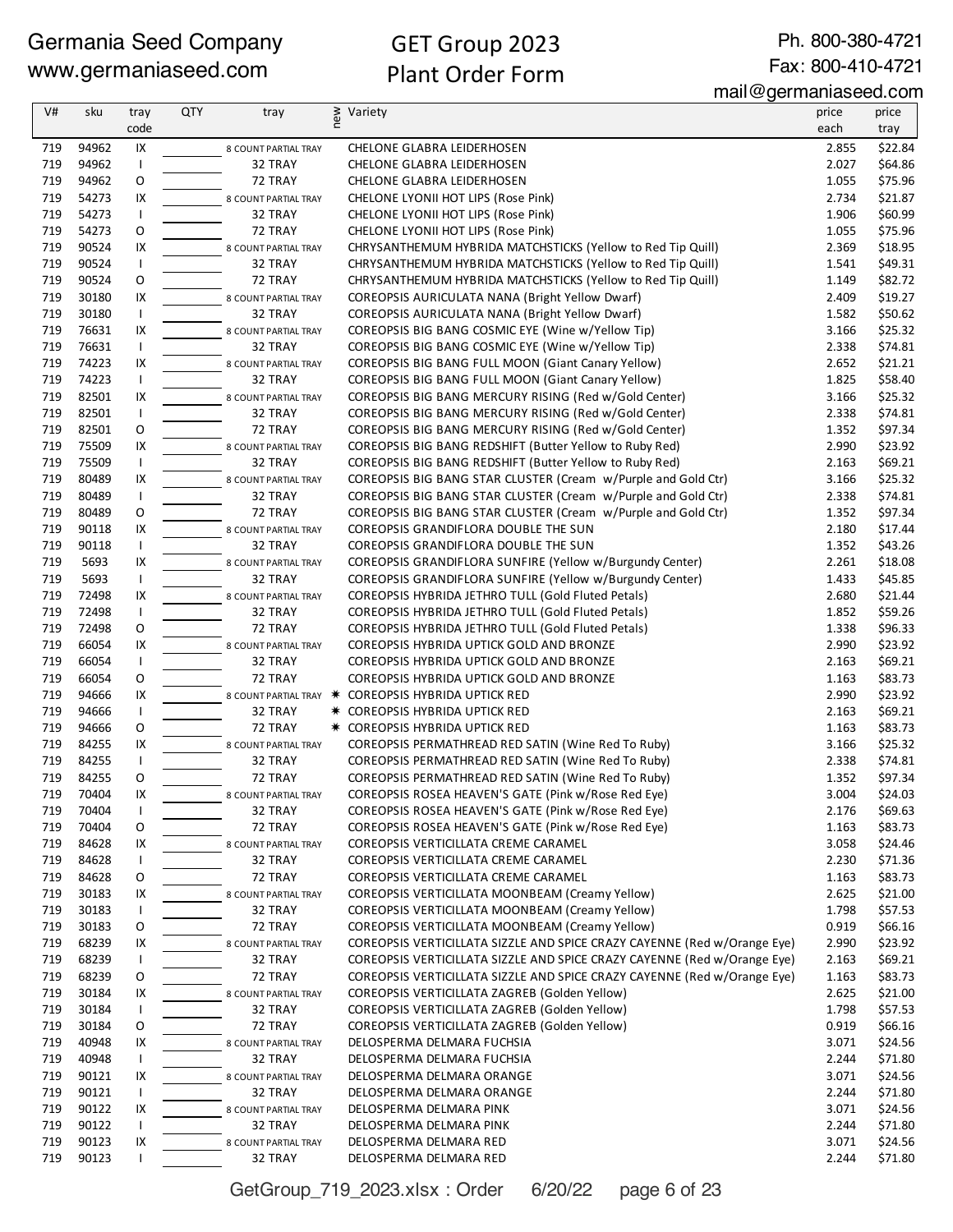Ph. 800-380-4721 Fax: 800-410-4721

#### mail@germaniaseed.com

| V#         | sku            | tray               | <b>QTY</b> | tray                            | new | Variety                                                                                                          | price          | price              |
|------------|----------------|--------------------|------------|---------------------------------|-----|------------------------------------------------------------------------------------------------------------------|----------------|--------------------|
|            |                | code               |            |                                 |     |                                                                                                                  | each           | tray               |
| 719        | 94962          | IX                 |            | 8 COUNT PARTIAL TRAY            |     | CHELONE GLABRA LEIDERHOSEN                                                                                       | 2.855          | \$22.84            |
| 719        | 94962          | $\mathbf{I}$       |            | 32 TRAY                         |     | <b>CHELONE GLABRA LEIDERHOSEN</b>                                                                                | 2.027          | \$64.86            |
| 719        | 94962          | O                  |            | 72 TRAY                         |     | <b>CHELONE GLABRA LEIDERHOSEN</b>                                                                                | 1.055          | \$75.96            |
| 719        | 54273          | IX                 |            | 8 COUNT PARTIAL TRAY            |     | CHELONE LYONII HOT LIPS (Rose Pink)                                                                              | 2.734          | \$21.87            |
| 719        | 54273          | $\mathsf{I}$       |            | 32 TRAY                         |     | CHELONE LYONII HOT LIPS (Rose Pink)                                                                              | 1.906          | \$60.99            |
| 719        | 54273          | O                  |            | 72 TRAY                         |     | CHELONE LYONII HOT LIPS (Rose Pink)                                                                              | 1.055          | \$75.96            |
| 719        | 90524          | IX                 |            | 8 COUNT PARTIAL TRAY            |     | CHRYSANTHEMUM HYBRIDA MATCHSTICKS (Yellow to Red Tip Quill)                                                      | 2.369          | \$18.95            |
| 719        | 90524          | $\mathbf{I}$       |            | 32 TRAY                         |     | CHRYSANTHEMUM HYBRIDA MATCHSTICKS (Yellow to Red Tip Quill)                                                      | 1.541          | \$49.31            |
| 719        | 90524          | O                  |            | 72 TRAY                         |     | CHRYSANTHEMUM HYBRIDA MATCHSTICKS (Yellow to Red Tip Quill)                                                      | 1.149          | \$82.72            |
| 719        | 30180          | IX                 |            | 8 COUNT PARTIAL TRAY            |     | COREOPSIS AURICULATA NANA (Bright Yellow Dwarf)                                                                  | 2.409          | \$19.27            |
| 719        | 30180          | $\overline{1}$     |            | 32 TRAY                         |     | COREOPSIS AURICULATA NANA (Bright Yellow Dwarf)                                                                  | 1.582          | \$50.62            |
| 719        | 76631          | IX                 |            | 8 COUNT PARTIAL TRAY            |     | COREOPSIS BIG BANG COSMIC EYE (Wine w/Yellow Tip)                                                                | 3.166          | \$25.32            |
| 719        | 76631          | $\mathbf{I}$       |            | 32 TRAY                         |     | COREOPSIS BIG BANG COSMIC EYE (Wine w/Yellow Tip)                                                                | 2.338          | \$74.81            |
| 719        | 74223          | IX                 |            | 8 COUNT PARTIAL TRAY            |     | COREOPSIS BIG BANG FULL MOON (Giant Canary Yellow)                                                               | 2.652          | \$21.21            |
| 719        | 74223          | $\mathbf{I}$       |            | 32 TRAY                         |     | COREOPSIS BIG BANG FULL MOON (Giant Canary Yellow)                                                               | 1.825          | \$58.40            |
| 719        | 82501          | IX                 |            | 8 COUNT PARTIAL TRAY            |     | COREOPSIS BIG BANG MERCURY RISING (Red w/Gold Center)                                                            | 3.166          | \$25.32            |
| 719<br>719 | 82501          | $\mathbf{I}$       |            | 32 TRAY                         |     | COREOPSIS BIG BANG MERCURY RISING (Red w/Gold Center)                                                            | 2.338          | \$74.81            |
| 719        | 82501<br>75509 | O<br>IX            |            | 72 TRAY                         |     | COREOPSIS BIG BANG MERCURY RISING (Red w/Gold Center)<br>COREOPSIS BIG BANG REDSHIFT (Butter Yellow to Ruby Red) | 1.352<br>2.990 | \$97.34<br>\$23.92 |
| 719        | 75509          | $\mathsf{I}$       |            | 8 COUNT PARTIAL TRAY<br>32 TRAY |     | COREOPSIS BIG BANG REDSHIFT (Butter Yellow to Ruby Red)                                                          | 2.163          | \$69.21            |
| 719        | 80489          | IX                 |            | 8 COUNT PARTIAL TRAY            |     | COREOPSIS BIG BANG STAR CLUSTER (Cream w/Purple and Gold Ctr)                                                    | 3.166          | \$25.32            |
| 719        | 80489          | $\mathbf{I}$       |            | 32 TRAY                         |     | COREOPSIS BIG BANG STAR CLUSTER (Cream w/Purple and Gold Ctr)                                                    | 2.338          | \$74.81            |
| 719        | 80489          | O                  |            | 72 TRAY                         |     | COREOPSIS BIG BANG STAR CLUSTER (Cream w/Purple and Gold Ctr)                                                    | 1.352          | \$97.34            |
| 719        | 90118          | IX                 |            | 8 COUNT PARTIAL TRAY            |     | COREOPSIS GRANDIFLORA DOUBLE THE SUN                                                                             | 2.180          | \$17.44            |
| 719        | 90118          | $\mathsf{I}$       |            | 32 TRAY                         |     | COREOPSIS GRANDIFLORA DOUBLE THE SUN                                                                             | 1.352          | \$43.26            |
| 719        | 5693           | IX                 |            | 8 COUNT PARTIAL TRAY            |     | COREOPSIS GRANDIFLORA SUNFIRE (Yellow w/Burgundy Center)                                                         | 2.261          | \$18.08            |
| 719        | 5693           | $\mathbf{I}$       |            | 32 TRAY                         |     | COREOPSIS GRANDIFLORA SUNFIRE (Yellow w/Burgundy Center)                                                         | 1.433          | \$45.85            |
| 719        | 72498          | IX                 |            | 8 COUNT PARTIAL TRAY            |     | COREOPSIS HYBRIDA JETHRO TULL (Gold Fluted Petals)                                                               | 2.680          | \$21.44            |
| 719        | 72498          | $\mathsf{I}$       |            | 32 TRAY                         |     | COREOPSIS HYBRIDA JETHRO TULL (Gold Fluted Petals)                                                               | 1.852          | \$59.26            |
| 719        | 72498          | O                  |            | 72 TRAY                         |     | COREOPSIS HYBRIDA JETHRO TULL (Gold Fluted Petals)                                                               | 1.338          | \$96.33            |
| 719        | 66054          | IX                 |            | 8 COUNT PARTIAL TRAY            |     | COREOPSIS HYBRIDA UPTICK GOLD AND BRONZE                                                                         | 2.990          | \$23.92            |
| 719        | 66054          | $\mathsf{I}$       |            | 32 TRAY                         |     | COREOPSIS HYBRIDA UPTICK GOLD AND BRONZE                                                                         | 2.163          | \$69.21            |
| 719        | 66054          | O                  |            | 72 TRAY                         |     | COREOPSIS HYBRIDA UPTICK GOLD AND BRONZE                                                                         | 1.163          | \$83.73            |
| 719        | 94666          | IX                 |            |                                 |     | 8 COUNT PARTIAL TRAY * COREOPSIS HYBRIDA UPTICK RED                                                              | 2.990          | \$23.92            |
| 719        | 94666          | $\mathsf{I}$       |            | 32 TRAY                         |     | <b>* COREOPSIS HYBRIDA UPTICK RED</b>                                                                            | 2.163          | \$69.21            |
| 719        | 94666          | O                  |            | 72 TRAY                         |     | <b>* COREOPSIS HYBRIDA UPTICK RED</b>                                                                            | 1.163          | \$83.73            |
| 719        | 84255          | IX                 |            | 8 COUNT PARTIAL TRAY            |     | COREOPSIS PERMATHREAD RED SATIN (Wine Red To Ruby)                                                               | 3.166          | \$25.32            |
| 719        | 84255          | $\mathbf{I}$       |            | 32 TRAY                         |     | COREOPSIS PERMATHREAD RED SATIN (Wine Red To Ruby)                                                               | 2.338          | \$74.81            |
| 719        | 84255          | O                  |            | 72 TRAY                         |     | COREOPSIS PERMATHREAD RED SATIN (Wine Red To Ruby)                                                               | 1.352          | \$97.34            |
| 719        | 70404          | IX                 |            | 8 COUNT PARTIAL TRAY            |     | COREOPSIS ROSEA HEAVEN'S GATE (Pink w/Rose Red Eye)                                                              | 3.004          | \$24.03            |
| 719        | 70404          |                    |            | 32 TRAY                         |     | COREOPSIS ROSEA HEAVEN'S GATE (Pink w/Rose Red Eye)                                                              | 2.176          | \$69.63            |
| 719        | 70404          | O                  |            | 72 TRAY                         |     | COREOPSIS ROSEA HEAVEN'S GATE (Pink w/Rose Red Eye)                                                              | 1.163          | \$83.73            |
| 719        | 84628          | IX                 |            | 8 COUNT PARTIAL TRAY            |     | COREOPSIS VERTICILLATA CREME CARAMEL                                                                             | 3.058          | \$24.46            |
| 719        | 84628          | $\mathbf{I}$       |            | 32 TRAY                         |     | COREOPSIS VERTICILLATA CREME CARAMEL                                                                             | 2.230          | \$71.36            |
| 719        | 84628          | O                  |            | 72 TRAY                         |     | COREOPSIS VERTICILLATA CREME CARAMEL                                                                             | 1.163          | \$83.73            |
| 719        | 30183          | IX                 |            | 8 COUNT PARTIAL TRAY            |     | COREOPSIS VERTICILLATA MOONBEAM (Creamy Yellow)                                                                  | 2.625          | \$21.00            |
| 719        | 30183          | $\mathbf{I}$       |            | 32 TRAY                         |     | COREOPSIS VERTICILLATA MOONBEAM (Creamy Yellow)                                                                  | 1.798          | \$57.53            |
| 719        | 30183          | O                  |            | 72 TRAY                         |     | COREOPSIS VERTICILLATA MOONBEAM (Creamy Yellow)                                                                  | 0.919          | \$66.16            |
| 719        | 68239          | IX                 |            | 8 COUNT PARTIAL TRAY            |     | COREOPSIS VERTICILLATA SIZZLE AND SPICE CRAZY CAYENNE (Red w/Orange Eye)                                         | 2.990          | \$23.92            |
| 719        | 68239          | $\mathbf{I}$       |            | 32 TRAY                         |     | COREOPSIS VERTICILLATA SIZZLE AND SPICE CRAZY CAYENNE (Red w/Orange Eye)                                         | 2.163          | \$69.21            |
| 719        | 68239          | O                  |            | 72 TRAY                         |     | COREOPSIS VERTICILLATA SIZZLE AND SPICE CRAZY CAYENNE (Red w/Orange Eye)                                         | 1.163          | \$83.73            |
| 719        | 30184          | IX                 |            | 8 COUNT PARTIAL TRAY            |     | COREOPSIS VERTICILLATA ZAGREB (Golden Yellow)                                                                    | 2.625          | \$21.00            |
| 719        | 30184          | $\mathsf{I}$       |            | 32 TRAY                         |     | COREOPSIS VERTICILLATA ZAGREB (Golden Yellow)                                                                    | 1.798<br>0.919 | \$57.53            |
| 719<br>719 | 30184<br>40948 | O                  |            | 72 TRAY                         |     | COREOPSIS VERTICILLATA ZAGREB (Golden Yellow)                                                                    | 3.071          | \$66.16<br>\$24.56 |
| 719        | 40948          | IX<br>$\mathsf{I}$ |            | 8 COUNT PARTIAL TRAY<br>32 TRAY |     | DELOSPERMA DELMARA FUCHSIA                                                                                       | 2.244          | \$71.80            |
|            |                |                    |            |                                 |     | DELOSPERMA DELMARA FUCHSIA                                                                                       | 3.071          |                    |
| 719<br>719 | 90121<br>90121 | IX<br>$\mathsf{I}$ |            | 8 COUNT PARTIAL TRAY<br>32 TRAY |     | DELOSPERMA DELMARA ORANGE<br>DELOSPERMA DELMARA ORANGE                                                           | 2.244          | \$24.56<br>\$71.80 |
| 719        | 90122          | IX                 |            |                                 |     | DELOSPERMA DELMARA PINK                                                                                          | 3.071          | \$24.56            |
| 719        | 90122          | $\mathbf{I}$       |            | 8 COUNT PARTIAL TRAY<br>32 TRAY |     | DELOSPERMA DELMARA PINK                                                                                          | 2.244          | \$71.80            |
| 719        | 90123          | IX                 |            | 8 COUNT PARTIAL TRAY            |     | DELOSPERMA DELMARA RED                                                                                           | 3.071          | \$24.56            |
| 719        | 90123          |                    |            | 32 TRAY                         |     | DELOSPERMA DELMARA RED                                                                                           | 2.244          | \$71.80            |
|            |                |                    |            |                                 |     |                                                                                                                  |                |                    |

GetGroup\_719\_2023.xlsx : Order 6/20/22 page 6 of 23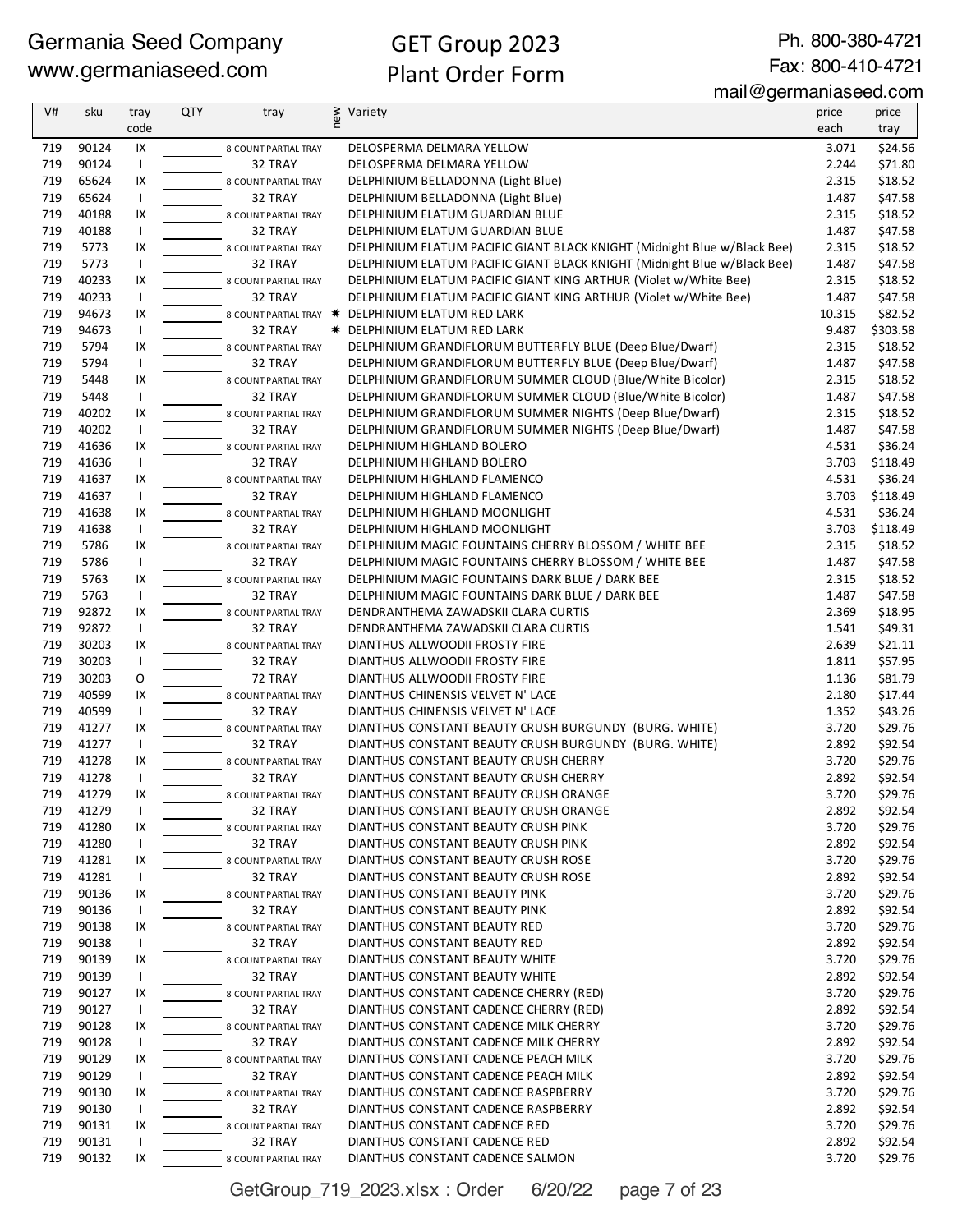Ph. 800-380-4721 Fax: 800-410-4721

mail@germaniaseed.com

| code<br>each<br>tray<br>90124<br>\$24.56<br>719<br>IX<br>DELOSPERMA DELMARA YELLOW<br>3.071<br>8 COUNT PARTIAL TRAY<br>90124<br>\$71.80<br>719<br>$\mathsf{I}$<br>2.244<br>32 TRAY<br>DELOSPERMA DELMARA YELLOW<br>719<br>65624<br>IX<br>2.315<br>\$18.52<br>DELPHINIUM BELLADONNA (Light Blue)<br>8 COUNT PARTIAL TRAY<br>719<br>65624<br>1.487<br>\$47.58<br>$\mathsf{I}$<br>32 TRAY<br>DELPHINIUM BELLADONNA (Light Blue)<br>719<br>40188<br>IX<br>2.315<br>\$18.52<br>DELPHINIUM ELATUM GUARDIAN BLUE<br>8 COUNT PARTIAL TRAY<br>719<br>40188<br>$\mathsf{L}$<br>32 TRAY<br>1.487<br>\$47.58<br>DELPHINIUM ELATUM GUARDIAN BLUE<br>719<br>5773<br>IX<br>DELPHINIUM ELATUM PACIFIC GIANT BLACK KNIGHT (Midnight Blue w/Black Bee)<br>2.315<br>\$18.52<br>8 COUNT PARTIAL TRAY<br>719<br>5773<br>$\mathsf{L}$<br>32 TRAY<br>DELPHINIUM ELATUM PACIFIC GIANT BLACK KNIGHT (Midnight Blue w/Black Bee)<br>1.487<br>\$47.58<br>719<br>40233<br>IX<br>DELPHINIUM ELATUM PACIFIC GIANT KING ARTHUR (Violet w/White Bee)<br>2.315<br>\$18.52<br>8 COUNT PARTIAL TRAY<br>719<br>40233<br>\$47.58<br>$\mathsf{I}$<br>32 TRAY<br>DELPHINIUM ELATUM PACIFIC GIANT KING ARTHUR (Violet w/White Bee)<br>1.487<br>719<br>94673<br>IX<br>10.315<br>\$82.52<br>DELPHINIUM ELATUM RED LARK<br>8 COUNT PARTIAL TRAY *<br>719<br>94673<br>9.487<br>\$303.58<br>$\mathsf{I}$<br>32 TRAY<br>* DELPHINIUM ELATUM RED LARK<br>IX<br>719<br>5794<br>\$18.52<br>DELPHINIUM GRANDIFLORUM BUTTERFLY BLUE (Deep Blue/Dwarf)<br>2.315<br>8 COUNT PARTIAL TRAY<br>719<br>5794<br>32 TRAY<br>DELPHINIUM GRANDIFLORUM BUTTERFLY BLUE (Deep Blue/Dwarf)<br>1.487<br>\$47.58<br>$\mathsf{I}$<br>719<br>5448<br>IX<br>DELPHINIUM GRANDIFLORUM SUMMER CLOUD (Blue/White Bicolor)<br>2.315<br>\$18.52<br>8 COUNT PARTIAL TRAY<br>719<br>5448<br>$\mathbf{I}$<br>32 TRAY<br>DELPHINIUM GRANDIFLORUM SUMMER CLOUD (Blue/White Bicolor)<br>1.487<br>\$47.58<br>719<br>40202<br>IX<br>\$18.52<br>DELPHINIUM GRANDIFLORUM SUMMER NIGHTS (Deep Blue/Dwarf)<br>2.315<br>8 COUNT PARTIAL TRAY<br>719<br>40202<br>$\mathsf{I}$<br>32 TRAY<br>DELPHINIUM GRANDIFLORUM SUMMER NIGHTS (Deep Blue/Dwarf)<br>1.487<br>\$47.58<br>719<br>41636<br>IX<br>4.531<br>\$36.24<br>DELPHINIUM HIGHLAND BOLERO<br>8 COUNT PARTIAL TRAY<br>\$118.49<br>719<br>41636<br>3.703<br>$\mathsf{I}$<br>32 TRAY<br>DELPHINIUM HIGHLAND BOLERO<br>719<br>41637<br>IX<br>4.531<br>\$36.24<br>DELPHINIUM HIGHLAND FLAMENCO<br>8 COUNT PARTIAL TRAY<br>719<br>41637<br>3.703<br>\$118.49<br>$\mathsf{I}$<br>32 TRAY<br>DELPHINIUM HIGHLAND FLAMENCO<br>719<br>41638<br>IX<br>4.531<br>\$36.24<br>DELPHINIUM HIGHLAND MOONLIGHT<br>8 COUNT PARTIAL TRAY<br>719<br>41638<br>32 TRAY<br>3.703<br>\$118.49<br>$\mathsf{I}$<br>DELPHINIUM HIGHLAND MOONLIGHT<br>719<br>5786<br>IX<br>2.315<br>\$18.52<br>DELPHINIUM MAGIC FOUNTAINS CHERRY BLOSSOM / WHITE BEE<br>8 COUNT PARTIAL TRAY<br>719<br>\$47.58<br>5786<br>$\mathsf{I}$<br>DELPHINIUM MAGIC FOUNTAINS CHERRY BLOSSOM / WHITE BEE<br>1.487<br>32 TRAY<br>719<br>IX<br>\$18.52<br>5763<br>DELPHINIUM MAGIC FOUNTAINS DARK BLUE / DARK BEE<br>2.315<br>8 COUNT PARTIAL TRAY<br>719<br>5763<br>$\mathbf{I}$<br>32 TRAY<br>1.487<br>\$47.58<br>DELPHINIUM MAGIC FOUNTAINS DARK BLUE / DARK BEE<br>719<br>92872<br>IX<br>2.369<br>\$18.95<br>DENDRANTHEMA ZAWADSKII CLARA CURTIS<br>8 COUNT PARTIAL TRAY<br>719<br>92872<br>\$49.31<br>$\mathsf{I}$<br>32 TRAY<br>DENDRANTHEMA ZAWADSKII CLARA CURTIS<br>1.541<br>719<br>30203<br>IX<br>2.639<br>\$21.11<br>DIANTHUS ALLWOODII FROSTY FIRE<br>8 COUNT PARTIAL TRAY<br>\$57.95<br>719<br>30203<br>32 TRAY<br>1.811<br>$\mathsf{I}$<br>DIANTHUS ALLWOODII FROSTY FIRE<br>O<br>719<br>30203<br>72 TRAY<br>\$81.79<br>DIANTHUS ALLWOODII FROSTY FIRE<br>1.136<br>719<br>40599<br>IX<br>\$17.44<br>DIANTHUS CHINENSIS VELVET N' LACE<br>2.180<br>8 COUNT PARTIAL TRAY<br>719<br>40599<br>$\mathsf{I}$<br>32 TRAY<br>1.352<br>\$43.26<br>DIANTHUS CHINENSIS VELVET N' LACE<br>719<br>41277<br>IX<br>3.720<br>\$29.76<br>DIANTHUS CONSTANT BEAUTY CRUSH BURGUNDY (BURG. WHITE)<br>8 COUNT PARTIAL TRAY<br>719<br>41277<br>\$92.54<br>32 TRAY<br>DIANTHUS CONSTANT BEAUTY CRUSH BURGUNDY (BURG. WHITE)<br>2.892<br>$\mathbf{I}$<br>719<br>41278<br>DIANTHUS CONSTANT BEAUTY CRUSH CHERRY<br>3.720<br>\$29.76<br>IX<br>8 COUNT PARTIAL TRAY<br>719<br>41278<br>2.892<br>\$92.54<br>$\mathsf{I}$<br>32 TRAY<br>DIANTHUS CONSTANT BEAUTY CRUSH CHERRY<br>719<br>41279<br>IX<br>DIANTHUS CONSTANT BEAUTY CRUSH ORANGE<br>3.720<br>\$29.76<br>8 COUNT PARTIAL TRAY<br>41279<br>2.892<br>\$92.54<br>719<br>$\mathsf{I}$<br>32 TRAY<br>DIANTHUS CONSTANT BEAUTY CRUSH ORANGE<br>41280<br>\$29.76<br>719<br>IX<br>DIANTHUS CONSTANT BEAUTY CRUSH PINK<br>3.720<br>8 COUNT PARTIAL TRAY<br>719<br>41280<br>32 TRAY<br>DIANTHUS CONSTANT BEAUTY CRUSH PINK<br>2.892<br>\$92.54<br>$\mathsf{I}$<br>41281<br>\$29.76<br>719<br>IX<br>DIANTHUS CONSTANT BEAUTY CRUSH ROSE<br>3.720<br>8 COUNT PARTIAL TRAY<br>41281<br>\$92.54<br>719<br>32 TRAY<br>DIANTHUS CONSTANT BEAUTY CRUSH ROSE<br>2.892<br>$\mathbf{I}$<br>719<br>90136<br>\$29.76<br>IX<br>DIANTHUS CONSTANT BEAUTY PINK<br>3.720<br>8 COUNT PARTIAL TRAY<br>90136<br>\$92.54<br>719<br>32 TRAY<br>DIANTHUS CONSTANT BEAUTY PINK<br>2.892<br>$\mathsf{I}$<br>719<br>90138<br>3.720<br>\$29.76<br>IX<br>DIANTHUS CONSTANT BEAUTY RED<br>8 COUNT PARTIAL TRAY<br>90138<br>2.892<br>\$92.54<br>719<br>$\mathbf{I}$<br>32 TRAY<br>DIANTHUS CONSTANT BEAUTY RED<br>\$29.76<br>719<br>90139<br>IX<br>DIANTHUS CONSTANT BEAUTY WHITE<br>3.720<br>8 COUNT PARTIAL TRAY<br>\$92.54<br>719<br>90139<br>32 TRAY<br>DIANTHUS CONSTANT BEAUTY WHITE<br>2.892<br>$\mathsf{I}$<br>\$29.76<br>719<br>90127<br>DIANTHUS CONSTANT CADENCE CHERRY (RED)<br>3.720<br>IX<br>8 COUNT PARTIAL TRAY<br>90127<br>\$92.54<br>719<br>DIANTHUS CONSTANT CADENCE CHERRY (RED)<br>2.892<br>$\mathbf{I}$<br>32 TRAY<br>719<br>90128<br>IX<br>3.720<br>\$29.76<br>DIANTHUS CONSTANT CADENCE MILK CHERRY<br>8 COUNT PARTIAL TRAY<br>90128<br>\$92.54<br>719<br>32 TRAY<br>DIANTHUS CONSTANT CADENCE MILK CHERRY<br>2.892<br>$\mathbf{I}$<br>\$29.76<br>719<br>90129<br>IX<br>DIANTHUS CONSTANT CADENCE PEACH MILK<br>3.720<br>8 COUNT PARTIAL TRAY<br>719<br>90129<br>2.892<br>\$92.54<br>32 TRAY<br>DIANTHUS CONSTANT CADENCE PEACH MILK<br>$\mathbf{I}$<br>719<br>90130<br>\$29.76<br>IX<br>DIANTHUS CONSTANT CADENCE RASPBERRY<br>3.720<br>8 COUNT PARTIAL TRAY<br>90130<br>\$92.54<br>719<br>32 TRAY<br>2.892<br>$\mathsf{I}$<br>DIANTHUS CONSTANT CADENCE RASPBERRY<br>719<br>90131<br>DIANTHUS CONSTANT CADENCE RED<br>3.720<br>\$29.76<br>IX<br>8 COUNT PARTIAL TRAY<br>719<br>90131<br>32 TRAY<br>DIANTHUS CONSTANT CADENCE RED<br>2.892<br>\$92.54<br>$\mathbf{I}$<br>\$29.76<br>719<br>90132<br>IX<br>DIANTHUS CONSTANT CADENCE SALMON<br>3.720<br>8 COUNT PARTIAL TRAY | V# | sku | tray | QTY | tray | new | Variety | price | price |
|---------------------------------------------------------------------------------------------------------------------------------------------------------------------------------------------------------------------------------------------------------------------------------------------------------------------------------------------------------------------------------------------------------------------------------------------------------------------------------------------------------------------------------------------------------------------------------------------------------------------------------------------------------------------------------------------------------------------------------------------------------------------------------------------------------------------------------------------------------------------------------------------------------------------------------------------------------------------------------------------------------------------------------------------------------------------------------------------------------------------------------------------------------------------------------------------------------------------------------------------------------------------------------------------------------------------------------------------------------------------------------------------------------------------------------------------------------------------------------------------------------------------------------------------------------------------------------------------------------------------------------------------------------------------------------------------------------------------------------------------------------------------------------------------------------------------------------------------------------------------------------------------------------------------------------------------------------------------------------------------------------------------------------------------------------------------------------------------------------------------------------------------------------------------------------------------------------------------------------------------------------------------------------------------------------------------------------------------------------------------------------------------------------------------------------------------------------------------------------------------------------------------------------------------------------------------------------------------------------------------------------------------------------------------------------------------------------------------------------------------------------------------------------------------------------------------------------------------------------------------------------------------------------------------------------------------------------------------------------------------------------------------------------------------------------------------------------------------------------------------------------------------------------------------------------------------------------------------------------------------------------------------------------------------------------------------------------------------------------------------------------------------------------------------------------------------------------------------------------------------------------------------------------------------------------------------------------------------------------------------------------------------------------------------------------------------------------------------------------------------------------------------------------------------------------------------------------------------------------------------------------------------------------------------------------------------------------------------------------------------------------------------------------------------------------------------------------------------------------------------------------------------------------------------------------------------------------------------------------------------------------------------------------------------------------------------------------------------------------------------------------------------------------------------------------------------------------------------------------------------------------------------------------------------------------------------------------------------------------------------------------------------------------------------------------------------------------------------------------------------------------------------------------------------------------------------------------------------------------------------------------------------------------------------------------------------------------------------------------------------------------------------------------------------------------------------------------------------------------------------------------------------------------------------------------------------------------------------------------------------------------------------------------------------------------------------------------------------------------------------------------------------------------------------------------------------------------------------------------------------------------------------------------------------------------------------------------------------------------------------------------------------------------------------------------------------------------------------------------------------------------------------------------------------------------------------------------------------------------------------------------------------------------------------------------------------------------------------------------------------------------------------------------------------------------------------------------------------------------------------------------------------------------------------------------------------------------------------------------------------------------------------------------------------------------------------------------------------------------------------------------------------------------------------------------------------------------------------------------------------------------------------------------------------------------------------------------------------------------------------------------------------------------------------------------------------------------------------------------------------------------------------------------------------------------------------------------------------------------------------------------------------------------------|----|-----|------|-----|------|-----|---------|-------|-------|
|                                                                                                                                                                                                                                                                                                                                                                                                                                                                                                                                                                                                                                                                                                                                                                                                                                                                                                                                                                                                                                                                                                                                                                                                                                                                                                                                                                                                                                                                                                                                                                                                                                                                                                                                                                                                                                                                                                                                                                                                                                                                                                                                                                                                                                                                                                                                                                                                                                                                                                                                                                                                                                                                                                                                                                                                                                                                                                                                                                                                                                                                                                                                                                                                                                                                                                                                                                                                                                                                                                                                                                                                                                                                                                                                                                                                                                                                                                                                                                                                                                                                                                                                                                                                                                                                                                                                                                                                                                                                                                                                                                                                                                                                                                                                                                                                                                                                                                                                                                                                                                                                                                                                                                                                                                                                                                                                                                                                                                                                                                                                                                                                                                                                                                                                                                                                                                                                                                                                                                                                                                                                                                                                                                                                                                                                                                                                                                                                                                                                                                                                                                                                                                                                                                                                                                                                                                                                                                               |    |     |      |     |      |     |         |       |       |
|                                                                                                                                                                                                                                                                                                                                                                                                                                                                                                                                                                                                                                                                                                                                                                                                                                                                                                                                                                                                                                                                                                                                                                                                                                                                                                                                                                                                                                                                                                                                                                                                                                                                                                                                                                                                                                                                                                                                                                                                                                                                                                                                                                                                                                                                                                                                                                                                                                                                                                                                                                                                                                                                                                                                                                                                                                                                                                                                                                                                                                                                                                                                                                                                                                                                                                                                                                                                                                                                                                                                                                                                                                                                                                                                                                                                                                                                                                                                                                                                                                                                                                                                                                                                                                                                                                                                                                                                                                                                                                                                                                                                                                                                                                                                                                                                                                                                                                                                                                                                                                                                                                                                                                                                                                                                                                                                                                                                                                                                                                                                                                                                                                                                                                                                                                                                                                                                                                                                                                                                                                                                                                                                                                                                                                                                                                                                                                                                                                                                                                                                                                                                                                                                                                                                                                                                                                                                                                               |    |     |      |     |      |     |         |       |       |
|                                                                                                                                                                                                                                                                                                                                                                                                                                                                                                                                                                                                                                                                                                                                                                                                                                                                                                                                                                                                                                                                                                                                                                                                                                                                                                                                                                                                                                                                                                                                                                                                                                                                                                                                                                                                                                                                                                                                                                                                                                                                                                                                                                                                                                                                                                                                                                                                                                                                                                                                                                                                                                                                                                                                                                                                                                                                                                                                                                                                                                                                                                                                                                                                                                                                                                                                                                                                                                                                                                                                                                                                                                                                                                                                                                                                                                                                                                                                                                                                                                                                                                                                                                                                                                                                                                                                                                                                                                                                                                                                                                                                                                                                                                                                                                                                                                                                                                                                                                                                                                                                                                                                                                                                                                                                                                                                                                                                                                                                                                                                                                                                                                                                                                                                                                                                                                                                                                                                                                                                                                                                                                                                                                                                                                                                                                                                                                                                                                                                                                                                                                                                                                                                                                                                                                                                                                                                                                               |    |     |      |     |      |     |         |       |       |
|                                                                                                                                                                                                                                                                                                                                                                                                                                                                                                                                                                                                                                                                                                                                                                                                                                                                                                                                                                                                                                                                                                                                                                                                                                                                                                                                                                                                                                                                                                                                                                                                                                                                                                                                                                                                                                                                                                                                                                                                                                                                                                                                                                                                                                                                                                                                                                                                                                                                                                                                                                                                                                                                                                                                                                                                                                                                                                                                                                                                                                                                                                                                                                                                                                                                                                                                                                                                                                                                                                                                                                                                                                                                                                                                                                                                                                                                                                                                                                                                                                                                                                                                                                                                                                                                                                                                                                                                                                                                                                                                                                                                                                                                                                                                                                                                                                                                                                                                                                                                                                                                                                                                                                                                                                                                                                                                                                                                                                                                                                                                                                                                                                                                                                                                                                                                                                                                                                                                                                                                                                                                                                                                                                                                                                                                                                                                                                                                                                                                                                                                                                                                                                                                                                                                                                                                                                                                                                               |    |     |      |     |      |     |         |       |       |
|                                                                                                                                                                                                                                                                                                                                                                                                                                                                                                                                                                                                                                                                                                                                                                                                                                                                                                                                                                                                                                                                                                                                                                                                                                                                                                                                                                                                                                                                                                                                                                                                                                                                                                                                                                                                                                                                                                                                                                                                                                                                                                                                                                                                                                                                                                                                                                                                                                                                                                                                                                                                                                                                                                                                                                                                                                                                                                                                                                                                                                                                                                                                                                                                                                                                                                                                                                                                                                                                                                                                                                                                                                                                                                                                                                                                                                                                                                                                                                                                                                                                                                                                                                                                                                                                                                                                                                                                                                                                                                                                                                                                                                                                                                                                                                                                                                                                                                                                                                                                                                                                                                                                                                                                                                                                                                                                                                                                                                                                                                                                                                                                                                                                                                                                                                                                                                                                                                                                                                                                                                                                                                                                                                                                                                                                                                                                                                                                                                                                                                                                                                                                                                                                                                                                                                                                                                                                                                               |    |     |      |     |      |     |         |       |       |
|                                                                                                                                                                                                                                                                                                                                                                                                                                                                                                                                                                                                                                                                                                                                                                                                                                                                                                                                                                                                                                                                                                                                                                                                                                                                                                                                                                                                                                                                                                                                                                                                                                                                                                                                                                                                                                                                                                                                                                                                                                                                                                                                                                                                                                                                                                                                                                                                                                                                                                                                                                                                                                                                                                                                                                                                                                                                                                                                                                                                                                                                                                                                                                                                                                                                                                                                                                                                                                                                                                                                                                                                                                                                                                                                                                                                                                                                                                                                                                                                                                                                                                                                                                                                                                                                                                                                                                                                                                                                                                                                                                                                                                                                                                                                                                                                                                                                                                                                                                                                                                                                                                                                                                                                                                                                                                                                                                                                                                                                                                                                                                                                                                                                                                                                                                                                                                                                                                                                                                                                                                                                                                                                                                                                                                                                                                                                                                                                                                                                                                                                                                                                                                                                                                                                                                                                                                                                                                               |    |     |      |     |      |     |         |       |       |
|                                                                                                                                                                                                                                                                                                                                                                                                                                                                                                                                                                                                                                                                                                                                                                                                                                                                                                                                                                                                                                                                                                                                                                                                                                                                                                                                                                                                                                                                                                                                                                                                                                                                                                                                                                                                                                                                                                                                                                                                                                                                                                                                                                                                                                                                                                                                                                                                                                                                                                                                                                                                                                                                                                                                                                                                                                                                                                                                                                                                                                                                                                                                                                                                                                                                                                                                                                                                                                                                                                                                                                                                                                                                                                                                                                                                                                                                                                                                                                                                                                                                                                                                                                                                                                                                                                                                                                                                                                                                                                                                                                                                                                                                                                                                                                                                                                                                                                                                                                                                                                                                                                                                                                                                                                                                                                                                                                                                                                                                                                                                                                                                                                                                                                                                                                                                                                                                                                                                                                                                                                                                                                                                                                                                                                                                                                                                                                                                                                                                                                                                                                                                                                                                                                                                                                                                                                                                                                               |    |     |      |     |      |     |         |       |       |
|                                                                                                                                                                                                                                                                                                                                                                                                                                                                                                                                                                                                                                                                                                                                                                                                                                                                                                                                                                                                                                                                                                                                                                                                                                                                                                                                                                                                                                                                                                                                                                                                                                                                                                                                                                                                                                                                                                                                                                                                                                                                                                                                                                                                                                                                                                                                                                                                                                                                                                                                                                                                                                                                                                                                                                                                                                                                                                                                                                                                                                                                                                                                                                                                                                                                                                                                                                                                                                                                                                                                                                                                                                                                                                                                                                                                                                                                                                                                                                                                                                                                                                                                                                                                                                                                                                                                                                                                                                                                                                                                                                                                                                                                                                                                                                                                                                                                                                                                                                                                                                                                                                                                                                                                                                                                                                                                                                                                                                                                                                                                                                                                                                                                                                                                                                                                                                                                                                                                                                                                                                                                                                                                                                                                                                                                                                                                                                                                                                                                                                                                                                                                                                                                                                                                                                                                                                                                                                               |    |     |      |     |      |     |         |       |       |
|                                                                                                                                                                                                                                                                                                                                                                                                                                                                                                                                                                                                                                                                                                                                                                                                                                                                                                                                                                                                                                                                                                                                                                                                                                                                                                                                                                                                                                                                                                                                                                                                                                                                                                                                                                                                                                                                                                                                                                                                                                                                                                                                                                                                                                                                                                                                                                                                                                                                                                                                                                                                                                                                                                                                                                                                                                                                                                                                                                                                                                                                                                                                                                                                                                                                                                                                                                                                                                                                                                                                                                                                                                                                                                                                                                                                                                                                                                                                                                                                                                                                                                                                                                                                                                                                                                                                                                                                                                                                                                                                                                                                                                                                                                                                                                                                                                                                                                                                                                                                                                                                                                                                                                                                                                                                                                                                                                                                                                                                                                                                                                                                                                                                                                                                                                                                                                                                                                                                                                                                                                                                                                                                                                                                                                                                                                                                                                                                                                                                                                                                                                                                                                                                                                                                                                                                                                                                                                               |    |     |      |     |      |     |         |       |       |
|                                                                                                                                                                                                                                                                                                                                                                                                                                                                                                                                                                                                                                                                                                                                                                                                                                                                                                                                                                                                                                                                                                                                                                                                                                                                                                                                                                                                                                                                                                                                                                                                                                                                                                                                                                                                                                                                                                                                                                                                                                                                                                                                                                                                                                                                                                                                                                                                                                                                                                                                                                                                                                                                                                                                                                                                                                                                                                                                                                                                                                                                                                                                                                                                                                                                                                                                                                                                                                                                                                                                                                                                                                                                                                                                                                                                                                                                                                                                                                                                                                                                                                                                                                                                                                                                                                                                                                                                                                                                                                                                                                                                                                                                                                                                                                                                                                                                                                                                                                                                                                                                                                                                                                                                                                                                                                                                                                                                                                                                                                                                                                                                                                                                                                                                                                                                                                                                                                                                                                                                                                                                                                                                                                                                                                                                                                                                                                                                                                                                                                                                                                                                                                                                                                                                                                                                                                                                                                               |    |     |      |     |      |     |         |       |       |
|                                                                                                                                                                                                                                                                                                                                                                                                                                                                                                                                                                                                                                                                                                                                                                                                                                                                                                                                                                                                                                                                                                                                                                                                                                                                                                                                                                                                                                                                                                                                                                                                                                                                                                                                                                                                                                                                                                                                                                                                                                                                                                                                                                                                                                                                                                                                                                                                                                                                                                                                                                                                                                                                                                                                                                                                                                                                                                                                                                                                                                                                                                                                                                                                                                                                                                                                                                                                                                                                                                                                                                                                                                                                                                                                                                                                                                                                                                                                                                                                                                                                                                                                                                                                                                                                                                                                                                                                                                                                                                                                                                                                                                                                                                                                                                                                                                                                                                                                                                                                                                                                                                                                                                                                                                                                                                                                                                                                                                                                                                                                                                                                                                                                                                                                                                                                                                                                                                                                                                                                                                                                                                                                                                                                                                                                                                                                                                                                                                                                                                                                                                                                                                                                                                                                                                                                                                                                                                               |    |     |      |     |      |     |         |       |       |
|                                                                                                                                                                                                                                                                                                                                                                                                                                                                                                                                                                                                                                                                                                                                                                                                                                                                                                                                                                                                                                                                                                                                                                                                                                                                                                                                                                                                                                                                                                                                                                                                                                                                                                                                                                                                                                                                                                                                                                                                                                                                                                                                                                                                                                                                                                                                                                                                                                                                                                                                                                                                                                                                                                                                                                                                                                                                                                                                                                                                                                                                                                                                                                                                                                                                                                                                                                                                                                                                                                                                                                                                                                                                                                                                                                                                                                                                                                                                                                                                                                                                                                                                                                                                                                                                                                                                                                                                                                                                                                                                                                                                                                                                                                                                                                                                                                                                                                                                                                                                                                                                                                                                                                                                                                                                                                                                                                                                                                                                                                                                                                                                                                                                                                                                                                                                                                                                                                                                                                                                                                                                                                                                                                                                                                                                                                                                                                                                                                                                                                                                                                                                                                                                                                                                                                                                                                                                                                               |    |     |      |     |      |     |         |       |       |
|                                                                                                                                                                                                                                                                                                                                                                                                                                                                                                                                                                                                                                                                                                                                                                                                                                                                                                                                                                                                                                                                                                                                                                                                                                                                                                                                                                                                                                                                                                                                                                                                                                                                                                                                                                                                                                                                                                                                                                                                                                                                                                                                                                                                                                                                                                                                                                                                                                                                                                                                                                                                                                                                                                                                                                                                                                                                                                                                                                                                                                                                                                                                                                                                                                                                                                                                                                                                                                                                                                                                                                                                                                                                                                                                                                                                                                                                                                                                                                                                                                                                                                                                                                                                                                                                                                                                                                                                                                                                                                                                                                                                                                                                                                                                                                                                                                                                                                                                                                                                                                                                                                                                                                                                                                                                                                                                                                                                                                                                                                                                                                                                                                                                                                                                                                                                                                                                                                                                                                                                                                                                                                                                                                                                                                                                                                                                                                                                                                                                                                                                                                                                                                                                                                                                                                                                                                                                                                               |    |     |      |     |      |     |         |       |       |
|                                                                                                                                                                                                                                                                                                                                                                                                                                                                                                                                                                                                                                                                                                                                                                                                                                                                                                                                                                                                                                                                                                                                                                                                                                                                                                                                                                                                                                                                                                                                                                                                                                                                                                                                                                                                                                                                                                                                                                                                                                                                                                                                                                                                                                                                                                                                                                                                                                                                                                                                                                                                                                                                                                                                                                                                                                                                                                                                                                                                                                                                                                                                                                                                                                                                                                                                                                                                                                                                                                                                                                                                                                                                                                                                                                                                                                                                                                                                                                                                                                                                                                                                                                                                                                                                                                                                                                                                                                                                                                                                                                                                                                                                                                                                                                                                                                                                                                                                                                                                                                                                                                                                                                                                                                                                                                                                                                                                                                                                                                                                                                                                                                                                                                                                                                                                                                                                                                                                                                                                                                                                                                                                                                                                                                                                                                                                                                                                                                                                                                                                                                                                                                                                                                                                                                                                                                                                                                               |    |     |      |     |      |     |         |       |       |
|                                                                                                                                                                                                                                                                                                                                                                                                                                                                                                                                                                                                                                                                                                                                                                                                                                                                                                                                                                                                                                                                                                                                                                                                                                                                                                                                                                                                                                                                                                                                                                                                                                                                                                                                                                                                                                                                                                                                                                                                                                                                                                                                                                                                                                                                                                                                                                                                                                                                                                                                                                                                                                                                                                                                                                                                                                                                                                                                                                                                                                                                                                                                                                                                                                                                                                                                                                                                                                                                                                                                                                                                                                                                                                                                                                                                                                                                                                                                                                                                                                                                                                                                                                                                                                                                                                                                                                                                                                                                                                                                                                                                                                                                                                                                                                                                                                                                                                                                                                                                                                                                                                                                                                                                                                                                                                                                                                                                                                                                                                                                                                                                                                                                                                                                                                                                                                                                                                                                                                                                                                                                                                                                                                                                                                                                                                                                                                                                                                                                                                                                                                                                                                                                                                                                                                                                                                                                                                               |    |     |      |     |      |     |         |       |       |
|                                                                                                                                                                                                                                                                                                                                                                                                                                                                                                                                                                                                                                                                                                                                                                                                                                                                                                                                                                                                                                                                                                                                                                                                                                                                                                                                                                                                                                                                                                                                                                                                                                                                                                                                                                                                                                                                                                                                                                                                                                                                                                                                                                                                                                                                                                                                                                                                                                                                                                                                                                                                                                                                                                                                                                                                                                                                                                                                                                                                                                                                                                                                                                                                                                                                                                                                                                                                                                                                                                                                                                                                                                                                                                                                                                                                                                                                                                                                                                                                                                                                                                                                                                                                                                                                                                                                                                                                                                                                                                                                                                                                                                                                                                                                                                                                                                                                                                                                                                                                                                                                                                                                                                                                                                                                                                                                                                                                                                                                                                                                                                                                                                                                                                                                                                                                                                                                                                                                                                                                                                                                                                                                                                                                                                                                                                                                                                                                                                                                                                                                                                                                                                                                                                                                                                                                                                                                                                               |    |     |      |     |      |     |         |       |       |
|                                                                                                                                                                                                                                                                                                                                                                                                                                                                                                                                                                                                                                                                                                                                                                                                                                                                                                                                                                                                                                                                                                                                                                                                                                                                                                                                                                                                                                                                                                                                                                                                                                                                                                                                                                                                                                                                                                                                                                                                                                                                                                                                                                                                                                                                                                                                                                                                                                                                                                                                                                                                                                                                                                                                                                                                                                                                                                                                                                                                                                                                                                                                                                                                                                                                                                                                                                                                                                                                                                                                                                                                                                                                                                                                                                                                                                                                                                                                                                                                                                                                                                                                                                                                                                                                                                                                                                                                                                                                                                                                                                                                                                                                                                                                                                                                                                                                                                                                                                                                                                                                                                                                                                                                                                                                                                                                                                                                                                                                                                                                                                                                                                                                                                                                                                                                                                                                                                                                                                                                                                                                                                                                                                                                                                                                                                                                                                                                                                                                                                                                                                                                                                                                                                                                                                                                                                                                                                               |    |     |      |     |      |     |         |       |       |
|                                                                                                                                                                                                                                                                                                                                                                                                                                                                                                                                                                                                                                                                                                                                                                                                                                                                                                                                                                                                                                                                                                                                                                                                                                                                                                                                                                                                                                                                                                                                                                                                                                                                                                                                                                                                                                                                                                                                                                                                                                                                                                                                                                                                                                                                                                                                                                                                                                                                                                                                                                                                                                                                                                                                                                                                                                                                                                                                                                                                                                                                                                                                                                                                                                                                                                                                                                                                                                                                                                                                                                                                                                                                                                                                                                                                                                                                                                                                                                                                                                                                                                                                                                                                                                                                                                                                                                                                                                                                                                                                                                                                                                                                                                                                                                                                                                                                                                                                                                                                                                                                                                                                                                                                                                                                                                                                                                                                                                                                                                                                                                                                                                                                                                                                                                                                                                                                                                                                                                                                                                                                                                                                                                                                                                                                                                                                                                                                                                                                                                                                                                                                                                                                                                                                                                                                                                                                                                               |    |     |      |     |      |     |         |       |       |
|                                                                                                                                                                                                                                                                                                                                                                                                                                                                                                                                                                                                                                                                                                                                                                                                                                                                                                                                                                                                                                                                                                                                                                                                                                                                                                                                                                                                                                                                                                                                                                                                                                                                                                                                                                                                                                                                                                                                                                                                                                                                                                                                                                                                                                                                                                                                                                                                                                                                                                                                                                                                                                                                                                                                                                                                                                                                                                                                                                                                                                                                                                                                                                                                                                                                                                                                                                                                                                                                                                                                                                                                                                                                                                                                                                                                                                                                                                                                                                                                                                                                                                                                                                                                                                                                                                                                                                                                                                                                                                                                                                                                                                                                                                                                                                                                                                                                                                                                                                                                                                                                                                                                                                                                                                                                                                                                                                                                                                                                                                                                                                                                                                                                                                                                                                                                                                                                                                                                                                                                                                                                                                                                                                                                                                                                                                                                                                                                                                                                                                                                                                                                                                                                                                                                                                                                                                                                                                               |    |     |      |     |      |     |         |       |       |
|                                                                                                                                                                                                                                                                                                                                                                                                                                                                                                                                                                                                                                                                                                                                                                                                                                                                                                                                                                                                                                                                                                                                                                                                                                                                                                                                                                                                                                                                                                                                                                                                                                                                                                                                                                                                                                                                                                                                                                                                                                                                                                                                                                                                                                                                                                                                                                                                                                                                                                                                                                                                                                                                                                                                                                                                                                                                                                                                                                                                                                                                                                                                                                                                                                                                                                                                                                                                                                                                                                                                                                                                                                                                                                                                                                                                                                                                                                                                                                                                                                                                                                                                                                                                                                                                                                                                                                                                                                                                                                                                                                                                                                                                                                                                                                                                                                                                                                                                                                                                                                                                                                                                                                                                                                                                                                                                                                                                                                                                                                                                                                                                                                                                                                                                                                                                                                                                                                                                                                                                                                                                                                                                                                                                                                                                                                                                                                                                                                                                                                                                                                                                                                                                                                                                                                                                                                                                                                               |    |     |      |     |      |     |         |       |       |
|                                                                                                                                                                                                                                                                                                                                                                                                                                                                                                                                                                                                                                                                                                                                                                                                                                                                                                                                                                                                                                                                                                                                                                                                                                                                                                                                                                                                                                                                                                                                                                                                                                                                                                                                                                                                                                                                                                                                                                                                                                                                                                                                                                                                                                                                                                                                                                                                                                                                                                                                                                                                                                                                                                                                                                                                                                                                                                                                                                                                                                                                                                                                                                                                                                                                                                                                                                                                                                                                                                                                                                                                                                                                                                                                                                                                                                                                                                                                                                                                                                                                                                                                                                                                                                                                                                                                                                                                                                                                                                                                                                                                                                                                                                                                                                                                                                                                                                                                                                                                                                                                                                                                                                                                                                                                                                                                                                                                                                                                                                                                                                                                                                                                                                                                                                                                                                                                                                                                                                                                                                                                                                                                                                                                                                                                                                                                                                                                                                                                                                                                                                                                                                                                                                                                                                                                                                                                                                               |    |     |      |     |      |     |         |       |       |
|                                                                                                                                                                                                                                                                                                                                                                                                                                                                                                                                                                                                                                                                                                                                                                                                                                                                                                                                                                                                                                                                                                                                                                                                                                                                                                                                                                                                                                                                                                                                                                                                                                                                                                                                                                                                                                                                                                                                                                                                                                                                                                                                                                                                                                                                                                                                                                                                                                                                                                                                                                                                                                                                                                                                                                                                                                                                                                                                                                                                                                                                                                                                                                                                                                                                                                                                                                                                                                                                                                                                                                                                                                                                                                                                                                                                                                                                                                                                                                                                                                                                                                                                                                                                                                                                                                                                                                                                                                                                                                                                                                                                                                                                                                                                                                                                                                                                                                                                                                                                                                                                                                                                                                                                                                                                                                                                                                                                                                                                                                                                                                                                                                                                                                                                                                                                                                                                                                                                                                                                                                                                                                                                                                                                                                                                                                                                                                                                                                                                                                                                                                                                                                                                                                                                                                                                                                                                                                               |    |     |      |     |      |     |         |       |       |
|                                                                                                                                                                                                                                                                                                                                                                                                                                                                                                                                                                                                                                                                                                                                                                                                                                                                                                                                                                                                                                                                                                                                                                                                                                                                                                                                                                                                                                                                                                                                                                                                                                                                                                                                                                                                                                                                                                                                                                                                                                                                                                                                                                                                                                                                                                                                                                                                                                                                                                                                                                                                                                                                                                                                                                                                                                                                                                                                                                                                                                                                                                                                                                                                                                                                                                                                                                                                                                                                                                                                                                                                                                                                                                                                                                                                                                                                                                                                                                                                                                                                                                                                                                                                                                                                                                                                                                                                                                                                                                                                                                                                                                                                                                                                                                                                                                                                                                                                                                                                                                                                                                                                                                                                                                                                                                                                                                                                                                                                                                                                                                                                                                                                                                                                                                                                                                                                                                                                                                                                                                                                                                                                                                                                                                                                                                                                                                                                                                                                                                                                                                                                                                                                                                                                                                                                                                                                                                               |    |     |      |     |      |     |         |       |       |
|                                                                                                                                                                                                                                                                                                                                                                                                                                                                                                                                                                                                                                                                                                                                                                                                                                                                                                                                                                                                                                                                                                                                                                                                                                                                                                                                                                                                                                                                                                                                                                                                                                                                                                                                                                                                                                                                                                                                                                                                                                                                                                                                                                                                                                                                                                                                                                                                                                                                                                                                                                                                                                                                                                                                                                                                                                                                                                                                                                                                                                                                                                                                                                                                                                                                                                                                                                                                                                                                                                                                                                                                                                                                                                                                                                                                                                                                                                                                                                                                                                                                                                                                                                                                                                                                                                                                                                                                                                                                                                                                                                                                                                                                                                                                                                                                                                                                                                                                                                                                                                                                                                                                                                                                                                                                                                                                                                                                                                                                                                                                                                                                                                                                                                                                                                                                                                                                                                                                                                                                                                                                                                                                                                                                                                                                                                                                                                                                                                                                                                                                                                                                                                                                                                                                                                                                                                                                                                               |    |     |      |     |      |     |         |       |       |
|                                                                                                                                                                                                                                                                                                                                                                                                                                                                                                                                                                                                                                                                                                                                                                                                                                                                                                                                                                                                                                                                                                                                                                                                                                                                                                                                                                                                                                                                                                                                                                                                                                                                                                                                                                                                                                                                                                                                                                                                                                                                                                                                                                                                                                                                                                                                                                                                                                                                                                                                                                                                                                                                                                                                                                                                                                                                                                                                                                                                                                                                                                                                                                                                                                                                                                                                                                                                                                                                                                                                                                                                                                                                                                                                                                                                                                                                                                                                                                                                                                                                                                                                                                                                                                                                                                                                                                                                                                                                                                                                                                                                                                                                                                                                                                                                                                                                                                                                                                                                                                                                                                                                                                                                                                                                                                                                                                                                                                                                                                                                                                                                                                                                                                                                                                                                                                                                                                                                                                                                                                                                                                                                                                                                                                                                                                                                                                                                                                                                                                                                                                                                                                                                                                                                                                                                                                                                                                               |    |     |      |     |      |     |         |       |       |
|                                                                                                                                                                                                                                                                                                                                                                                                                                                                                                                                                                                                                                                                                                                                                                                                                                                                                                                                                                                                                                                                                                                                                                                                                                                                                                                                                                                                                                                                                                                                                                                                                                                                                                                                                                                                                                                                                                                                                                                                                                                                                                                                                                                                                                                                                                                                                                                                                                                                                                                                                                                                                                                                                                                                                                                                                                                                                                                                                                                                                                                                                                                                                                                                                                                                                                                                                                                                                                                                                                                                                                                                                                                                                                                                                                                                                                                                                                                                                                                                                                                                                                                                                                                                                                                                                                                                                                                                                                                                                                                                                                                                                                                                                                                                                                                                                                                                                                                                                                                                                                                                                                                                                                                                                                                                                                                                                                                                                                                                                                                                                                                                                                                                                                                                                                                                                                                                                                                                                                                                                                                                                                                                                                                                                                                                                                                                                                                                                                                                                                                                                                                                                                                                                                                                                                                                                                                                                                               |    |     |      |     |      |     |         |       |       |
|                                                                                                                                                                                                                                                                                                                                                                                                                                                                                                                                                                                                                                                                                                                                                                                                                                                                                                                                                                                                                                                                                                                                                                                                                                                                                                                                                                                                                                                                                                                                                                                                                                                                                                                                                                                                                                                                                                                                                                                                                                                                                                                                                                                                                                                                                                                                                                                                                                                                                                                                                                                                                                                                                                                                                                                                                                                                                                                                                                                                                                                                                                                                                                                                                                                                                                                                                                                                                                                                                                                                                                                                                                                                                                                                                                                                                                                                                                                                                                                                                                                                                                                                                                                                                                                                                                                                                                                                                                                                                                                                                                                                                                                                                                                                                                                                                                                                                                                                                                                                                                                                                                                                                                                                                                                                                                                                                                                                                                                                                                                                                                                                                                                                                                                                                                                                                                                                                                                                                                                                                                                                                                                                                                                                                                                                                                                                                                                                                                                                                                                                                                                                                                                                                                                                                                                                                                                                                                               |    |     |      |     |      |     |         |       |       |
|                                                                                                                                                                                                                                                                                                                                                                                                                                                                                                                                                                                                                                                                                                                                                                                                                                                                                                                                                                                                                                                                                                                                                                                                                                                                                                                                                                                                                                                                                                                                                                                                                                                                                                                                                                                                                                                                                                                                                                                                                                                                                                                                                                                                                                                                                                                                                                                                                                                                                                                                                                                                                                                                                                                                                                                                                                                                                                                                                                                                                                                                                                                                                                                                                                                                                                                                                                                                                                                                                                                                                                                                                                                                                                                                                                                                                                                                                                                                                                                                                                                                                                                                                                                                                                                                                                                                                                                                                                                                                                                                                                                                                                                                                                                                                                                                                                                                                                                                                                                                                                                                                                                                                                                                                                                                                                                                                                                                                                                                                                                                                                                                                                                                                                                                                                                                                                                                                                                                                                                                                                                                                                                                                                                                                                                                                                                                                                                                                                                                                                                                                                                                                                                                                                                                                                                                                                                                                                               |    |     |      |     |      |     |         |       |       |
|                                                                                                                                                                                                                                                                                                                                                                                                                                                                                                                                                                                                                                                                                                                                                                                                                                                                                                                                                                                                                                                                                                                                                                                                                                                                                                                                                                                                                                                                                                                                                                                                                                                                                                                                                                                                                                                                                                                                                                                                                                                                                                                                                                                                                                                                                                                                                                                                                                                                                                                                                                                                                                                                                                                                                                                                                                                                                                                                                                                                                                                                                                                                                                                                                                                                                                                                                                                                                                                                                                                                                                                                                                                                                                                                                                                                                                                                                                                                                                                                                                                                                                                                                                                                                                                                                                                                                                                                                                                                                                                                                                                                                                                                                                                                                                                                                                                                                                                                                                                                                                                                                                                                                                                                                                                                                                                                                                                                                                                                                                                                                                                                                                                                                                                                                                                                                                                                                                                                                                                                                                                                                                                                                                                                                                                                                                                                                                                                                                                                                                                                                                                                                                                                                                                                                                                                                                                                                                               |    |     |      |     |      |     |         |       |       |
|                                                                                                                                                                                                                                                                                                                                                                                                                                                                                                                                                                                                                                                                                                                                                                                                                                                                                                                                                                                                                                                                                                                                                                                                                                                                                                                                                                                                                                                                                                                                                                                                                                                                                                                                                                                                                                                                                                                                                                                                                                                                                                                                                                                                                                                                                                                                                                                                                                                                                                                                                                                                                                                                                                                                                                                                                                                                                                                                                                                                                                                                                                                                                                                                                                                                                                                                                                                                                                                                                                                                                                                                                                                                                                                                                                                                                                                                                                                                                                                                                                                                                                                                                                                                                                                                                                                                                                                                                                                                                                                                                                                                                                                                                                                                                                                                                                                                                                                                                                                                                                                                                                                                                                                                                                                                                                                                                                                                                                                                                                                                                                                                                                                                                                                                                                                                                                                                                                                                                                                                                                                                                                                                                                                                                                                                                                                                                                                                                                                                                                                                                                                                                                                                                                                                                                                                                                                                                                               |    |     |      |     |      |     |         |       |       |
|                                                                                                                                                                                                                                                                                                                                                                                                                                                                                                                                                                                                                                                                                                                                                                                                                                                                                                                                                                                                                                                                                                                                                                                                                                                                                                                                                                                                                                                                                                                                                                                                                                                                                                                                                                                                                                                                                                                                                                                                                                                                                                                                                                                                                                                                                                                                                                                                                                                                                                                                                                                                                                                                                                                                                                                                                                                                                                                                                                                                                                                                                                                                                                                                                                                                                                                                                                                                                                                                                                                                                                                                                                                                                                                                                                                                                                                                                                                                                                                                                                                                                                                                                                                                                                                                                                                                                                                                                                                                                                                                                                                                                                                                                                                                                                                                                                                                                                                                                                                                                                                                                                                                                                                                                                                                                                                                                                                                                                                                                                                                                                                                                                                                                                                                                                                                                                                                                                                                                                                                                                                                                                                                                                                                                                                                                                                                                                                                                                                                                                                                                                                                                                                                                                                                                                                                                                                                                                               |    |     |      |     |      |     |         |       |       |
|                                                                                                                                                                                                                                                                                                                                                                                                                                                                                                                                                                                                                                                                                                                                                                                                                                                                                                                                                                                                                                                                                                                                                                                                                                                                                                                                                                                                                                                                                                                                                                                                                                                                                                                                                                                                                                                                                                                                                                                                                                                                                                                                                                                                                                                                                                                                                                                                                                                                                                                                                                                                                                                                                                                                                                                                                                                                                                                                                                                                                                                                                                                                                                                                                                                                                                                                                                                                                                                                                                                                                                                                                                                                                                                                                                                                                                                                                                                                                                                                                                                                                                                                                                                                                                                                                                                                                                                                                                                                                                                                                                                                                                                                                                                                                                                                                                                                                                                                                                                                                                                                                                                                                                                                                                                                                                                                                                                                                                                                                                                                                                                                                                                                                                                                                                                                                                                                                                                                                                                                                                                                                                                                                                                                                                                                                                                                                                                                                                                                                                                                                                                                                                                                                                                                                                                                                                                                                                               |    |     |      |     |      |     |         |       |       |
|                                                                                                                                                                                                                                                                                                                                                                                                                                                                                                                                                                                                                                                                                                                                                                                                                                                                                                                                                                                                                                                                                                                                                                                                                                                                                                                                                                                                                                                                                                                                                                                                                                                                                                                                                                                                                                                                                                                                                                                                                                                                                                                                                                                                                                                                                                                                                                                                                                                                                                                                                                                                                                                                                                                                                                                                                                                                                                                                                                                                                                                                                                                                                                                                                                                                                                                                                                                                                                                                                                                                                                                                                                                                                                                                                                                                                                                                                                                                                                                                                                                                                                                                                                                                                                                                                                                                                                                                                                                                                                                                                                                                                                                                                                                                                                                                                                                                                                                                                                                                                                                                                                                                                                                                                                                                                                                                                                                                                                                                                                                                                                                                                                                                                                                                                                                                                                                                                                                                                                                                                                                                                                                                                                                                                                                                                                                                                                                                                                                                                                                                                                                                                                                                                                                                                                                                                                                                                                               |    |     |      |     |      |     |         |       |       |
|                                                                                                                                                                                                                                                                                                                                                                                                                                                                                                                                                                                                                                                                                                                                                                                                                                                                                                                                                                                                                                                                                                                                                                                                                                                                                                                                                                                                                                                                                                                                                                                                                                                                                                                                                                                                                                                                                                                                                                                                                                                                                                                                                                                                                                                                                                                                                                                                                                                                                                                                                                                                                                                                                                                                                                                                                                                                                                                                                                                                                                                                                                                                                                                                                                                                                                                                                                                                                                                                                                                                                                                                                                                                                                                                                                                                                                                                                                                                                                                                                                                                                                                                                                                                                                                                                                                                                                                                                                                                                                                                                                                                                                                                                                                                                                                                                                                                                                                                                                                                                                                                                                                                                                                                                                                                                                                                                                                                                                                                                                                                                                                                                                                                                                                                                                                                                                                                                                                                                                                                                                                                                                                                                                                                                                                                                                                                                                                                                                                                                                                                                                                                                                                                                                                                                                                                                                                                                                               |    |     |      |     |      |     |         |       |       |
|                                                                                                                                                                                                                                                                                                                                                                                                                                                                                                                                                                                                                                                                                                                                                                                                                                                                                                                                                                                                                                                                                                                                                                                                                                                                                                                                                                                                                                                                                                                                                                                                                                                                                                                                                                                                                                                                                                                                                                                                                                                                                                                                                                                                                                                                                                                                                                                                                                                                                                                                                                                                                                                                                                                                                                                                                                                                                                                                                                                                                                                                                                                                                                                                                                                                                                                                                                                                                                                                                                                                                                                                                                                                                                                                                                                                                                                                                                                                                                                                                                                                                                                                                                                                                                                                                                                                                                                                                                                                                                                                                                                                                                                                                                                                                                                                                                                                                                                                                                                                                                                                                                                                                                                                                                                                                                                                                                                                                                                                                                                                                                                                                                                                                                                                                                                                                                                                                                                                                                                                                                                                                                                                                                                                                                                                                                                                                                                                                                                                                                                                                                                                                                                                                                                                                                                                                                                                                                               |    |     |      |     |      |     |         |       |       |
|                                                                                                                                                                                                                                                                                                                                                                                                                                                                                                                                                                                                                                                                                                                                                                                                                                                                                                                                                                                                                                                                                                                                                                                                                                                                                                                                                                                                                                                                                                                                                                                                                                                                                                                                                                                                                                                                                                                                                                                                                                                                                                                                                                                                                                                                                                                                                                                                                                                                                                                                                                                                                                                                                                                                                                                                                                                                                                                                                                                                                                                                                                                                                                                                                                                                                                                                                                                                                                                                                                                                                                                                                                                                                                                                                                                                                                                                                                                                                                                                                                                                                                                                                                                                                                                                                                                                                                                                                                                                                                                                                                                                                                                                                                                                                                                                                                                                                                                                                                                                                                                                                                                                                                                                                                                                                                                                                                                                                                                                                                                                                                                                                                                                                                                                                                                                                                                                                                                                                                                                                                                                                                                                                                                                                                                                                                                                                                                                                                                                                                                                                                                                                                                                                                                                                                                                                                                                                                               |    |     |      |     |      |     |         |       |       |
|                                                                                                                                                                                                                                                                                                                                                                                                                                                                                                                                                                                                                                                                                                                                                                                                                                                                                                                                                                                                                                                                                                                                                                                                                                                                                                                                                                                                                                                                                                                                                                                                                                                                                                                                                                                                                                                                                                                                                                                                                                                                                                                                                                                                                                                                                                                                                                                                                                                                                                                                                                                                                                                                                                                                                                                                                                                                                                                                                                                                                                                                                                                                                                                                                                                                                                                                                                                                                                                                                                                                                                                                                                                                                                                                                                                                                                                                                                                                                                                                                                                                                                                                                                                                                                                                                                                                                                                                                                                                                                                                                                                                                                                                                                                                                                                                                                                                                                                                                                                                                                                                                                                                                                                                                                                                                                                                                                                                                                                                                                                                                                                                                                                                                                                                                                                                                                                                                                                                                                                                                                                                                                                                                                                                                                                                                                                                                                                                                                                                                                                                                                                                                                                                                                                                                                                                                                                                                                               |    |     |      |     |      |     |         |       |       |
|                                                                                                                                                                                                                                                                                                                                                                                                                                                                                                                                                                                                                                                                                                                                                                                                                                                                                                                                                                                                                                                                                                                                                                                                                                                                                                                                                                                                                                                                                                                                                                                                                                                                                                                                                                                                                                                                                                                                                                                                                                                                                                                                                                                                                                                                                                                                                                                                                                                                                                                                                                                                                                                                                                                                                                                                                                                                                                                                                                                                                                                                                                                                                                                                                                                                                                                                                                                                                                                                                                                                                                                                                                                                                                                                                                                                                                                                                                                                                                                                                                                                                                                                                                                                                                                                                                                                                                                                                                                                                                                                                                                                                                                                                                                                                                                                                                                                                                                                                                                                                                                                                                                                                                                                                                                                                                                                                                                                                                                                                                                                                                                                                                                                                                                                                                                                                                                                                                                                                                                                                                                                                                                                                                                                                                                                                                                                                                                                                                                                                                                                                                                                                                                                                                                                                                                                                                                                                                               |    |     |      |     |      |     |         |       |       |
|                                                                                                                                                                                                                                                                                                                                                                                                                                                                                                                                                                                                                                                                                                                                                                                                                                                                                                                                                                                                                                                                                                                                                                                                                                                                                                                                                                                                                                                                                                                                                                                                                                                                                                                                                                                                                                                                                                                                                                                                                                                                                                                                                                                                                                                                                                                                                                                                                                                                                                                                                                                                                                                                                                                                                                                                                                                                                                                                                                                                                                                                                                                                                                                                                                                                                                                                                                                                                                                                                                                                                                                                                                                                                                                                                                                                                                                                                                                                                                                                                                                                                                                                                                                                                                                                                                                                                                                                                                                                                                                                                                                                                                                                                                                                                                                                                                                                                                                                                                                                                                                                                                                                                                                                                                                                                                                                                                                                                                                                                                                                                                                                                                                                                                                                                                                                                                                                                                                                                                                                                                                                                                                                                                                                                                                                                                                                                                                                                                                                                                                                                                                                                                                                                                                                                                                                                                                                                                               |    |     |      |     |      |     |         |       |       |
|                                                                                                                                                                                                                                                                                                                                                                                                                                                                                                                                                                                                                                                                                                                                                                                                                                                                                                                                                                                                                                                                                                                                                                                                                                                                                                                                                                                                                                                                                                                                                                                                                                                                                                                                                                                                                                                                                                                                                                                                                                                                                                                                                                                                                                                                                                                                                                                                                                                                                                                                                                                                                                                                                                                                                                                                                                                                                                                                                                                                                                                                                                                                                                                                                                                                                                                                                                                                                                                                                                                                                                                                                                                                                                                                                                                                                                                                                                                                                                                                                                                                                                                                                                                                                                                                                                                                                                                                                                                                                                                                                                                                                                                                                                                                                                                                                                                                                                                                                                                                                                                                                                                                                                                                                                                                                                                                                                                                                                                                                                                                                                                                                                                                                                                                                                                                                                                                                                                                                                                                                                                                                                                                                                                                                                                                                                                                                                                                                                                                                                                                                                                                                                                                                                                                                                                                                                                                                                               |    |     |      |     |      |     |         |       |       |
|                                                                                                                                                                                                                                                                                                                                                                                                                                                                                                                                                                                                                                                                                                                                                                                                                                                                                                                                                                                                                                                                                                                                                                                                                                                                                                                                                                                                                                                                                                                                                                                                                                                                                                                                                                                                                                                                                                                                                                                                                                                                                                                                                                                                                                                                                                                                                                                                                                                                                                                                                                                                                                                                                                                                                                                                                                                                                                                                                                                                                                                                                                                                                                                                                                                                                                                                                                                                                                                                                                                                                                                                                                                                                                                                                                                                                                                                                                                                                                                                                                                                                                                                                                                                                                                                                                                                                                                                                                                                                                                                                                                                                                                                                                                                                                                                                                                                                                                                                                                                                                                                                                                                                                                                                                                                                                                                                                                                                                                                                                                                                                                                                                                                                                                                                                                                                                                                                                                                                                                                                                                                                                                                                                                                                                                                                                                                                                                                                                                                                                                                                                                                                                                                                                                                                                                                                                                                                                               |    |     |      |     |      |     |         |       |       |
|                                                                                                                                                                                                                                                                                                                                                                                                                                                                                                                                                                                                                                                                                                                                                                                                                                                                                                                                                                                                                                                                                                                                                                                                                                                                                                                                                                                                                                                                                                                                                                                                                                                                                                                                                                                                                                                                                                                                                                                                                                                                                                                                                                                                                                                                                                                                                                                                                                                                                                                                                                                                                                                                                                                                                                                                                                                                                                                                                                                                                                                                                                                                                                                                                                                                                                                                                                                                                                                                                                                                                                                                                                                                                                                                                                                                                                                                                                                                                                                                                                                                                                                                                                                                                                                                                                                                                                                                                                                                                                                                                                                                                                                                                                                                                                                                                                                                                                                                                                                                                                                                                                                                                                                                                                                                                                                                                                                                                                                                                                                                                                                                                                                                                                                                                                                                                                                                                                                                                                                                                                                                                                                                                                                                                                                                                                                                                                                                                                                                                                                                                                                                                                                                                                                                                                                                                                                                                                               |    |     |      |     |      |     |         |       |       |
|                                                                                                                                                                                                                                                                                                                                                                                                                                                                                                                                                                                                                                                                                                                                                                                                                                                                                                                                                                                                                                                                                                                                                                                                                                                                                                                                                                                                                                                                                                                                                                                                                                                                                                                                                                                                                                                                                                                                                                                                                                                                                                                                                                                                                                                                                                                                                                                                                                                                                                                                                                                                                                                                                                                                                                                                                                                                                                                                                                                                                                                                                                                                                                                                                                                                                                                                                                                                                                                                                                                                                                                                                                                                                                                                                                                                                                                                                                                                                                                                                                                                                                                                                                                                                                                                                                                                                                                                                                                                                                                                                                                                                                                                                                                                                                                                                                                                                                                                                                                                                                                                                                                                                                                                                                                                                                                                                                                                                                                                                                                                                                                                                                                                                                                                                                                                                                                                                                                                                                                                                                                                                                                                                                                                                                                                                                                                                                                                                                                                                                                                                                                                                                                                                                                                                                                                                                                                                                               |    |     |      |     |      |     |         |       |       |
|                                                                                                                                                                                                                                                                                                                                                                                                                                                                                                                                                                                                                                                                                                                                                                                                                                                                                                                                                                                                                                                                                                                                                                                                                                                                                                                                                                                                                                                                                                                                                                                                                                                                                                                                                                                                                                                                                                                                                                                                                                                                                                                                                                                                                                                                                                                                                                                                                                                                                                                                                                                                                                                                                                                                                                                                                                                                                                                                                                                                                                                                                                                                                                                                                                                                                                                                                                                                                                                                                                                                                                                                                                                                                                                                                                                                                                                                                                                                                                                                                                                                                                                                                                                                                                                                                                                                                                                                                                                                                                                                                                                                                                                                                                                                                                                                                                                                                                                                                                                                                                                                                                                                                                                                                                                                                                                                                                                                                                                                                                                                                                                                                                                                                                                                                                                                                                                                                                                                                                                                                                                                                                                                                                                                                                                                                                                                                                                                                                                                                                                                                                                                                                                                                                                                                                                                                                                                                                               |    |     |      |     |      |     |         |       |       |
|                                                                                                                                                                                                                                                                                                                                                                                                                                                                                                                                                                                                                                                                                                                                                                                                                                                                                                                                                                                                                                                                                                                                                                                                                                                                                                                                                                                                                                                                                                                                                                                                                                                                                                                                                                                                                                                                                                                                                                                                                                                                                                                                                                                                                                                                                                                                                                                                                                                                                                                                                                                                                                                                                                                                                                                                                                                                                                                                                                                                                                                                                                                                                                                                                                                                                                                                                                                                                                                                                                                                                                                                                                                                                                                                                                                                                                                                                                                                                                                                                                                                                                                                                                                                                                                                                                                                                                                                                                                                                                                                                                                                                                                                                                                                                                                                                                                                                                                                                                                                                                                                                                                                                                                                                                                                                                                                                                                                                                                                                                                                                                                                                                                                                                                                                                                                                                                                                                                                                                                                                                                                                                                                                                                                                                                                                                                                                                                                                                                                                                                                                                                                                                                                                                                                                                                                                                                                                                               |    |     |      |     |      |     |         |       |       |
|                                                                                                                                                                                                                                                                                                                                                                                                                                                                                                                                                                                                                                                                                                                                                                                                                                                                                                                                                                                                                                                                                                                                                                                                                                                                                                                                                                                                                                                                                                                                                                                                                                                                                                                                                                                                                                                                                                                                                                                                                                                                                                                                                                                                                                                                                                                                                                                                                                                                                                                                                                                                                                                                                                                                                                                                                                                                                                                                                                                                                                                                                                                                                                                                                                                                                                                                                                                                                                                                                                                                                                                                                                                                                                                                                                                                                                                                                                                                                                                                                                                                                                                                                                                                                                                                                                                                                                                                                                                                                                                                                                                                                                                                                                                                                                                                                                                                                                                                                                                                                                                                                                                                                                                                                                                                                                                                                                                                                                                                                                                                                                                                                                                                                                                                                                                                                                                                                                                                                                                                                                                                                                                                                                                                                                                                                                                                                                                                                                                                                                                                                                                                                                                                                                                                                                                                                                                                                                               |    |     |      |     |      |     |         |       |       |
|                                                                                                                                                                                                                                                                                                                                                                                                                                                                                                                                                                                                                                                                                                                                                                                                                                                                                                                                                                                                                                                                                                                                                                                                                                                                                                                                                                                                                                                                                                                                                                                                                                                                                                                                                                                                                                                                                                                                                                                                                                                                                                                                                                                                                                                                                                                                                                                                                                                                                                                                                                                                                                                                                                                                                                                                                                                                                                                                                                                                                                                                                                                                                                                                                                                                                                                                                                                                                                                                                                                                                                                                                                                                                                                                                                                                                                                                                                                                                                                                                                                                                                                                                                                                                                                                                                                                                                                                                                                                                                                                                                                                                                                                                                                                                                                                                                                                                                                                                                                                                                                                                                                                                                                                                                                                                                                                                                                                                                                                                                                                                                                                                                                                                                                                                                                                                                                                                                                                                                                                                                                                                                                                                                                                                                                                                                                                                                                                                                                                                                                                                                                                                                                                                                                                                                                                                                                                                                               |    |     |      |     |      |     |         |       |       |
|                                                                                                                                                                                                                                                                                                                                                                                                                                                                                                                                                                                                                                                                                                                                                                                                                                                                                                                                                                                                                                                                                                                                                                                                                                                                                                                                                                                                                                                                                                                                                                                                                                                                                                                                                                                                                                                                                                                                                                                                                                                                                                                                                                                                                                                                                                                                                                                                                                                                                                                                                                                                                                                                                                                                                                                                                                                                                                                                                                                                                                                                                                                                                                                                                                                                                                                                                                                                                                                                                                                                                                                                                                                                                                                                                                                                                                                                                                                                                                                                                                                                                                                                                                                                                                                                                                                                                                                                                                                                                                                                                                                                                                                                                                                                                                                                                                                                                                                                                                                                                                                                                                                                                                                                                                                                                                                                                                                                                                                                                                                                                                                                                                                                                                                                                                                                                                                                                                                                                                                                                                                                                                                                                                                                                                                                                                                                                                                                                                                                                                                                                                                                                                                                                                                                                                                                                                                                                                               |    |     |      |     |      |     |         |       |       |
|                                                                                                                                                                                                                                                                                                                                                                                                                                                                                                                                                                                                                                                                                                                                                                                                                                                                                                                                                                                                                                                                                                                                                                                                                                                                                                                                                                                                                                                                                                                                                                                                                                                                                                                                                                                                                                                                                                                                                                                                                                                                                                                                                                                                                                                                                                                                                                                                                                                                                                                                                                                                                                                                                                                                                                                                                                                                                                                                                                                                                                                                                                                                                                                                                                                                                                                                                                                                                                                                                                                                                                                                                                                                                                                                                                                                                                                                                                                                                                                                                                                                                                                                                                                                                                                                                                                                                                                                                                                                                                                                                                                                                                                                                                                                                                                                                                                                                                                                                                                                                                                                                                                                                                                                                                                                                                                                                                                                                                                                                                                                                                                                                                                                                                                                                                                                                                                                                                                                                                                                                                                                                                                                                                                                                                                                                                                                                                                                                                                                                                                                                                                                                                                                                                                                                                                                                                                                                                               |    |     |      |     |      |     |         |       |       |
|                                                                                                                                                                                                                                                                                                                                                                                                                                                                                                                                                                                                                                                                                                                                                                                                                                                                                                                                                                                                                                                                                                                                                                                                                                                                                                                                                                                                                                                                                                                                                                                                                                                                                                                                                                                                                                                                                                                                                                                                                                                                                                                                                                                                                                                                                                                                                                                                                                                                                                                                                                                                                                                                                                                                                                                                                                                                                                                                                                                                                                                                                                                                                                                                                                                                                                                                                                                                                                                                                                                                                                                                                                                                                                                                                                                                                                                                                                                                                                                                                                                                                                                                                                                                                                                                                                                                                                                                                                                                                                                                                                                                                                                                                                                                                                                                                                                                                                                                                                                                                                                                                                                                                                                                                                                                                                                                                                                                                                                                                                                                                                                                                                                                                                                                                                                                                                                                                                                                                                                                                                                                                                                                                                                                                                                                                                                                                                                                                                                                                                                                                                                                                                                                                                                                                                                                                                                                                                               |    |     |      |     |      |     |         |       |       |
|                                                                                                                                                                                                                                                                                                                                                                                                                                                                                                                                                                                                                                                                                                                                                                                                                                                                                                                                                                                                                                                                                                                                                                                                                                                                                                                                                                                                                                                                                                                                                                                                                                                                                                                                                                                                                                                                                                                                                                                                                                                                                                                                                                                                                                                                                                                                                                                                                                                                                                                                                                                                                                                                                                                                                                                                                                                                                                                                                                                                                                                                                                                                                                                                                                                                                                                                                                                                                                                                                                                                                                                                                                                                                                                                                                                                                                                                                                                                                                                                                                                                                                                                                                                                                                                                                                                                                                                                                                                                                                                                                                                                                                                                                                                                                                                                                                                                                                                                                                                                                                                                                                                                                                                                                                                                                                                                                                                                                                                                                                                                                                                                                                                                                                                                                                                                                                                                                                                                                                                                                                                                                                                                                                                                                                                                                                                                                                                                                                                                                                                                                                                                                                                                                                                                                                                                                                                                                                               |    |     |      |     |      |     |         |       |       |
|                                                                                                                                                                                                                                                                                                                                                                                                                                                                                                                                                                                                                                                                                                                                                                                                                                                                                                                                                                                                                                                                                                                                                                                                                                                                                                                                                                                                                                                                                                                                                                                                                                                                                                                                                                                                                                                                                                                                                                                                                                                                                                                                                                                                                                                                                                                                                                                                                                                                                                                                                                                                                                                                                                                                                                                                                                                                                                                                                                                                                                                                                                                                                                                                                                                                                                                                                                                                                                                                                                                                                                                                                                                                                                                                                                                                                                                                                                                                                                                                                                                                                                                                                                                                                                                                                                                                                                                                                                                                                                                                                                                                                                                                                                                                                                                                                                                                                                                                                                                                                                                                                                                                                                                                                                                                                                                                                                                                                                                                                                                                                                                                                                                                                                                                                                                                                                                                                                                                                                                                                                                                                                                                                                                                                                                                                                                                                                                                                                                                                                                                                                                                                                                                                                                                                                                                                                                                                                               |    |     |      |     |      |     |         |       |       |
|                                                                                                                                                                                                                                                                                                                                                                                                                                                                                                                                                                                                                                                                                                                                                                                                                                                                                                                                                                                                                                                                                                                                                                                                                                                                                                                                                                                                                                                                                                                                                                                                                                                                                                                                                                                                                                                                                                                                                                                                                                                                                                                                                                                                                                                                                                                                                                                                                                                                                                                                                                                                                                                                                                                                                                                                                                                                                                                                                                                                                                                                                                                                                                                                                                                                                                                                                                                                                                                                                                                                                                                                                                                                                                                                                                                                                                                                                                                                                                                                                                                                                                                                                                                                                                                                                                                                                                                                                                                                                                                                                                                                                                                                                                                                                                                                                                                                                                                                                                                                                                                                                                                                                                                                                                                                                                                                                                                                                                                                                                                                                                                                                                                                                                                                                                                                                                                                                                                                                                                                                                                                                                                                                                                                                                                                                                                                                                                                                                                                                                                                                                                                                                                                                                                                                                                                                                                                                                               |    |     |      |     |      |     |         |       |       |
|                                                                                                                                                                                                                                                                                                                                                                                                                                                                                                                                                                                                                                                                                                                                                                                                                                                                                                                                                                                                                                                                                                                                                                                                                                                                                                                                                                                                                                                                                                                                                                                                                                                                                                                                                                                                                                                                                                                                                                                                                                                                                                                                                                                                                                                                                                                                                                                                                                                                                                                                                                                                                                                                                                                                                                                                                                                                                                                                                                                                                                                                                                                                                                                                                                                                                                                                                                                                                                                                                                                                                                                                                                                                                                                                                                                                                                                                                                                                                                                                                                                                                                                                                                                                                                                                                                                                                                                                                                                                                                                                                                                                                                                                                                                                                                                                                                                                                                                                                                                                                                                                                                                                                                                                                                                                                                                                                                                                                                                                                                                                                                                                                                                                                                                                                                                                                                                                                                                                                                                                                                                                                                                                                                                                                                                                                                                                                                                                                                                                                                                                                                                                                                                                                                                                                                                                                                                                                                               |    |     |      |     |      |     |         |       |       |
|                                                                                                                                                                                                                                                                                                                                                                                                                                                                                                                                                                                                                                                                                                                                                                                                                                                                                                                                                                                                                                                                                                                                                                                                                                                                                                                                                                                                                                                                                                                                                                                                                                                                                                                                                                                                                                                                                                                                                                                                                                                                                                                                                                                                                                                                                                                                                                                                                                                                                                                                                                                                                                                                                                                                                                                                                                                                                                                                                                                                                                                                                                                                                                                                                                                                                                                                                                                                                                                                                                                                                                                                                                                                                                                                                                                                                                                                                                                                                                                                                                                                                                                                                                                                                                                                                                                                                                                                                                                                                                                                                                                                                                                                                                                                                                                                                                                                                                                                                                                                                                                                                                                                                                                                                                                                                                                                                                                                                                                                                                                                                                                                                                                                                                                                                                                                                                                                                                                                                                                                                                                                                                                                                                                                                                                                                                                                                                                                                                                                                                                                                                                                                                                                                                                                                                                                                                                                                                               |    |     |      |     |      |     |         |       |       |
|                                                                                                                                                                                                                                                                                                                                                                                                                                                                                                                                                                                                                                                                                                                                                                                                                                                                                                                                                                                                                                                                                                                                                                                                                                                                                                                                                                                                                                                                                                                                                                                                                                                                                                                                                                                                                                                                                                                                                                                                                                                                                                                                                                                                                                                                                                                                                                                                                                                                                                                                                                                                                                                                                                                                                                                                                                                                                                                                                                                                                                                                                                                                                                                                                                                                                                                                                                                                                                                                                                                                                                                                                                                                                                                                                                                                                                                                                                                                                                                                                                                                                                                                                                                                                                                                                                                                                                                                                                                                                                                                                                                                                                                                                                                                                                                                                                                                                                                                                                                                                                                                                                                                                                                                                                                                                                                                                                                                                                                                                                                                                                                                                                                                                                                                                                                                                                                                                                                                                                                                                                                                                                                                                                                                                                                                                                                                                                                                                                                                                                                                                                                                                                                                                                                                                                                                                                                                                                               |    |     |      |     |      |     |         |       |       |
|                                                                                                                                                                                                                                                                                                                                                                                                                                                                                                                                                                                                                                                                                                                                                                                                                                                                                                                                                                                                                                                                                                                                                                                                                                                                                                                                                                                                                                                                                                                                                                                                                                                                                                                                                                                                                                                                                                                                                                                                                                                                                                                                                                                                                                                                                                                                                                                                                                                                                                                                                                                                                                                                                                                                                                                                                                                                                                                                                                                                                                                                                                                                                                                                                                                                                                                                                                                                                                                                                                                                                                                                                                                                                                                                                                                                                                                                                                                                                                                                                                                                                                                                                                                                                                                                                                                                                                                                                                                                                                                                                                                                                                                                                                                                                                                                                                                                                                                                                                                                                                                                                                                                                                                                                                                                                                                                                                                                                                                                                                                                                                                                                                                                                                                                                                                                                                                                                                                                                                                                                                                                                                                                                                                                                                                                                                                                                                                                                                                                                                                                                                                                                                                                                                                                                                                                                                                                                                               |    |     |      |     |      |     |         |       |       |
|                                                                                                                                                                                                                                                                                                                                                                                                                                                                                                                                                                                                                                                                                                                                                                                                                                                                                                                                                                                                                                                                                                                                                                                                                                                                                                                                                                                                                                                                                                                                                                                                                                                                                                                                                                                                                                                                                                                                                                                                                                                                                                                                                                                                                                                                                                                                                                                                                                                                                                                                                                                                                                                                                                                                                                                                                                                                                                                                                                                                                                                                                                                                                                                                                                                                                                                                                                                                                                                                                                                                                                                                                                                                                                                                                                                                                                                                                                                                                                                                                                                                                                                                                                                                                                                                                                                                                                                                                                                                                                                                                                                                                                                                                                                                                                                                                                                                                                                                                                                                                                                                                                                                                                                                                                                                                                                                                                                                                                                                                                                                                                                                                                                                                                                                                                                                                                                                                                                                                                                                                                                                                                                                                                                                                                                                                                                                                                                                                                                                                                                                                                                                                                                                                                                                                                                                                                                                                                               |    |     |      |     |      |     |         |       |       |
|                                                                                                                                                                                                                                                                                                                                                                                                                                                                                                                                                                                                                                                                                                                                                                                                                                                                                                                                                                                                                                                                                                                                                                                                                                                                                                                                                                                                                                                                                                                                                                                                                                                                                                                                                                                                                                                                                                                                                                                                                                                                                                                                                                                                                                                                                                                                                                                                                                                                                                                                                                                                                                                                                                                                                                                                                                                                                                                                                                                                                                                                                                                                                                                                                                                                                                                                                                                                                                                                                                                                                                                                                                                                                                                                                                                                                                                                                                                                                                                                                                                                                                                                                                                                                                                                                                                                                                                                                                                                                                                                                                                                                                                                                                                                                                                                                                                                                                                                                                                                                                                                                                                                                                                                                                                                                                                                                                                                                                                                                                                                                                                                                                                                                                                                                                                                                                                                                                                                                                                                                                                                                                                                                                                                                                                                                                                                                                                                                                                                                                                                                                                                                                                                                                                                                                                                                                                                                                               |    |     |      |     |      |     |         |       |       |
|                                                                                                                                                                                                                                                                                                                                                                                                                                                                                                                                                                                                                                                                                                                                                                                                                                                                                                                                                                                                                                                                                                                                                                                                                                                                                                                                                                                                                                                                                                                                                                                                                                                                                                                                                                                                                                                                                                                                                                                                                                                                                                                                                                                                                                                                                                                                                                                                                                                                                                                                                                                                                                                                                                                                                                                                                                                                                                                                                                                                                                                                                                                                                                                                                                                                                                                                                                                                                                                                                                                                                                                                                                                                                                                                                                                                                                                                                                                                                                                                                                                                                                                                                                                                                                                                                                                                                                                                                                                                                                                                                                                                                                                                                                                                                                                                                                                                                                                                                                                                                                                                                                                                                                                                                                                                                                                                                                                                                                                                                                                                                                                                                                                                                                                                                                                                                                                                                                                                                                                                                                                                                                                                                                                                                                                                                                                                                                                                                                                                                                                                                                                                                                                                                                                                                                                                                                                                                                               |    |     |      |     |      |     |         |       |       |
|                                                                                                                                                                                                                                                                                                                                                                                                                                                                                                                                                                                                                                                                                                                                                                                                                                                                                                                                                                                                                                                                                                                                                                                                                                                                                                                                                                                                                                                                                                                                                                                                                                                                                                                                                                                                                                                                                                                                                                                                                                                                                                                                                                                                                                                                                                                                                                                                                                                                                                                                                                                                                                                                                                                                                                                                                                                                                                                                                                                                                                                                                                                                                                                                                                                                                                                                                                                                                                                                                                                                                                                                                                                                                                                                                                                                                                                                                                                                                                                                                                                                                                                                                                                                                                                                                                                                                                                                                                                                                                                                                                                                                                                                                                                                                                                                                                                                                                                                                                                                                                                                                                                                                                                                                                                                                                                                                                                                                                                                                                                                                                                                                                                                                                                                                                                                                                                                                                                                                                                                                                                                                                                                                                                                                                                                                                                                                                                                                                                                                                                                                                                                                                                                                                                                                                                                                                                                                                               |    |     |      |     |      |     |         |       |       |
|                                                                                                                                                                                                                                                                                                                                                                                                                                                                                                                                                                                                                                                                                                                                                                                                                                                                                                                                                                                                                                                                                                                                                                                                                                                                                                                                                                                                                                                                                                                                                                                                                                                                                                                                                                                                                                                                                                                                                                                                                                                                                                                                                                                                                                                                                                                                                                                                                                                                                                                                                                                                                                                                                                                                                                                                                                                                                                                                                                                                                                                                                                                                                                                                                                                                                                                                                                                                                                                                                                                                                                                                                                                                                                                                                                                                                                                                                                                                                                                                                                                                                                                                                                                                                                                                                                                                                                                                                                                                                                                                                                                                                                                                                                                                                                                                                                                                                                                                                                                                                                                                                                                                                                                                                                                                                                                                                                                                                                                                                                                                                                                                                                                                                                                                                                                                                                                                                                                                                                                                                                                                                                                                                                                                                                                                                                                                                                                                                                                                                                                                                                                                                                                                                                                                                                                                                                                                                                               |    |     |      |     |      |     |         |       |       |
|                                                                                                                                                                                                                                                                                                                                                                                                                                                                                                                                                                                                                                                                                                                                                                                                                                                                                                                                                                                                                                                                                                                                                                                                                                                                                                                                                                                                                                                                                                                                                                                                                                                                                                                                                                                                                                                                                                                                                                                                                                                                                                                                                                                                                                                                                                                                                                                                                                                                                                                                                                                                                                                                                                                                                                                                                                                                                                                                                                                                                                                                                                                                                                                                                                                                                                                                                                                                                                                                                                                                                                                                                                                                                                                                                                                                                                                                                                                                                                                                                                                                                                                                                                                                                                                                                                                                                                                                                                                                                                                                                                                                                                                                                                                                                                                                                                                                                                                                                                                                                                                                                                                                                                                                                                                                                                                                                                                                                                                                                                                                                                                                                                                                                                                                                                                                                                                                                                                                                                                                                                                                                                                                                                                                                                                                                                                                                                                                                                                                                                                                                                                                                                                                                                                                                                                                                                                                                                               |    |     |      |     |      |     |         |       |       |

GetGroup\_719\_2023.xlsx : Order 6/20/22 page 7 of 23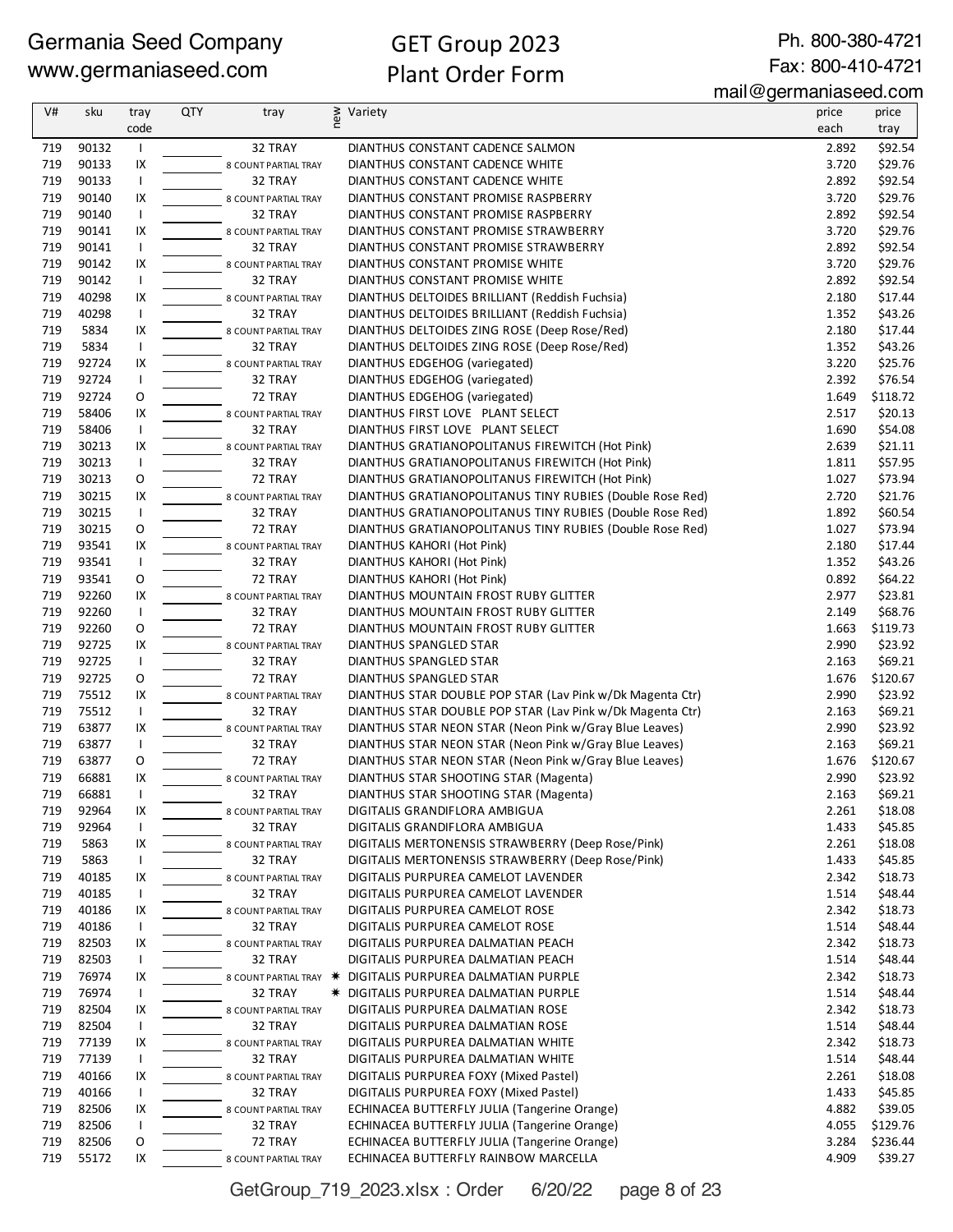Ph. 800-380-4721 Fax: 800-410-4721

mail@germaniaseed.com

| V#  | sku   | tray           | <b>QTY</b> | tray                 | new | Variety                                                    | price | price    |
|-----|-------|----------------|------------|----------------------|-----|------------------------------------------------------------|-------|----------|
|     |       | code           |            |                      |     |                                                            | each  | tray     |
| 719 | 90132 |                |            | 32 TRAY              |     | DIANTHUS CONSTANT CADENCE SALMON                           | 2.892 | \$92.54  |
| 719 | 90133 | IX             |            | 8 COUNT PARTIAL TRAY |     | DIANTHUS CONSTANT CADENCE WHITE                            | 3.720 | \$29.76  |
| 719 | 90133 | $\mathbf{I}$   |            | 32 TRAY              |     | DIANTHUS CONSTANT CADENCE WHITE                            | 2.892 | \$92.54  |
| 719 | 90140 | IX             |            | 8 COUNT PARTIAL TRAY |     | DIANTHUS CONSTANT PROMISE RASPBERRY                        | 3.720 | \$29.76  |
| 719 | 90140 | $\mathbf{I}$   |            | 32 TRAY              |     | DIANTHUS CONSTANT PROMISE RASPBERRY                        | 2.892 | \$92.54  |
| 719 | 90141 | IX             |            | 8 COUNT PARTIAL TRAY |     | DIANTHUS CONSTANT PROMISE STRAWBERRY                       | 3.720 | \$29.76  |
| 719 | 90141 | Τ.             |            | 32 TRAY              |     | DIANTHUS CONSTANT PROMISE STRAWBERRY                       | 2.892 | \$92.54  |
| 719 | 90142 | IX             |            | 8 COUNT PARTIAL TRAY |     | DIANTHUS CONSTANT PROMISE WHITE                            | 3.720 | \$29.76  |
| 719 | 90142 | $\mathsf{I}$   |            | 32 TRAY              |     | DIANTHUS CONSTANT PROMISE WHITE                            | 2.892 | \$92.54  |
| 719 | 40298 | IX             |            | 8 COUNT PARTIAL TRAY |     | DIANTHUS DELTOIDES BRILLIANT (Reddish Fuchsia)             | 2.180 | \$17.44  |
| 719 | 40298 | $\overline{1}$ |            | 32 TRAY              |     | DIANTHUS DELTOIDES BRILLIANT (Reddish Fuchsia)             | 1.352 | \$43.26  |
| 719 | 5834  | IX             |            | 8 COUNT PARTIAL TRAY |     | DIANTHUS DELTOIDES ZING ROSE (Deep Rose/Red)               | 2.180 | \$17.44  |
| 719 | 5834  | $\overline{1}$ |            | 32 TRAY              |     | DIANTHUS DELTOIDES ZING ROSE (Deep Rose/Red)               | 1.352 | \$43.26  |
| 719 | 92724 | IX             |            | 8 COUNT PARTIAL TRAY |     | DIANTHUS EDGEHOG (variegated)                              | 3.220 | \$25.76  |
| 719 | 92724 | $\mathsf{I}$   |            | 32 TRAY              |     | DIANTHUS EDGEHOG (variegated)                              | 2.392 | \$76.54  |
| 719 | 92724 | O              |            | 72 TRAY              |     | DIANTHUS EDGEHOG (variegated)                              | 1.649 | \$118.72 |
| 719 | 58406 | IX             |            | 8 COUNT PARTIAL TRAY |     | DIANTHUS FIRST LOVE PLANT SELECT                           | 2.517 | \$20.13  |
| 719 | 58406 | Τ.             |            | 32 TRAY              |     | DIANTHUS FIRST LOVE PLANT SELECT                           | 1.690 | \$54.08  |
| 719 | 30213 | IX             |            | 8 COUNT PARTIAL TRAY |     | DIANTHUS GRATIANOPOLITANUS FIREWITCH (Hot Pink)            | 2.639 | \$21.11  |
| 719 | 30213 | Τ.             |            | 32 TRAY              |     | DIANTHUS GRATIANOPOLITANUS FIREWITCH (Hot Pink)            | 1.811 | \$57.95  |
| 719 | 30213 | O              |            | 72 TRAY              |     | DIANTHUS GRATIANOPOLITANUS FIREWITCH (Hot Pink)            | 1.027 | \$73.94  |
| 719 | 30215 | IX             |            | 8 COUNT PARTIAL TRAY |     | DIANTHUS GRATIANOPOLITANUS TINY RUBIES (Double Rose Red)   | 2.720 | \$21.76  |
| 719 | 30215 | $\mathsf{I}$   |            | 32 TRAY              |     | DIANTHUS GRATIANOPOLITANUS TINY RUBIES (Double Rose Red)   | 1.892 | \$60.54  |
| 719 | 30215 | O              |            | 72 TRAY              |     | DIANTHUS GRATIANOPOLITANUS TINY RUBIES (Double Rose Red)   | 1.027 | \$73.94  |
| 719 | 93541 | IX             |            | 8 COUNT PARTIAL TRAY |     | DIANTHUS KAHORI (Hot Pink)                                 | 2.180 | \$17.44  |
| 719 | 93541 | $\mathsf{I}$   |            | 32 TRAY              |     | DIANTHUS KAHORI (Hot Pink)                                 | 1.352 | \$43.26  |
| 719 | 93541 | O              |            | 72 TRAY              |     | DIANTHUS KAHORI (Hot Pink)                                 | 0.892 | \$64.22  |
| 719 | 92260 | IX             |            | 8 COUNT PARTIAL TRAY |     | DIANTHUS MOUNTAIN FROST RUBY GLITTER                       | 2.977 | \$23.81  |
| 719 | 92260 | Τ.             |            | 32 TRAY              |     | DIANTHUS MOUNTAIN FROST RUBY GLITTER                       | 2.149 | \$68.76  |
| 719 | 92260 | O              |            | 72 TRAY              |     | DIANTHUS MOUNTAIN FROST RUBY GLITTER                       | 1.663 | \$119.73 |
| 719 | 92725 | IX             |            | 8 COUNT PARTIAL TRAY |     | DIANTHUS SPANGLED STAR                                     | 2.990 | \$23.92  |
| 719 | 92725 | $\mathsf{I}$   |            | 32 TRAY              |     | DIANTHUS SPANGLED STAR                                     | 2.163 | \$69.21  |
| 719 | 92725 | O              |            | 72 TRAY              |     | DIANTHUS SPANGLED STAR                                     | 1.676 | \$120.67 |
| 719 | 75512 | IX             |            | 8 COUNT PARTIAL TRAY |     | DIANTHUS STAR DOUBLE POP STAR (Lav Pink w/Dk Magenta Ctr)  | 2.990 | \$23.92  |
| 719 | 75512 | $\mathsf{I}$   |            | 32 TRAY              |     | DIANTHUS STAR DOUBLE POP STAR (Lav Pink w/Dk Magenta Ctr)  | 2.163 | \$69.21  |
| 719 | 63877 | IX             |            | 8 COUNT PARTIAL TRAY |     | DIANTHUS STAR NEON STAR (Neon Pink w/Gray Blue Leaves)     | 2.990 | \$23.92  |
| 719 | 63877 | $\mathsf{I}$   |            | 32 TRAY              |     | DIANTHUS STAR NEON STAR (Neon Pink w/Gray Blue Leaves)     | 2.163 | \$69.21  |
| 719 | 63877 | O              |            | 72 TRAY              |     | DIANTHUS STAR NEON STAR (Neon Pink w/Gray Blue Leaves)     | 1.676 | \$120.67 |
| 719 | 66881 | IX             |            | 8 COUNT PARTIAL TRAY |     | DIANTHUS STAR SHOOTING STAR (Magenta)                      | 2.990 | \$23.92  |
| 719 | 66881 |                |            | 32 TRAY              |     | DIANTHUS STAR SHOOTING STAR (Magenta)                      | 2.163 | \$69.21  |
| 719 | 92964 | IX             |            | 8 COUNT PARTIAL TRAY |     | DIGITALIS GRANDIFLORA AMBIGUA                              | 2.261 | \$18.08  |
| 719 | 92964 | $\overline{1}$ |            | 32 TRAY              |     | DIGITALIS GRANDIFLORA AMBIGUA                              | 1.433 | \$45.85  |
| 719 | 5863  | IX             |            | 8 COUNT PARTIAL TRAY |     | DIGITALIS MERTONENSIS STRAWBERRY (Deep Rose/Pink)          | 2.261 | \$18.08  |
| 719 | 5863  | $\mathbf{I}$   |            | 32 TRAY              |     | DIGITALIS MERTONENSIS STRAWBERRY (Deep Rose/Pink)          | 1.433 | \$45.85  |
| 719 | 40185 | IX             |            | 8 COUNT PARTIAL TRAY |     | DIGITALIS PURPUREA CAMELOT LAVENDER                        | 2.342 | \$18.73  |
| 719 | 40185 | $\mathsf{I}$   |            | 32 TRAY              |     | DIGITALIS PURPUREA CAMELOT LAVENDER                        | 1.514 | \$48.44  |
| 719 | 40186 | IX             |            | 8 COUNT PARTIAL TRAY |     | DIGITALIS PURPUREA CAMELOT ROSE                            | 2.342 | \$18.73  |
| 719 | 40186 | $\mathsf{I}$   |            | 32 TRAY              |     | DIGITALIS PURPUREA CAMELOT ROSE                            | 1.514 | \$48.44  |
| 719 | 82503 | IX             |            | 8 COUNT PARTIAL TRAY |     | DIGITALIS PURPUREA DALMATIAN PEACH                         | 2.342 | \$18.73  |
| 719 | 82503 | $\mathsf{I}$   |            | 32 TRAY              |     | DIGITALIS PURPUREA DALMATIAN PEACH                         | 1.514 | \$48.44  |
| 719 | 76974 | IX             |            |                      |     | 8 COUNT PARTIAL TRAY * DIGITALIS PURPUREA DALMATIAN PURPLE | 2.342 | \$18.73  |
| 719 | 76974 | $\mathbf{I}$   |            | 32 TRAY              |     | * DIGITALIS PURPUREA DALMATIAN PURPLE                      | 1.514 | \$48.44  |
| 719 | 82504 | IX             |            | 8 COUNT PARTIAL TRAY |     | DIGITALIS PURPUREA DALMATIAN ROSE                          | 2.342 | \$18.73  |
| 719 | 82504 | $\mathbf{I}$   |            | 32 TRAY              |     | DIGITALIS PURPUREA DALMATIAN ROSE                          | 1.514 | \$48.44  |
| 719 | 77139 | IX             |            | 8 COUNT PARTIAL TRAY |     | DIGITALIS PURPUREA DALMATIAN WHITE                         | 2.342 | \$18.73  |
| 719 | 77139 | $\mathbf{I}$   |            | 32 TRAY              |     | DIGITALIS PURPUREA DALMATIAN WHITE                         | 1.514 | \$48.44  |
| 719 | 40166 | IX             |            | 8 COUNT PARTIAL TRAY |     | DIGITALIS PURPUREA FOXY (Mixed Pastel)                     | 2.261 | \$18.08  |
| 719 | 40166 | $\mathsf{I}$   |            | 32 TRAY              |     | DIGITALIS PURPUREA FOXY (Mixed Pastel)                     | 1.433 | \$45.85  |
| 719 | 82506 | IX             |            | 8 COUNT PARTIAL TRAY |     | ECHINACEA BUTTERFLY JULIA (Tangerine Orange)               | 4.882 | \$39.05  |
| 719 | 82506 | $\mathbf{I}$   |            | 32 TRAY              |     | ECHINACEA BUTTERFLY JULIA (Tangerine Orange)               | 4.055 | \$129.76 |
| 719 | 82506 | 0              |            | 72 TRAY              |     | ECHINACEA BUTTERFLY JULIA (Tangerine Orange)               | 3.284 | \$236.44 |
| 719 | 55172 | IX             |            | 8 COUNT PARTIAL TRAY |     | ECHINACEA BUTTERFLY RAINBOW MARCELLA                       | 4.909 | \$39.27  |

GetGroup\_719\_2023.xlsx : Order 6/20/22 page 8 of 23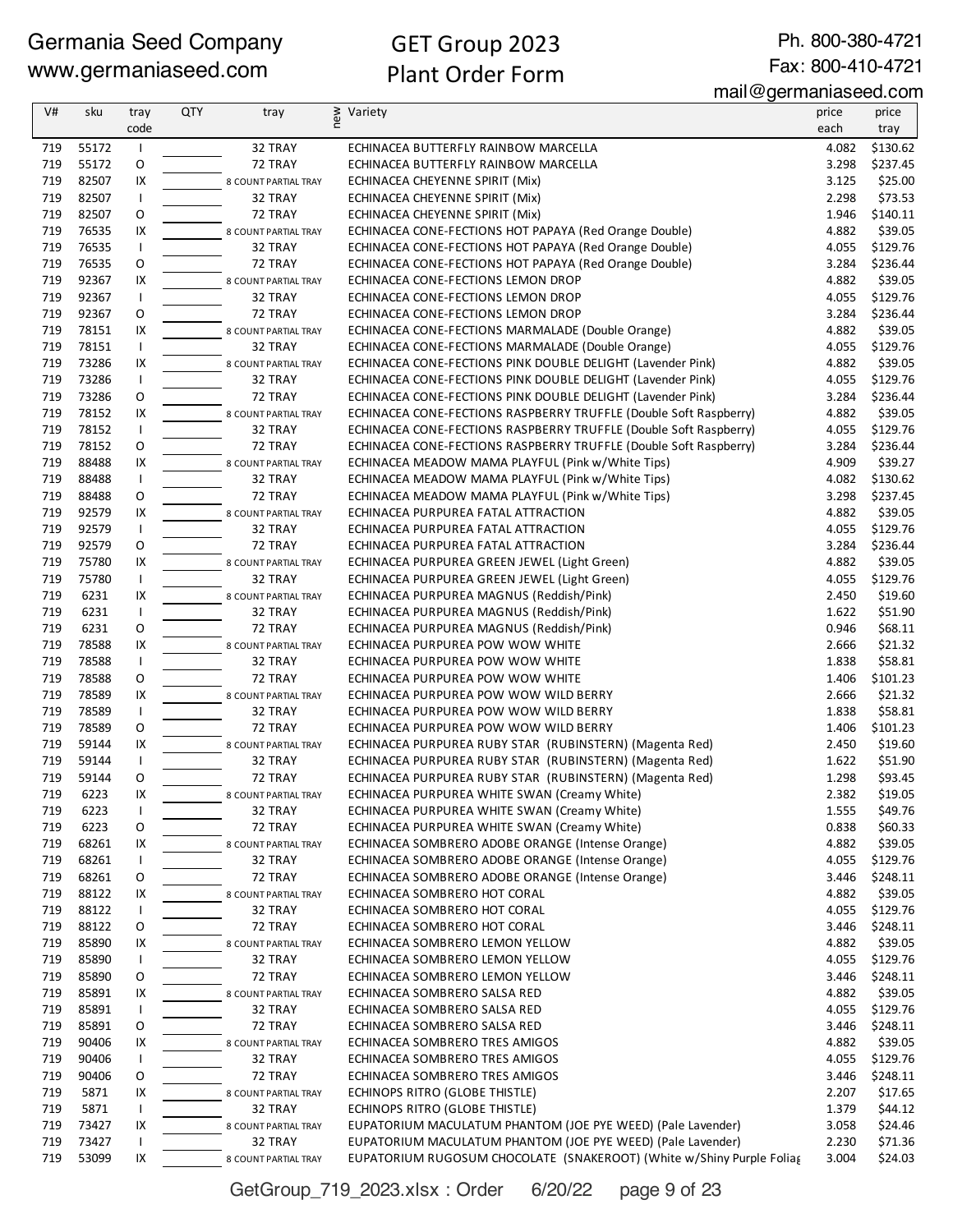Ph. 800-380-4721 Fax: 800-410-4721

mail@germaniaseed.com

| V#         | sku            | tray               | <b>QTY</b> | tray                            | new | Variety                                                                                                            | price          | price               |
|------------|----------------|--------------------|------------|---------------------------------|-----|--------------------------------------------------------------------------------------------------------------------|----------------|---------------------|
|            |                | code               |            |                                 |     |                                                                                                                    | each           | tray                |
| 719        | 55172          | <b>I</b>           |            | 32 TRAY                         |     | ECHINACEA BUTTERFLY RAINBOW MARCELLA                                                                               | 4.082          | \$130.62            |
| 719        | 55172          | O                  |            | 72 TRAY                         |     | ECHINACEA BUTTERFLY RAINBOW MARCELLA                                                                               | 3.298          | \$237.45            |
| 719        | 82507          | IX                 |            | 8 COUNT PARTIAL TRAY            |     | ECHINACEA CHEYENNE SPIRIT (Mix)                                                                                    | 3.125          | \$25.00             |
| 719        | 82507          | $\mathsf{I}$       |            | 32 TRAY                         |     | ECHINACEA CHEYENNE SPIRIT (Mix)                                                                                    | 2.298          | \$73.53             |
| 719        | 82507          | O                  |            | 72 TRAY                         |     | ECHINACEA CHEYENNE SPIRIT (Mix)                                                                                    | 1.946          | \$140.11            |
| 719        | 76535          | IX                 |            | 8 COUNT PARTIAL TRAY            |     | ECHINACEA CONE-FECTIONS HOT PAPAYA (Red Orange Double)                                                             | 4.882          | \$39.05             |
| 719        | 76535          | $\mathbf{I}$       |            | 32 TRAY                         |     | ECHINACEA CONE-FECTIONS HOT PAPAYA (Red Orange Double)                                                             | 4.055          | \$129.76            |
| 719<br>719 | 76535<br>92367 | O                  |            | 72 TRAY                         |     | ECHINACEA CONE-FECTIONS HOT PAPAYA (Red Orange Double)                                                             | 3.284<br>4.882 | \$236.44<br>\$39.05 |
| 719        | 92367          | IX<br>$\mathsf{I}$ |            | 8 COUNT PARTIAL TRAY<br>32 TRAY |     | ECHINACEA CONE-FECTIONS LEMON DROP<br>ECHINACEA CONE-FECTIONS LEMON DROP                                           | 4.055          | \$129.76            |
| 719        | 92367          | O                  |            | 72 TRAY                         |     | ECHINACEA CONE-FECTIONS LEMON DROP                                                                                 | 3.284          | \$236.44            |
| 719        | 78151          | IX                 |            | 8 COUNT PARTIAL TRAY            |     | ECHINACEA CONE-FECTIONS MARMALADE (Double Orange)                                                                  | 4.882          | \$39.05             |
| 719        | 78151          | $\mathsf{I}$       |            | 32 TRAY                         |     | ECHINACEA CONE-FECTIONS MARMALADE (Double Orange)                                                                  | 4.055          | \$129.76            |
| 719        | 73286          | IX                 |            | 8 COUNT PARTIAL TRAY            |     | ECHINACEA CONE-FECTIONS PINK DOUBLE DELIGHT (Lavender Pink)                                                        | 4.882          | \$39.05             |
| 719        | 73286          | $\mathsf{I}$       |            | 32 TRAY                         |     | ECHINACEA CONE-FECTIONS PINK DOUBLE DELIGHT (Lavender Pink)                                                        | 4.055          | \$129.76            |
| 719        | 73286          | O                  |            | 72 TRAY                         |     | ECHINACEA CONE-FECTIONS PINK DOUBLE DELIGHT (Lavender Pink)                                                        | 3.284          | \$236.44            |
| 719        | 78152          | IX                 |            | 8 COUNT PARTIAL TRAY            |     | ECHINACEA CONE-FECTIONS RASPBERRY TRUFFLE (Double Soft Raspberry)                                                  | 4.882          | \$39.05             |
| 719        | 78152          | $\mathsf{I}$       |            | 32 TRAY                         |     | ECHINACEA CONE-FECTIONS RASPBERRY TRUFFLE (Double Soft Raspberry)                                                  | 4.055          | \$129.76            |
| 719        | 78152          | O                  |            | 72 TRAY                         |     | ECHINACEA CONE-FECTIONS RASPBERRY TRUFFLE (Double Soft Raspberry)                                                  | 3.284          | \$236.44            |
| 719        | 88488          | IX                 |            | 8 COUNT PARTIAL TRAY            |     | ECHINACEA MEADOW MAMA PLAYFUL (Pink w/White Tips)                                                                  | 4.909          | \$39.27             |
| 719        | 88488          | $\mathsf{I}$       |            | 32 TRAY                         |     | ECHINACEA MEADOW MAMA PLAYFUL (Pink w/White Tips)                                                                  | 4.082          | \$130.62            |
| 719        | 88488          | O                  |            | 72 TRAY                         |     | ECHINACEA MEADOW MAMA PLAYFUL (Pink w/White Tips)                                                                  | 3.298          | \$237.45            |
| 719        | 92579          | IX                 |            | 8 COUNT PARTIAL TRAY            |     | ECHINACEA PURPUREA FATAL ATTRACTION                                                                                | 4.882          | \$39.05             |
| 719        | 92579          | $\mathsf{I}$       |            | 32 TRAY                         |     | ECHINACEA PURPUREA FATAL ATTRACTION                                                                                | 4.055          | \$129.76            |
| 719<br>719 | 92579<br>75780 | O<br>IX            |            | 72 TRAY                         |     | ECHINACEA PURPUREA FATAL ATTRACTION                                                                                | 3.284<br>4.882 | \$236.44<br>\$39.05 |
| 719        | 75780          | $\mathsf{I}$       |            | 8 COUNT PARTIAL TRAY<br>32 TRAY |     | ECHINACEA PURPUREA GREEN JEWEL (Light Green)<br>ECHINACEA PURPUREA GREEN JEWEL (Light Green)                       | 4.055          | \$129.76            |
| 719        | 6231           | IX                 |            | 8 COUNT PARTIAL TRAY            |     | ECHINACEA PURPUREA MAGNUS (Reddish/Pink)                                                                           | 2.450          | \$19.60             |
| 719        | 6231           | $\mathsf{I}$       |            | 32 TRAY                         |     | ECHINACEA PURPUREA MAGNUS (Reddish/Pink)                                                                           | 1.622          | \$51.90             |
| 719        | 6231           | O                  |            | 72 TRAY                         |     | ECHINACEA PURPUREA MAGNUS (Reddish/Pink)                                                                           | 0.946          | \$68.11             |
| 719        | 78588          | IX                 |            | 8 COUNT PARTIAL TRAY            |     | ECHINACEA PURPUREA POW WOW WHITE                                                                                   | 2.666          | \$21.32             |
| 719        | 78588          | $\mathsf{I}$       |            | 32 TRAY                         |     | ECHINACEA PURPUREA POW WOW WHITE                                                                                   | 1.838          | \$58.81             |
| 719        | 78588          | O                  |            | 72 TRAY                         |     | ECHINACEA PURPUREA POW WOW WHITE                                                                                   | 1.406          | \$101.23            |
| 719        | 78589          | IX                 |            | 8 COUNT PARTIAL TRAY            |     | ECHINACEA PURPUREA POW WOW WILD BERRY                                                                              | 2.666          | \$21.32             |
| 719        | 78589          | $\overline{1}$     |            | 32 TRAY                         |     | ECHINACEA PURPUREA POW WOW WILD BERRY                                                                              | 1.838          | \$58.81             |
| 719        | 78589          | O                  |            | 72 TRAY                         |     | ECHINACEA PURPUREA POW WOW WILD BERRY                                                                              | 1.406          | \$101.23            |
| 719<br>719 | 59144<br>59144 | IX<br>$\mathsf{I}$ |            | 8 COUNT PARTIAL TRAY<br>32 TRAY |     | ECHINACEA PURPUREA RUBY STAR (RUBINSTERN) (Magenta Red)<br>ECHINACEA PURPUREA RUBY STAR (RUBINSTERN) (Magenta Red) | 2.450<br>1.622 | \$19.60<br>\$51.90  |
| 719        | 59144          | O                  |            | 72 TRAY                         |     | ECHINACEA PURPUREA RUBY STAR (RUBINSTERN) (Magenta Red)                                                            | 1.298          | \$93.45             |
| 719        | 6223           | IX                 |            | 8 COUNT PARTIAL TRAY            |     | ECHINACEA PURPUREA WHITE SWAN (Creamy White)                                                                       | 2.382          | \$19.05             |
| 719        | 6223           |                    |            | 32 TRAY                         |     | ECHINACEA PURPUREA WHITE SWAN (Creamy White)                                                                       | 1.555          | \$49.76             |
| 719        | 6223           | 0                  |            | 72 TRAY                         |     | ECHINACEA PURPUREA WHITE SWAN (Creamy White)                                                                       | 0.838          | \$60.33             |
| 719        | 68261          | IX                 |            | 8 COUNT PARTIAL TRAY            |     | ECHINACEA SOMBRERO ADOBE ORANGE (Intense Orange)                                                                   | 4.882          | \$39.05             |
| 719        | 68261          |                    |            | 32 TRAY                         |     | ECHINACEA SOMBRERO ADOBE ORANGE (Intense Orange)                                                                   | 4.055          | \$129.76            |
| 719        | 68261          | O                  |            | 72 TRAY                         |     | ECHINACEA SOMBRERO ADOBE ORANGE (Intense Orange)                                                                   | 3.446          | \$248.11            |
| 719        | 88122          | IX                 |            | 8 COUNT PARTIAL TRAY            |     | ECHINACEA SOMBRERO HOT CORAL                                                                                       | 4.882          | \$39.05             |
| 719        | 88122          | $\mathbf{I}$       |            | 32 TRAY                         |     | ECHINACEA SOMBRERO HOT CORAL                                                                                       | 4.055          | \$129.76            |
| 719        | 88122          | 0                  |            | 72 TRAY                         |     | ECHINACEA SOMBRERO HOT CORAL                                                                                       | 3.446          | \$248.11            |
| 719<br>719 | 85890<br>85890 | IX<br>$\mathbf{I}$ |            | 8 COUNT PARTIAL TRAY<br>32 TRAY |     | ECHINACEA SOMBRERO LEMON YELLOW<br>ECHINACEA SOMBRERO LEMON YELLOW                                                 | 4.882<br>4.055 | \$39.05<br>\$129.76 |
| 719        | 85890          | O                  |            | 72 TRAY                         |     | ECHINACEA SOMBRERO LEMON YELLOW                                                                                    | 3.446          | \$248.11            |
| 719        | 85891          | IX                 |            | 8 COUNT PARTIAL TRAY            |     | ECHINACEA SOMBRERO SALSA RED                                                                                       | 4.882          | \$39.05             |
| 719        | 85891          | $\mathbf{I}$       |            | 32 TRAY                         |     | ECHINACEA SOMBRERO SALSA RED                                                                                       | 4.055          | \$129.76            |
| 719        | 85891          | O                  |            | 72 TRAY                         |     | ECHINACEA SOMBRERO SALSA RED                                                                                       | 3.446          | \$248.11            |
| 719        | 90406          | IX                 |            | 8 COUNT PARTIAL TRAY            |     | ECHINACEA SOMBRERO TRES AMIGOS                                                                                     | 4.882          | \$39.05             |
| 719        | 90406          | $\mathbf{I}$       |            | 32 TRAY                         |     | ECHINACEA SOMBRERO TRES AMIGOS                                                                                     | 4.055          | \$129.76            |
| 719        | 90406          | O                  |            | 72 TRAY                         |     | ECHINACEA SOMBRERO TRES AMIGOS                                                                                     | 3.446          | \$248.11            |
| 719        | 5871           | IX                 |            | 8 COUNT PARTIAL TRAY            |     | ECHINOPS RITRO (GLOBE THISTLE)                                                                                     | 2.207          | \$17.65             |
| 719        | 5871           | ı                  |            | 32 TRAY                         |     | ECHINOPS RITRO (GLOBE THISTLE)                                                                                     | 1.379          | \$44.12             |
| 719        | 73427          | IX                 |            | 8 COUNT PARTIAL TRAY            |     | EUPATORIUM MACULATUM PHANTOM (JOE PYE WEED) (Pale Lavender)                                                        | 3.058          | \$24.46             |
| 719        | 73427          |                    |            | 32 TRAY                         |     | EUPATORIUM MACULATUM PHANTOM (JOE PYE WEED) (Pale Lavender)                                                        | 2.230          | \$71.36             |
| 719        | 53099          | IX                 |            | 8 COUNT PARTIAL TRAY            |     | EUPATORIUM RUGOSUM CHOCOLATE (SNAKEROOT) (White w/Shiny Purple Foliag                                              | 3.004          | \$24.03             |

GetGroup\_719\_2023.xlsx : Order 6/20/22 page 9 of 23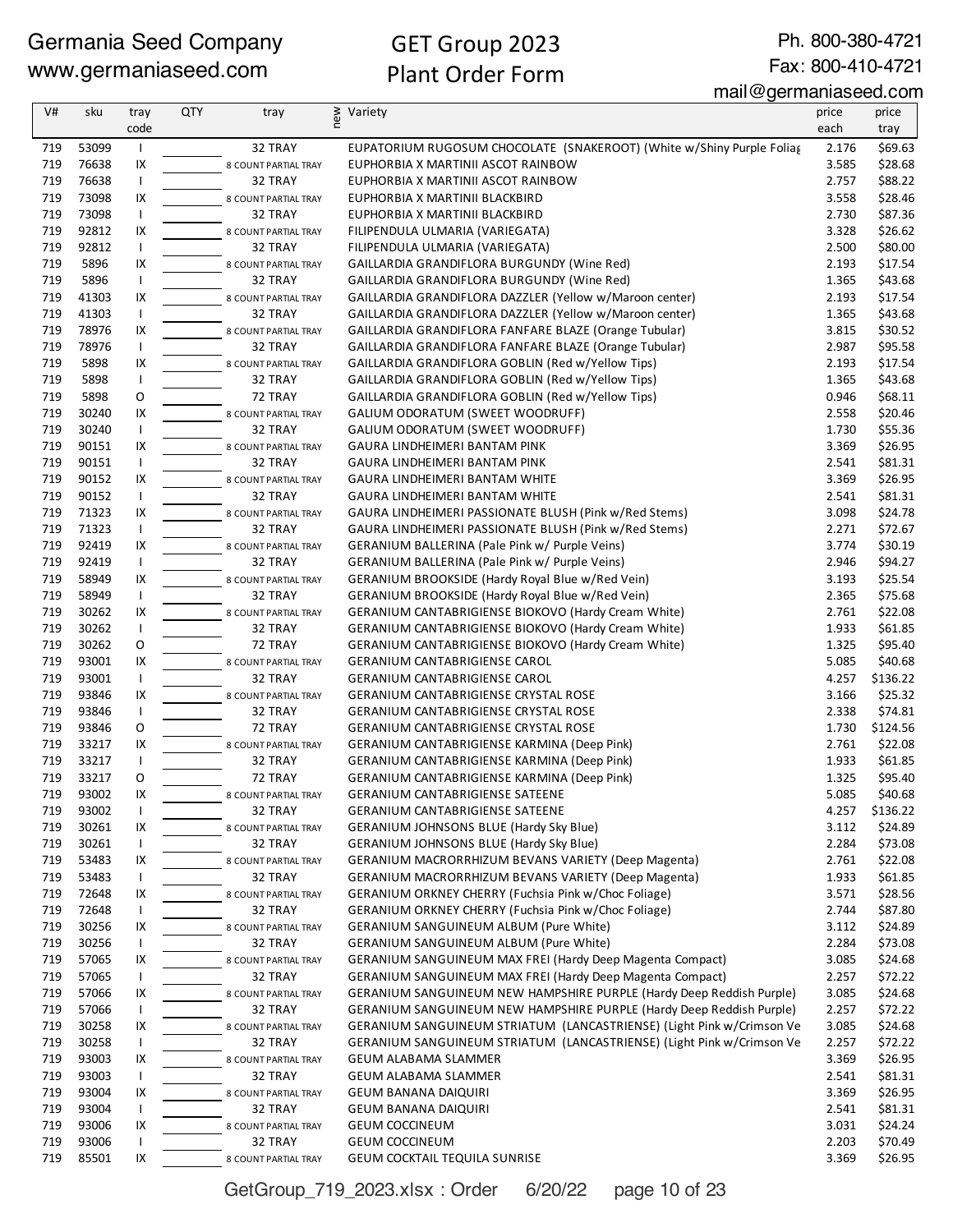Ph. 800-380-4721 Fax: 800-410-4721

#### mail@germaniaseed.com

| V#  | sku   | tray           | QTY | tray                 | new | Variety                                                               | price | price    |
|-----|-------|----------------|-----|----------------------|-----|-----------------------------------------------------------------------|-------|----------|
|     |       | code           |     |                      |     |                                                                       | each  | tray     |
| 719 | 53099 | $\mathbf{I}$   |     | 32 TRAY              |     | EUPATORIUM RUGOSUM CHOCOLATE (SNAKEROOT) (White w/Shiny Purple Foliag | 2.176 | \$69.63  |
| 719 | 76638 | IX             |     | 8 COUNT PARTIAL TRAY |     | EUPHORBIA X MARTINII ASCOT RAINBOW                                    | 3.585 | \$28.68  |
| 719 | 76638 | $\mathbf{I}$   |     | 32 TRAY              |     | EUPHORBIA X MARTINII ASCOT RAINBOW                                    | 2.757 | \$88.22  |
| 719 | 73098 | IX             |     | 8 COUNT PARTIAL TRAY |     | EUPHORBIA X MARTINII BLACKBIRD                                        | 3.558 | \$28.46  |
| 719 | 73098 | $\mathsf{I}$   |     | 32 TRAY              |     | EUPHORBIA X MARTINII BLACKBIRD                                        | 2.730 | \$87.36  |
| 719 | 92812 | IX             |     | 8 COUNT PARTIAL TRAY |     | FILIPENDULA ULMARIA (VARIEGATA)                                       | 3.328 | \$26.62  |
| 719 | 92812 | $\mathbf{I}$   |     | 32 TRAY              |     | FILIPENDULA ULMARIA (VARIEGATA)                                       | 2.500 | \$80.00  |
| 719 | 5896  | IX             |     | 8 COUNT PARTIAL TRAY |     | GAILLARDIA GRANDIFLORA BURGUNDY (Wine Red)                            | 2.193 | \$17.54  |
| 719 | 5896  | $\mathbf{I}$   |     | 32 TRAY              |     | GAILLARDIA GRANDIFLORA BURGUNDY (Wine Red)                            | 1.365 | \$43.68  |
| 719 | 41303 | IX             |     | 8 COUNT PARTIAL TRAY |     | GAILLARDIA GRANDIFLORA DAZZLER (Yellow w/Maroon center)               | 2.193 | \$17.54  |
| 719 | 41303 | $\mathbf{I}$   |     | 32 TRAY              |     | GAILLARDIA GRANDIFLORA DAZZLER (Yellow w/Maroon center)               | 1.365 | \$43.68  |
| 719 | 78976 | IX             |     | 8 COUNT PARTIAL TRAY |     | GAILLARDIA GRANDIFLORA FANFARE BLAZE (Orange Tubular)                 | 3.815 | \$30.52  |
| 719 | 78976 | $\mathsf{I}$   |     | 32 TRAY              |     | GAILLARDIA GRANDIFLORA FANFARE BLAZE (Orange Tubular)                 | 2.987 | \$95.58  |
| 719 | 5898  | IX             |     | 8 COUNT PARTIAL TRAY |     | GAILLARDIA GRANDIFLORA GOBLIN (Red w/Yellow Tips)                     | 2.193 | \$17.54  |
| 719 | 5898  | $\mathbf{I}$   |     | 32 TRAY              |     | GAILLARDIA GRANDIFLORA GOBLIN (Red w/Yellow Tips)                     | 1.365 | \$43.68  |
| 719 | 5898  | O              |     | 72 TRAY              |     | GAILLARDIA GRANDIFLORA GOBLIN (Red w/Yellow Tips)                     | 0.946 | \$68.11  |
| 719 | 30240 | IX             |     | 8 COUNT PARTIAL TRAY |     | GALIUM ODORATUM (SWEET WOODRUFF)                                      | 2.558 | \$20.46  |
| 719 | 30240 | $\mathbf{I}$   |     | 32 TRAY              |     | GALIUM ODORATUM (SWEET WOODRUFF)                                      | 1.730 | \$55.36  |
| 719 | 90151 | IX             |     | 8 COUNT PARTIAL TRAY |     | GAURA LINDHEIMERI BANTAM PINK                                         | 3.369 | \$26.95  |
| 719 | 90151 | $\mathbf{I}$   |     | 32 TRAY              |     | GAURA LINDHEIMERI BANTAM PINK                                         | 2.541 | \$81.31  |
| 719 | 90152 | IX             |     | 8 COUNT PARTIAL TRAY |     | GAURA LINDHEIMERI BANTAM WHITE                                        | 3.369 | \$26.95  |
| 719 | 90152 | $\mathbf{I}$   |     | 32 TRAY              |     | GAURA LINDHEIMERI BANTAM WHITE                                        | 2.541 | \$81.31  |
| 719 | 71323 | IX             |     | 8 COUNT PARTIAL TRAY |     | GAURA LINDHEIMERI PASSIONATE BLUSH (Pink w/Red Stems)                 | 3.098 | \$24.78  |
| 719 | 71323 | $\mathbf{I}$   |     | 32 TRAY              |     | GAURA LINDHEIMERI PASSIONATE BLUSH (Pink w/Red Stems)                 | 2.271 | \$72.67  |
| 719 | 92419 | IX             |     | 8 COUNT PARTIAL TRAY |     | GERANIUM BALLERINA (Pale Pink w/ Purple Veins)                        | 3.774 | \$30.19  |
| 719 | 92419 | $\mathbf{I}$   |     | 32 TRAY              |     | GERANIUM BALLERINA (Pale Pink w/ Purple Veins)                        | 2.946 | \$94.27  |
| 719 | 58949 | IX             |     | 8 COUNT PARTIAL TRAY |     | GERANIUM BROOKSIDE (Hardy Royal Blue w/Red Vein)                      | 3.193 | \$25.54  |
| 719 | 58949 | $\overline{1}$ |     | 32 TRAY              |     | GERANIUM BROOKSIDE (Hardy Royal Blue w/Red Vein)                      | 2.365 | \$75.68  |
| 719 | 30262 | IX             |     | 8 COUNT PARTIAL TRAY |     | <b>GERANIUM CANTABRIGIENSE BIOKOVO (Hardy Cream White)</b>            | 2.761 | \$22.08  |
| 719 | 30262 | $\mathbf{I}$   |     | 32 TRAY              |     | <b>GERANIUM CANTABRIGIENSE BIOKOVO (Hardy Cream White)</b>            | 1.933 | \$61.85  |
| 719 | 30262 | O              |     | 72 TRAY              |     | <b>GERANIUM CANTABRIGIENSE BIOKOVO (Hardy Cream White)</b>            | 1.325 | \$95.40  |
| 719 | 93001 | IX             |     | 8 COUNT PARTIAL TRAY |     | <b>GERANIUM CANTABRIGIENSE CAROL</b>                                  | 5.085 | \$40.68  |
| 719 | 93001 | $\mathbf{I}$   |     | 32 TRAY              |     | <b>GERANIUM CANTABRIGIENSE CAROL</b>                                  | 4.257 | \$136.22 |
| 719 | 93846 | IX             |     | 8 COUNT PARTIAL TRAY |     | <b>GERANIUM CANTABRIGIENSE CRYSTAL ROSE</b>                           | 3.166 | \$25.32  |
| 719 | 93846 | $\mathsf{I}$   |     | 32 TRAY              |     | <b>GERANIUM CANTABRIGIENSE CRYSTAL ROSE</b>                           | 2.338 | \$74.81  |
| 719 | 93846 | O              |     | 72 TRAY              |     | <b>GERANIUM CANTABRIGIENSE CRYSTAL ROSE</b>                           | 1.730 | \$124.56 |
| 719 | 33217 | IX             |     | 8 COUNT PARTIAL TRAY |     | <b>GERANIUM CANTABRIGIENSE KARMINA (Deep Pink)</b>                    | 2.761 | \$22.08  |
| 719 | 33217 | $\mathsf{I}$   |     | 32 TRAY              |     | GERANIUM CANTABRIGIENSE KARMINA (Deep Pink)                           | 1.933 | \$61.85  |
| 719 | 33217 | O              |     | 72 TRAY              |     | GERANIUM CANTABRIGIENSE KARMINA (Deep Pink)                           | 1.325 | \$95.40  |
| 719 | 93002 | IX             |     | 8 COUNT PARTIAL TRAY |     | GERANIUM CANTABRIGIENSE SATEENE                                       | 5.085 | \$40.68  |
| 719 | 93002 | $\mathbf{I}$   |     | 32 TRAY              |     | <b>GERANIUM CANTABRIGIENSE SATEENE</b>                                | 4.257 | \$136.22 |
| 719 | 30261 | IX             |     | 8 COUNT PARTIAL TRAY |     | <b>GERANIUM JOHNSONS BLUE (Hardy Sky Blue)</b>                        | 3.112 | \$24.89  |
| 719 | 30261 | $\mathbf{I}$   |     | 32 TRAY              |     | <b>GERANIUM JOHNSONS BLUE (Hardy Sky Blue)</b>                        | 2.284 | \$73.08  |
| 719 | 53483 | IX             |     | 8 COUNT PARTIAL TRAY |     | <b>GERANIUM MACRORRHIZUM BEVANS VARIETY (Deep Magenta)</b>            | 2.761 | \$22.08  |
| 719 | 53483 | $\mathbf{I}$   |     | 32 TRAY              |     | <b>GERANIUM MACRORRHIZUM BEVANS VARIETY (Deep Magenta)</b>            | 1.933 | \$61.85  |
| 719 | 72648 | IX             |     | 8 COUNT PARTIAL TRAY |     | GERANIUM ORKNEY CHERRY (Fuchsia Pink w/Choc Foliage)                  | 3.571 | \$28.56  |
| 719 | 72648 |                |     | 32 TRAY              |     | <b>GERANIUM ORKNEY CHERRY (Fuchsia Pink w/Choc Foliage)</b>           | 2.744 | \$87.80  |
| 719 | 30256 | IX             |     | 8 COUNT PARTIAL TRAY |     | <b>GERANIUM SANGUINEUM ALBUM (Pure White)</b>                         | 3.112 | \$24.89  |
| 719 | 30256 | $\mathbf{I}$   |     | 32 TRAY              |     | <b>GERANIUM SANGUINEUM ALBUM (Pure White)</b>                         | 2.284 | \$73.08  |
| 719 | 57065 | IX             |     | 8 COUNT PARTIAL TRAY |     | <b>GERANIUM SANGUINEUM MAX FREI (Hardy Deep Magenta Compact)</b>      | 3.085 | \$24.68  |
| 719 | 57065 | $\mathbf{I}$   |     | 32 TRAY              |     | <b>GERANIUM SANGUINEUM MAX FREI (Hardy Deep Magenta Compact)</b>      | 2.257 | \$72.22  |
| 719 | 57066 | IX             |     | 8 COUNT PARTIAL TRAY |     | GERANIUM SANGUINEUM NEW HAMPSHIRE PURPLE (Hardy Deep Reddish Purple)  | 3.085 | \$24.68  |
| 719 | 57066 | $\mathbf{I}$   |     | 32 TRAY              |     | GERANIUM SANGUINEUM NEW HAMPSHIRE PURPLE (Hardy Deep Reddish Purple)  | 2.257 | \$72.22  |
| 719 | 30258 | IX             |     | 8 COUNT PARTIAL TRAY |     | GERANIUM SANGUINEUM STRIATUM (LANCASTRIENSE) (Light Pink w/Crimson Ve | 3.085 | \$24.68  |
| 719 | 30258 | $\mathbf{I}$   |     | 32 TRAY              |     | GERANIUM SANGUINEUM STRIATUM (LANCASTRIENSE) (Light Pink w/Crimson Ve | 2.257 | \$72.22  |
| 719 | 93003 | IX             |     | 8 COUNT PARTIAL TRAY |     | GEUM ALABAMA SLAMMER                                                  | 3.369 | \$26.95  |
| 719 | 93003 | $\mathbf{I}$   |     | 32 TRAY              |     | <b>GEUM ALABAMA SLAMMER</b>                                           | 2.541 | \$81.31  |
| 719 | 93004 | IX             |     | 8 COUNT PARTIAL TRAY |     | <b>GEUM BANANA DAIQUIRI</b>                                           | 3.369 | \$26.95  |
| 719 | 93004 | $\mathbf{I}$   |     | 32 TRAY              |     | GEUM BANANA DAIQUIRI                                                  | 2.541 | \$81.31  |
| 719 | 93006 | IX             |     | 8 COUNT PARTIAL TRAY |     | <b>GEUM COCCINEUM</b>                                                 | 3.031 | \$24.24  |
| 719 | 93006 | $\mathbf{I}$   |     | 32 TRAY              |     | <b>GEUM COCCINEUM</b>                                                 | 2.203 | \$70.49  |
| 719 | 85501 | IX             |     | 8 COUNT PARTIAL TRAY |     | <b>GEUM COCKTAIL TEQUILA SUNRISE</b>                                  | 3.369 | \$26.95  |

GetGroup\_719\_2023.xlsx : Order 6/20/22 page 10 of 23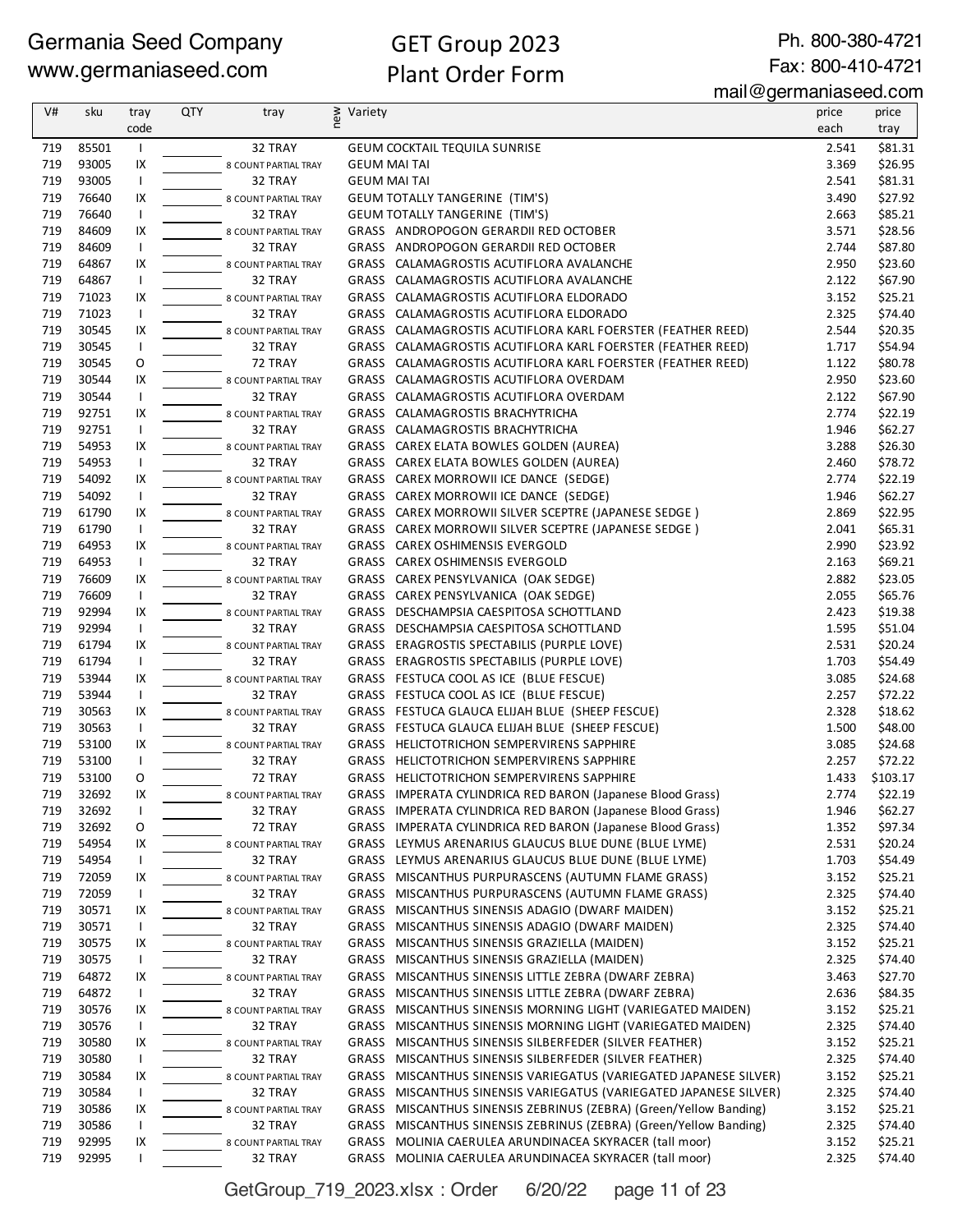# GET Group 2023 Plant Order Form

Ph. 800-380-4721 Fax: 800-410-4721

mail@germaniaseed.com

| V#         | sku            | tray                 | <b>QTY</b> | tray                            | new<br>Variety                                                                                                              | price          | price              |
|------------|----------------|----------------------|------------|---------------------------------|-----------------------------------------------------------------------------------------------------------------------------|----------------|--------------------|
|            |                | code                 |            |                                 |                                                                                                                             | each           | tray               |
| 719        | 85501          | $\mathbf{I}$         |            | 32 TRAY                         | <b>GEUM COCKTAIL TEQUILA SUNRISE</b>                                                                                        | 2.541          | \$81.31            |
| 719        | 93005          | IX                   |            | 8 COUNT PARTIAL TRAY            | <b>GEUM MAI TAI</b>                                                                                                         | 3.369          | \$26.95            |
| 719        | 93005          | $\mathbf{I}$         |            | 32 TRAY                         | <b>GEUM MAI TAI</b>                                                                                                         | 2.541          | \$81.31            |
| 719        | 76640          | IX                   |            | 8 COUNT PARTIAL TRAY            | <b>GEUM TOTALLY TANGERINE (TIM'S)</b>                                                                                       | 3.490          | \$27.92            |
| 719        | 76640          | $\mathbf{I}$         |            | 32 TRAY                         | <b>GEUM TOTALLY TANGERINE (TIM'S)</b>                                                                                       | 2.663          | \$85.21            |
| 719        | 84609          | IX                   |            | 8 COUNT PARTIAL TRAY            | GRASS ANDROPOGON GERARDII RED OCTOBER                                                                                       | 3.571          | \$28.56            |
| 719        | 84609          | $\mathbf{I}$         |            | 32 TRAY                         | GRASS ANDROPOGON GERARDII RED OCTOBER                                                                                       | 2.744          | \$87.80            |
| 719        | 64867          | IX                   |            | 8 COUNT PARTIAL TRAY            | GRASS CALAMAGROSTIS ACUTIFLORA AVALANCHE                                                                                    | 2.950          | \$23.60            |
| 719        | 64867          | $\mathbf{I}$         |            | 32 TRAY                         | GRASS CALAMAGROSTIS ACUTIFLORA AVALANCHE                                                                                    | 2.122          | \$67.90            |
| 719        | 71023          | IX                   |            | 8 COUNT PARTIAL TRAY            | GRASS CALAMAGROSTIS ACUTIFLORA ELDORADO                                                                                     | 3.152          | \$25.21            |
| 719        | 71023          | $\overline{1}$       |            | 32 TRAY                         | GRASS CALAMAGROSTIS ACUTIFLORA ELDORADO                                                                                     | 2.325          | \$74.40            |
| 719        | 30545          | IX                   |            | 8 COUNT PARTIAL TRAY            | GRASS CALAMAGROSTIS ACUTIFLORA KARL FOERSTER (FEATHER REED)                                                                 | 2.544          | \$20.35            |
| 719        | 30545          | $\mathbf{I}$         |            | 32 TRAY                         | GRASS CALAMAGROSTIS ACUTIFLORA KARL FOERSTER (FEATHER REED)                                                                 | 1.717          | \$54.94            |
| 719        | 30545          | O                    |            | 72 TRAY                         | GRASS CALAMAGROSTIS ACUTIFLORA KARL FOERSTER (FEATHER REED)                                                                 | 1.122          | \$80.78            |
| 719        | 30544          | IX                   |            | 8 COUNT PARTIAL TRAY            | GRASS CALAMAGROSTIS ACUTIFLORA OVERDAM                                                                                      | 2.950          | \$23.60            |
| 719        | 30544          | $\mathbf{I}$         |            | 32 TRAY                         | GRASS CALAMAGROSTIS ACUTIFLORA OVERDAM                                                                                      | 2.122          | \$67.90            |
| 719        | 92751          | IX                   |            | 8 COUNT PARTIAL TRAY            | GRASS CALAMAGROSTIS BRACHYTRICHA                                                                                            | 2.774          | \$22.19            |
| 719        | 92751          | $\mathbf{I}$         |            | 32 TRAY                         | GRASS CALAMAGROSTIS BRACHYTRICHA                                                                                            | 1.946          | \$62.27            |
| 719        | 54953          | IX                   |            | 8 COUNT PARTIAL TRAY            | GRASS CAREX ELATA BOWLES GOLDEN (AUREA)                                                                                     | 3.288          | \$26.30            |
| 719<br>719 | 54953          | $\overline{1}$       |            | 32 TRAY                         | GRASS CAREX ELATA BOWLES GOLDEN (AUREA)                                                                                     | 2.460          | \$78.72            |
|            | 54092          | IX                   |            | 8 COUNT PARTIAL TRAY            | GRASS CAREX MORROWII ICE DANCE (SEDGE)<br>GRASS CAREX MORROWII ICE DANCE (SEDGE)                                            | 2.774          | \$22.19            |
| 719<br>719 | 54092<br>61790 | $\overline{1}$<br>IX |            | 32 TRAY                         | GRASS CAREX MORROWII SILVER SCEPTRE (JAPANESE SEDGE)                                                                        | 1.946<br>2.869 | \$62.27<br>\$22.95 |
| 719        | 61790          | $\mathbf{I}$         |            | 8 COUNT PARTIAL TRAY<br>32 TRAY | GRASS CAREX MORROWII SILVER SCEPTRE (JAPANESE SEDGE)                                                                        | 2.041          | \$65.31            |
| 719        | 64953          | IX                   |            | 8 COUNT PARTIAL TRAY            | <b>GRASS CAREX OSHIMENSIS EVERGOLD</b>                                                                                      | 2.990          | \$23.92            |
| 719        | 64953          | $\mathbf{I}$         |            | 32 TRAY                         | GRASS CAREX OSHIMENSIS EVERGOLD                                                                                             | 2.163          | \$69.21            |
| 719        | 76609          | IX                   |            | 8 COUNT PARTIAL TRAY            | GRASS CAREX PENSYLVANICA (OAK SEDGE)                                                                                        | 2.882          | \$23.05            |
| 719        | 76609          | $\overline{1}$       |            | 32 TRAY                         | GRASS CAREX PENSYLVANICA (OAK SEDGE)                                                                                        | 2.055          | \$65.76            |
| 719        | 92994          | IX                   |            | 8 COUNT PARTIAL TRAY            | GRASS DESCHAMPSIA CAESPITOSA SCHOTTLAND                                                                                     | 2.423          | \$19.38            |
| 719        | 92994          | $\overline{1}$       |            | 32 TRAY                         | GRASS DESCHAMPSIA CAESPITOSA SCHOTTLAND                                                                                     | 1.595          | \$51.04            |
| 719        | 61794          | IX                   |            | 8 COUNT PARTIAL TRAY            | GRASS ERAGROSTIS SPECTABILIS (PURPLE LOVE)                                                                                  | 2.531          | \$20.24            |
| 719        | 61794          | $\mathbf{I}$         |            | 32 TRAY                         | GRASS ERAGROSTIS SPECTABILIS (PURPLE LOVE)                                                                                  | 1.703          | \$54.49            |
| 719        | 53944          | IX                   |            | 8 COUNT PARTIAL TRAY            | GRASS FESTUCA COOL AS ICE (BLUE FESCUE)                                                                                     | 3.085          | \$24.68            |
| 719        | 53944          | $\mathbf{I}$         |            | 32 TRAY                         | GRASS FESTUCA COOL AS ICE (BLUE FESCUE)                                                                                     | 2.257          | \$72.22            |
| 719        | 30563          | IX                   |            | 8 COUNT PARTIAL TRAY            | GRASS FESTUCA GLAUCA ELIJAH BLUE (SHEEP FESCUE)                                                                             | 2.328          | \$18.62            |
| 719        | 30563          | $\mathbf{I}$         |            | 32 TRAY                         | GRASS FESTUCA GLAUCA ELIJAH BLUE (SHEEP FESCUE)                                                                             | 1.500          | \$48.00            |
| 719        | 53100          | IX                   |            | 8 COUNT PARTIAL TRAY            | GRASS HELICTOTRICHON SEMPERVIRENS SAPPHIRE                                                                                  | 3.085          | \$24.68            |
| 719        | 53100          | Τ.                   |            | 32 TRAY                         | GRASS HELICTOTRICHON SEMPERVIRENS SAPPHIRE                                                                                  | 2.257          | \$72.22            |
| 719        | 53100          | O                    |            | 72 TRAY                         | GRASS HELICTOTRICHON SEMPERVIRENS SAPPHIRE                                                                                  | 1.433          | \$103.17           |
| 719        | 32692          | IX                   |            | 8 COUNT PARTIAL TRAY            | GRASS IMPERATA CYLINDRICA RED BARON (Japanese Blood Grass)                                                                  | 2.774          | \$22.19            |
| 719        | 32692          | $\mathbf{I}$         |            | 32 TRAY                         | GRASS IMPERATA CYLINDRICA RED BARON (Japanese Blood Grass)                                                                  | 1.946          | \$62.27            |
| 719        | 32692          | 0                    |            | 72 TRAY                         | GRASS IMPERATA CYLINDRICA RED BARON (Japanese Blood Grass)                                                                  | 1.352          | \$97.34            |
| 719        | 54954          | IX                   |            | 8 COUNT PARTIAL TRAY            | GRASS LEYMUS ARENARIUS GLAUCUS BLUE DUNE (BLUE LYME)                                                                        | 2.531          | \$20.24            |
| 719        | 54954          | $\mathbf{I}$         |            | 32 TRAY                         | GRASS LEYMUS ARENARIUS GLAUCUS BLUE DUNE (BLUE LYME)                                                                        | 1.703          | \$54.49            |
| 719        | 72059          | IX                   |            | 8 COUNT PARTIAL TRAY            | GRASS MISCANTHUS PURPURASCENS (AUTUMN FLAME GRASS)                                                                          | 3.152          | \$25.21            |
| 719        | 72059          | $\mathbf{I}$         |            | 32 TRAY                         | GRASS MISCANTHUS PURPURASCENS (AUTUMN FLAME GRASS)                                                                          | 2.325          | \$74.40            |
| 719        | 30571          | IX                   |            | 8 COUNT PARTIAL TRAY            | GRASS MISCANTHUS SINENSIS ADAGIO (DWARF MAIDEN)                                                                             | 3.152          | \$25.21            |
| 719        | 30571          | $\mathbf{I}$         |            | 32 TRAY                         | GRASS MISCANTHUS SINENSIS ADAGIO (DWARF MAIDEN)                                                                             | 2.325          | \$74.40            |
| 719        | 30575          | IX                   |            | 8 COUNT PARTIAL TRAY            | GRASS MISCANTHUS SINENSIS GRAZIELLA (MAIDEN)                                                                                | 3.152          | \$25.21            |
| 719        | 30575          | $\mathbf{I}$         |            | 32 TRAY                         | GRASS MISCANTHUS SINENSIS GRAZIELLA (MAIDEN)                                                                                | 2.325          | \$74.40            |
| 719        | 64872          | IX                   |            | 8 COUNT PARTIAL TRAY            | GRASS MISCANTHUS SINENSIS LITTLE ZEBRA (DWARF ZEBRA)                                                                        | 3.463          | \$27.70            |
| 719        | 64872          | $\mathbf{I}$         |            | 32 TRAY                         | GRASS MISCANTHUS SINENSIS LITTLE ZEBRA (DWARF ZEBRA)                                                                        | 2.636          | \$84.35            |
| 719        | 30576          | IX                   |            | 8 COUNT PARTIAL TRAY            | GRASS MISCANTHUS SINENSIS MORNING LIGHT (VARIEGATED MAIDEN)                                                                 | 3.152          | \$25.21            |
| 719        | 30576          | $\mathbf{I}$         |            | 32 TRAY                         | GRASS MISCANTHUS SINENSIS MORNING LIGHT (VARIEGATED MAIDEN)                                                                 | 2.325          | \$74.40            |
| 719        | 30580          | IX                   |            | 8 COUNT PARTIAL TRAY            | GRASS<br>MISCANTHUS SINENSIS SILBERFEDER (SILVER FEATHER)                                                                   | 3.152          | \$25.21            |
| 719<br>719 | 30580<br>30584 | $\mathbf{I}$<br>IX   |            | 32 TRAY                         | GRASS MISCANTHUS SINENSIS SILBERFEDER (SILVER FEATHER)<br>GRASS MISCANTHUS SINENSIS VARIEGATUS (VARIEGATED JAPANESE SILVER) | 2.325<br>3.152 | \$74.40<br>\$25.21 |
| 719        | 30584          | $\mathbf{I}$         |            | 8 COUNT PARTIAL TRAY<br>32 TRAY | GRASS MISCANTHUS SINENSIS VARIEGATUS (VARIEGATED JAPANESE SILVER)                                                           | 2.325          | \$74.40            |
| 719        | 30586          | IX                   |            | 8 COUNT PARTIAL TRAY            | GRASS<br>MISCANTHUS SINENSIS ZEBRINUS (ZEBRA) (Green/Yellow Banding)                                                        | 3.152          | \$25.21            |
| 719        | 30586          | $\mathbf{I}$         |            | 32 TRAY                         | GRASS MISCANTHUS SINENSIS ZEBRINUS (ZEBRA) (Green/Yellow Banding)                                                           | 2.325          | \$74.40            |
| 719        | 92995          | IX                   |            | 8 COUNT PARTIAL TRAY            | GRASS MOLINIA CAERULEA ARUNDINACEA SKYRACER (tall moor)                                                                     | 3.152          | \$25.21            |
| 719        | 92995          | I.                   |            | 32 TRAY                         | GRASS MOLINIA CAERULEA ARUNDINACEA SKYRACER (tall moor)                                                                     | 2.325          | \$74.40            |
|            |                |                      |            |                                 |                                                                                                                             |                |                    |

GetGroup\_719\_2023.xlsx : Order 6/20/22 page 11 of 23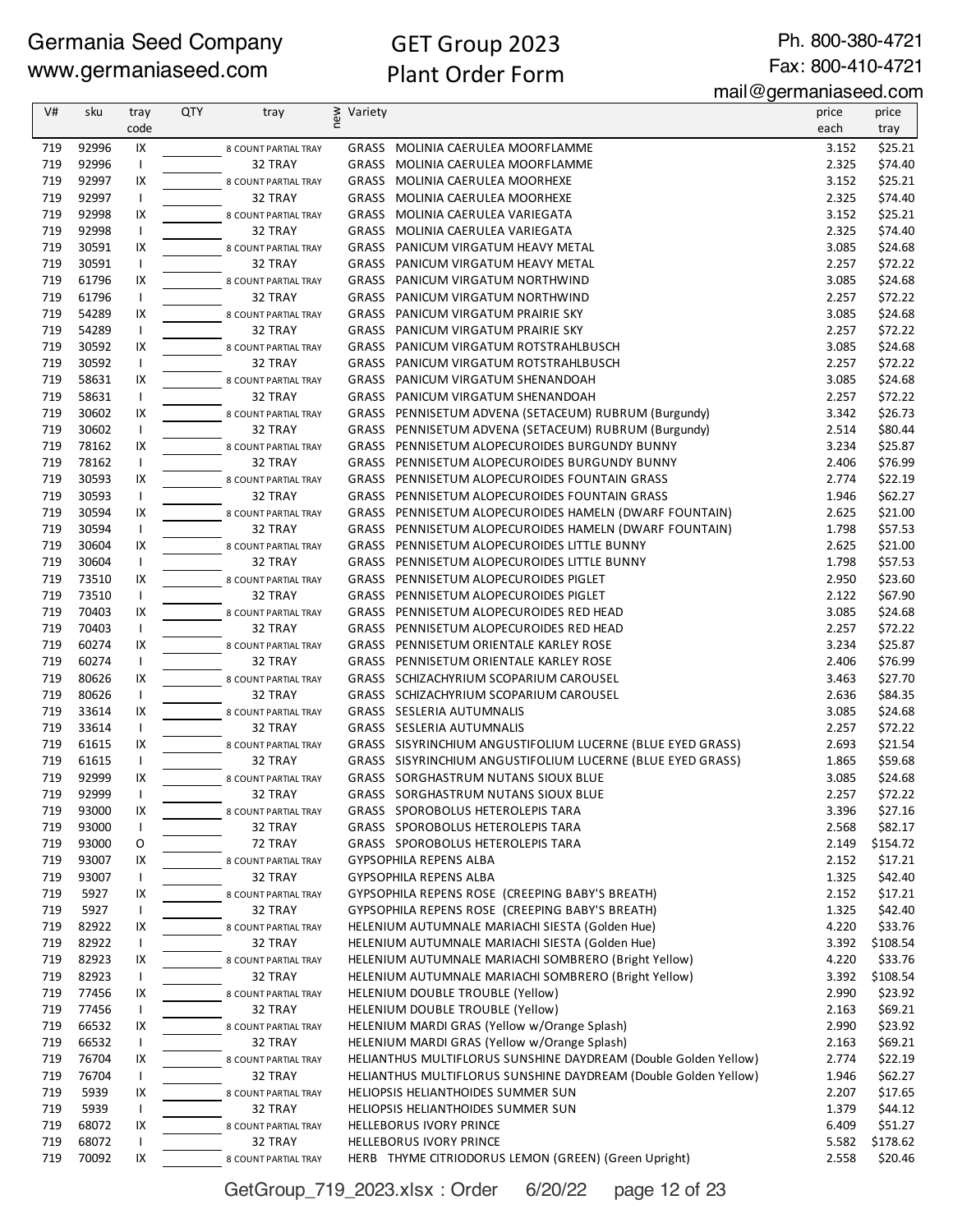# GET Group 2023 Plant Order Form

Ph. 800-380-4721 Fax: 800-410-4721

mail@germaniaseed.com

| V#  | sku   | tray           | QTY | tray                 | new<br>Variety |                                                                 | price | price    |
|-----|-------|----------------|-----|----------------------|----------------|-----------------------------------------------------------------|-------|----------|
|     |       | code           |     |                      |                |                                                                 | each  | tray     |
| 719 | 92996 | IX             |     | 8 COUNT PARTIAL TRAY |                | GRASS MOLINIA CAERULEA MOORFLAMME                               | 3.152 | \$25.21  |
| 719 | 92996 | $\mathbf{I}$   |     | 32 TRAY              |                | GRASS MOLINIA CAERULEA MOORFLAMME                               | 2.325 | \$74.40  |
| 719 | 92997 | IX             |     | 8 COUNT PARTIAL TRAY |                | GRASS MOLINIA CAERULEA MOORHEXE                                 | 3.152 | \$25.21  |
| 719 | 92997 | $\mathbf{I}$   |     | 32 TRAY              |                | GRASS MOLINIA CAERULEA MOORHEXE                                 | 2.325 | \$74.40  |
| 719 | 92998 | IX             |     | 8 COUNT PARTIAL TRAY |                | GRASS MOLINIA CAERULEA VARIEGATA                                | 3.152 | \$25.21  |
| 719 | 92998 | $\mathbf{I}$   |     | 32 TRAY              | GRASS          | MOLINIA CAERULEA VARIEGATA                                      | 2.325 | \$74.40  |
| 719 | 30591 | IX             |     | 8 COUNT PARTIAL TRAY |                | GRASS PANICUM VIRGATUM HEAVY METAL                              | 3.085 | \$24.68  |
| 719 | 30591 | $\overline{1}$ |     | 32 TRAY              |                | GRASS PANICUM VIRGATUM HEAVY METAL                              | 2.257 | \$72.22  |
| 719 | 61796 | IX             |     | 8 COUNT PARTIAL TRAY |                | GRASS PANICUM VIRGATUM NORTHWIND                                | 3.085 | \$24.68  |
| 719 | 61796 | $\mathbf{I}$   |     | 32 TRAY              |                | GRASS PANICUM VIRGATUM NORTHWIND                                | 2.257 | \$72.22  |
| 719 | 54289 | IX             |     | 8 COUNT PARTIAL TRAY |                | GRASS PANICUM VIRGATUM PRAIRIE SKY                              | 3.085 | \$24.68  |
| 719 | 54289 | $\mathbf{I}$   |     | 32 TRAY              |                | GRASS PANICUM VIRGATUM PRAIRIE SKY                              | 2.257 | \$72.22  |
| 719 | 30592 | IX             |     | 8 COUNT PARTIAL TRAY |                | GRASS PANICUM VIRGATUM ROTSTRAHLBUSCH                           | 3.085 | \$24.68  |
| 719 | 30592 | $\mathbf{I}$   |     | 32 TRAY              |                | GRASS PANICUM VIRGATUM ROTSTRAHLBUSCH                           | 2.257 | \$72.22  |
| 719 | 58631 | IX             |     | 8 COUNT PARTIAL TRAY |                | GRASS PANICUM VIRGATUM SHENANDOAH                               | 3.085 | \$24.68  |
| 719 | 58631 | $\mathbf{I}$   |     | 32 TRAY              |                | GRASS PANICUM VIRGATUM SHENANDOAH                               | 2.257 | \$72.22  |
| 719 | 30602 | IX             |     | 8 COUNT PARTIAL TRAY |                | GRASS PENNISETUM ADVENA (SETACEUM) RUBRUM (Burgundy)            | 3.342 | \$26.73  |
| 719 | 30602 | $\mathbf{I}$   |     | 32 TRAY              |                | GRASS PENNISETUM ADVENA (SETACEUM) RUBRUM (Burgundy)            | 2.514 | \$80.44  |
| 719 | 78162 | IX             |     | 8 COUNT PARTIAL TRAY |                | GRASS PENNISETUM ALOPECUROIDES BURGUNDY BUNNY                   | 3.234 | \$25.87  |
| 719 | 78162 | $\mathbf{I}$   |     | 32 TRAY              |                | GRASS PENNISETUM ALOPECUROIDES BURGUNDY BUNNY                   | 2.406 | \$76.99  |
| 719 | 30593 | IX             |     | 8 COUNT PARTIAL TRAY |                | GRASS PENNISETUM ALOPECUROIDES FOUNTAIN GRASS                   | 2.774 | \$22.19  |
| 719 | 30593 | $\mathbf{I}$   |     | 32 TRAY              |                | GRASS PENNISETUM ALOPECUROIDES FOUNTAIN GRASS                   | 1.946 | \$62.27  |
| 719 | 30594 | IX             |     | 8 COUNT PARTIAL TRAY |                | GRASS PENNISETUM ALOPECUROIDES HAMELN (DWARF FOUNTAIN)          | 2.625 | \$21.00  |
| 719 | 30594 | $\mathbf{I}$   |     | 32 TRAY              |                | GRASS PENNISETUM ALOPECUROIDES HAMELN (DWARF FOUNTAIN)          | 1.798 | \$57.53  |
| 719 | 30604 | IX             |     | 8 COUNT PARTIAL TRAY |                | GRASS PENNISETUM ALOPECUROIDES LITTLE BUNNY                     | 2.625 | \$21.00  |
| 719 | 30604 | $\mathbf{I}$   |     | 32 TRAY              |                | GRASS PENNISETUM ALOPECUROIDES LITTLE BUNNY                     | 1.798 | \$57.53  |
| 719 | 73510 | IX             |     | 8 COUNT PARTIAL TRAY |                | GRASS PENNISETUM ALOPECUROIDES PIGLET                           | 2.950 | \$23.60  |
| 719 | 73510 | $\overline{1}$ |     | 32 TRAY              |                | GRASS PENNISETUM ALOPECUROIDES PIGLET                           | 2.122 | \$67.90  |
| 719 | 70403 | IX             |     | 8 COUNT PARTIAL TRAY |                | GRASS PENNISETUM ALOPECUROIDES RED HEAD                         | 3.085 | \$24.68  |
| 719 | 70403 |                |     | 32 TRAY              |                | GRASS PENNISETUM ALOPECUROIDES RED HEAD                         | 2.257 | \$72.22  |
| 719 | 60274 | IX             |     | 8 COUNT PARTIAL TRAY |                | GRASS PENNISETUM ORIENTALE KARLEY ROSE                          | 3.234 | \$25.87  |
| 719 | 60274 |                |     | 32 TRAY              |                | GRASS PENNISETUM ORIENTALE KARLEY ROSE                          | 2.406 | \$76.99  |
| 719 | 80626 | IX             |     | 8 COUNT PARTIAL TRAY |                | GRASS SCHIZACHYRIUM SCOPARIUM CAROUSEL                          | 3.463 | \$27.70  |
| 719 | 80626 | $\mathbf{I}$   |     | 32 TRAY              |                | GRASS SCHIZACHYRIUM SCOPARIUM CAROUSEL                          | 2.636 | \$84.35  |
| 719 | 33614 | IX             |     | 8 COUNT PARTIAL TRAY |                | GRASS SESLERIA AUTUMNALIS                                       | 3.085 | \$24.68  |
| 719 | 33614 | $\mathbf{I}$   |     | 32 TRAY              |                | GRASS SESLERIA AUTUMNALIS                                       | 2.257 | \$72.22  |
| 719 | 61615 | IX             |     | 8 COUNT PARTIAL TRAY |                | GRASS SISYRINCHIUM ANGUSTIFOLIUM LUCERNE (BLUE EYED GRASS)      | 2.693 | \$21.54  |
| 719 | 61615 | $\mathbf{I}$   |     | 32 TRAY              |                | GRASS SISYRINCHIUM ANGUSTIFOLIUM LUCERNE (BLUE EYED GRASS)      | 1.865 | \$59.68  |
| 719 | 92999 | IX             |     | 8 COUNT PARTIAL TRAY |                | <b>GRASS SORGHASTRUM NUTANS SIOUX BLUE</b>                      | 3.085 | \$24.68  |
| 719 | 92999 |                |     | 32 TRAY              |                | GRASS SORGHASTRUM NUTANS SIOUX BLUE                             | 2.257 | \$72.22  |
| 719 | 93000 | IX             |     | 8 COUNT PARTIAL TRAY |                | GRASS SPOROBOLUS HETEROLEPIS TARA                               | 3.396 | \$27.16  |
| 719 | 93000 |                |     | 32 TRAY              |                | GRASS SPOROBOLUS HETEROLEPIS TARA                               | 2.568 | \$82.17  |
| 719 | 93000 | O              |     | 72 TRAY              |                | GRASS SPOROBOLUS HETEROLEPIS TARA                               | 2.149 | \$154.72 |
| 719 | 93007 | IX             |     | 8 COUNT PARTIAL TRAY |                | GYPSOPHILA REPENS ALBA                                          | 2.152 | \$17.21  |
| 719 | 93007 |                |     | 32 TRAY              |                | GYPSOPHILA REPENS ALBA                                          | 1.325 | \$42.40  |
| 719 | 5927  | IX             |     | 8 COUNT PARTIAL TRAY |                | GYPSOPHILA REPENS ROSE (CREEPING BABY'S BREATH)                 | 2.152 | \$17.21  |
| 719 | 5927  | $\mathbf{I}$   |     | 32 TRAY              |                | GYPSOPHILA REPENS ROSE (CREEPING BABY'S BREATH)                 | 1.325 | \$42.40  |
| 719 | 82922 | IX             |     | 8 COUNT PARTIAL TRAY |                | HELENIUM AUTUMNALE MARIACHI SIESTA (Golden Hue)                 | 4.220 | \$33.76  |
| 719 | 82922 | $\mathbf{I}$   |     | 32 TRAY              |                | HELENIUM AUTUMNALE MARIACHI SIESTA (Golden Hue)                 | 3.392 | \$108.54 |
| 719 | 82923 | IX             |     | 8 COUNT PARTIAL TRAY |                | HELENIUM AUTUMNALE MARIACHI SOMBRERO (Bright Yellow)            | 4.220 | \$33.76  |
| 719 | 82923 | $\mathbf{I}$   |     | 32 TRAY              |                | HELENIUM AUTUMNALE MARIACHI SOMBRERO (Bright Yellow)            | 3.392 | \$108.54 |
| 719 | 77456 | IX             |     | 8 COUNT PARTIAL TRAY |                | HELENIUM DOUBLE TROUBLE (Yellow)                                | 2.990 | \$23.92  |
| 719 | 77456 | $\mathbf{I}$   |     | 32 TRAY              |                | HELENIUM DOUBLE TROUBLE (Yellow)                                | 2.163 | \$69.21  |
| 719 | 66532 | IX             |     | 8 COUNT PARTIAL TRAY |                | HELENIUM MARDI GRAS (Yellow w/Orange Splash)                    | 2.990 | \$23.92  |
| 719 | 66532 |                |     | 32 TRAY              |                | HELENIUM MARDI GRAS (Yellow w/Orange Splash)                    | 2.163 | \$69.21  |
| 719 | 76704 | IX             |     | 8 COUNT PARTIAL TRAY |                | HELIANTHUS MULTIFLORUS SUNSHINE DAYDREAM (Double Golden Yellow) | 2.774 | \$22.19  |
| 719 | 76704 |                |     | 32 TRAY              |                | HELIANTHUS MULTIFLORUS SUNSHINE DAYDREAM (Double Golden Yellow) | 1.946 | \$62.27  |
| 719 | 5939  | IX             |     | 8 COUNT PARTIAL TRAY |                | HELIOPSIS HELIANTHOIDES SUMMER SUN                              | 2.207 | \$17.65  |
| 719 | 5939  |                |     | 32 TRAY              |                | HELIOPSIS HELIANTHOIDES SUMMER SUN                              | 1.379 | \$44.12  |
| 719 | 68072 | IX             |     | 8 COUNT PARTIAL TRAY |                | <b>HELLEBORUS IVORY PRINCE</b>                                  | 6.409 | \$51.27  |
| 719 | 68072 | $\mathbf{I}$   |     | 32 TRAY              |                | <b>HELLEBORUS IVORY PRINCE</b>                                  | 5.582 | \$178.62 |
| 719 | 70092 | IX             |     | 8 COUNT PARTIAL TRAY |                | HERB THYME CITRIODORUS LEMON (GREEN) (Green Upright)            | 2.558 | \$20.46  |

GetGroup\_719\_2023.xlsx : Order 6/20/22 page 12 of 23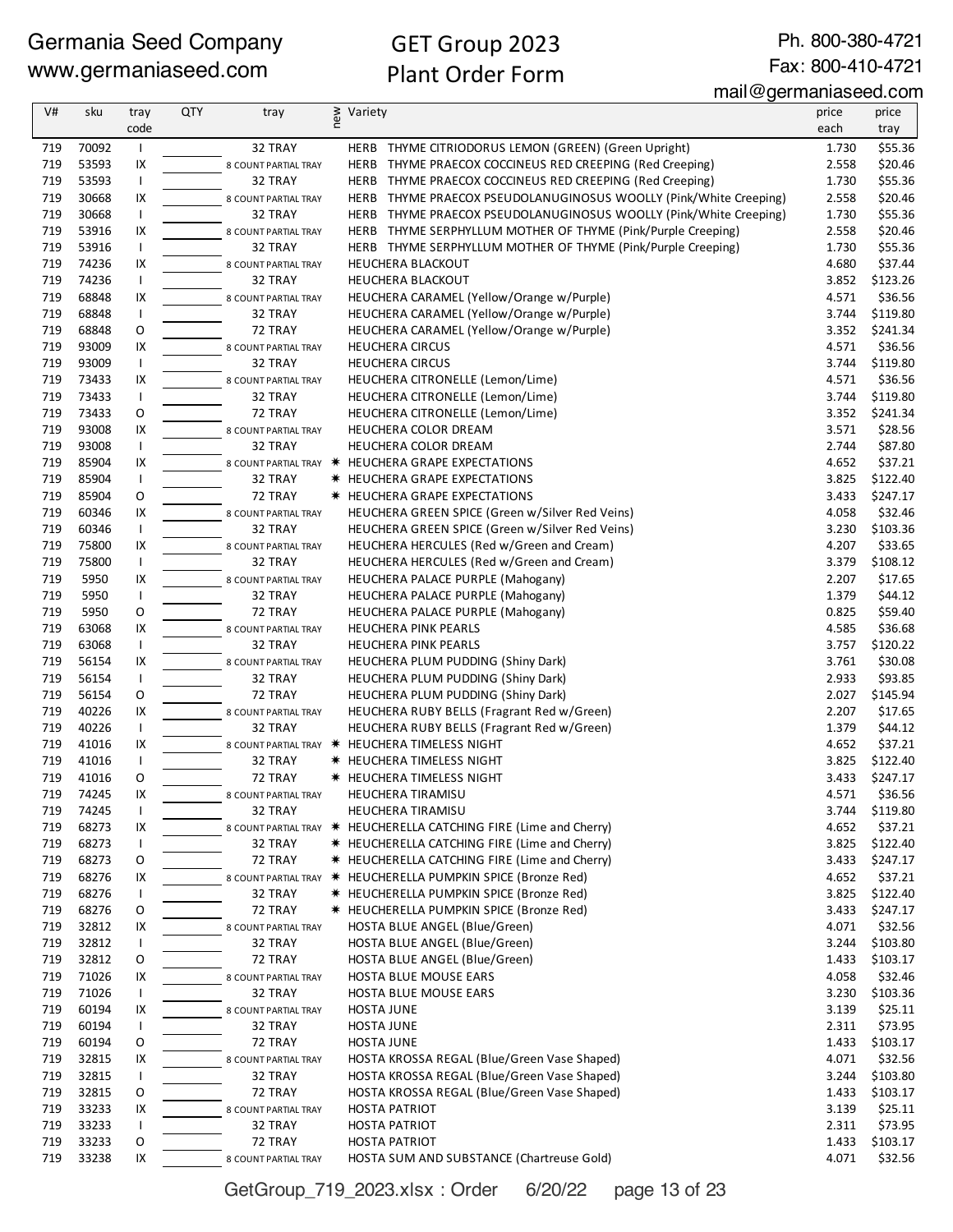# GET Group 2023 Plant Order Form

Ph. 800-380-4721 Fax: 800-410-4721

#### mail@germaniaseed.com

| V#  | sku   | tray                     | <b>QTY</b> | tray                 | new | Variety                                                           | price | price    |
|-----|-------|--------------------------|------------|----------------------|-----|-------------------------------------------------------------------|-------|----------|
|     |       | code                     |            |                      |     |                                                                   | each  | tray     |
| 719 | 70092 |                          |            | 32 TRAY              |     | HERB THYME CITRIODORUS LEMON (GREEN) (Green Upright)              | 1.730 | \$55.36  |
| 719 | 53593 | IX                       |            | 8 COUNT PARTIAL TRAY |     | HERB THYME PRAECOX COCCINEUS RED CREEPING (Red Creeping)          | 2.558 | \$20.46  |
| 719 | 53593 | $\mathbf{I}$             |            | 32 TRAY              |     | HERB THYME PRAECOX COCCINEUS RED CREEPING (Red Creeping)          | 1.730 | \$55.36  |
| 719 | 30668 | IX                       |            | 8 COUNT PARTIAL TRAY |     | HERB THYME PRAECOX PSEUDOLANUGINOSUS WOOLLY (Pink/White Creeping) | 2.558 | \$20.46  |
| 719 | 30668 | $\mathbf{I}$             |            | 32 TRAY              |     | HERB THYME PRAECOX PSEUDOLANUGINOSUS WOOLLY (Pink/White Creeping) | 1.730 | \$55.36  |
| 719 | 53916 | IX                       |            | 8 COUNT PARTIAL TRAY |     | HERB THYME SERPHYLLUM MOTHER OF THYME (Pink/Purple Creeping)      | 2.558 | \$20.46  |
| 719 | 53916 | $\overline{\phantom{a}}$ |            | 32 TRAY              |     | HERB THYME SERPHYLLUM MOTHER OF THYME (Pink/Purple Creeping)      | 1.730 | \$55.36  |
| 719 | 74236 | IX                       |            | 8 COUNT PARTIAL TRAY |     | <b>HEUCHERA BLACKOUT</b>                                          | 4.680 | \$37.44  |
| 719 | 74236 |                          |            | 32 TRAY              |     | HEUCHERA BLACKOUT                                                 | 3.852 | \$123.26 |
| 719 | 68848 | IX                       |            | 8 COUNT PARTIAL TRAY |     | HEUCHERA CARAMEL (Yellow/Orange w/Purple)                         | 4.571 | \$36.56  |
| 719 | 68848 |                          |            | 32 TRAY              |     | HEUCHERA CARAMEL (Yellow/Orange w/Purple)                         | 3.744 | \$119.80 |
| 719 | 68848 | 0                        |            | 72 TRAY              |     | HEUCHERA CARAMEL (Yellow/Orange w/Purple)                         | 3.352 | \$241.34 |
| 719 | 93009 | IX                       |            | 8 COUNT PARTIAL TRAY |     | <b>HEUCHERA CIRCUS</b>                                            | 4.571 | \$36.56  |
| 719 | 93009 | $\mathbf{I}$             |            | 32 TRAY              |     | <b>HEUCHERA CIRCUS</b>                                            | 3.744 | \$119.80 |
| 719 | 73433 | IX                       |            | 8 COUNT PARTIAL TRAY |     | HEUCHERA CITRONELLE (Lemon/Lime)                                  | 4.571 | \$36.56  |
| 719 | 73433 | $\mathbf{I}$             |            | 32 TRAY              |     | HEUCHERA CITRONELLE (Lemon/Lime)                                  | 3.744 | \$119.80 |
| 719 | 73433 | O                        |            | 72 TRAY              |     | HEUCHERA CITRONELLE (Lemon/Lime)                                  | 3.352 | \$241.34 |
| 719 | 93008 | IX                       |            | 8 COUNT PARTIAL TRAY |     | HEUCHERA COLOR DREAM                                              | 3.571 | \$28.56  |
| 719 | 93008 | $\mathbf{I}$             |            | 32 TRAY              |     | HEUCHERA COLOR DREAM                                              | 2.744 | \$87.80  |
| 719 | 85904 | IX                       |            |                      |     | 8 COUNT PARTIAL TRAY * HEUCHERA GRAPE EXPECTATIONS                | 4.652 | \$37.21  |
| 719 | 85904 | $\mathbf{I}$             |            | 32 TRAY              |     | <b>* HEUCHERA GRAPE EXPECTATIONS</b>                              | 3.825 | \$122.40 |
| 719 | 85904 | O                        |            | 72 TRAY              |     | <b>* HEUCHERA GRAPE EXPECTATIONS</b>                              | 3.433 | \$247.17 |
| 719 | 60346 | IX                       |            | 8 COUNT PARTIAL TRAY |     | HEUCHERA GREEN SPICE (Green w/Silver Red Veins)                   | 4.058 | \$32.46  |
| 719 | 60346 | $\mathbf{I}$             |            | 32 TRAY              |     | HEUCHERA GREEN SPICE (Green w/Silver Red Veins)                   | 3.230 | \$103.36 |
| 719 | 75800 | IX                       |            | 8 COUNT PARTIAL TRAY |     | HEUCHERA HERCULES (Red w/Green and Cream)                         | 4.207 | \$33.65  |
| 719 | 75800 | $\overline{\phantom{a}}$ |            | 32 TRAY              |     | HEUCHERA HERCULES (Red w/Green and Cream)                         | 3.379 | \$108.12 |
| 719 | 5950  | IX                       |            | 8 COUNT PARTIAL TRAY |     | HEUCHERA PALACE PURPLE (Mahogany)                                 | 2.207 | \$17.65  |
| 719 | 5950  | $\mathbf{I}$             |            | 32 TRAY              |     | HEUCHERA PALACE PURPLE (Mahogany)                                 | 1.379 | \$44.12  |
| 719 | 5950  | O                        |            | 72 TRAY              |     | HEUCHERA PALACE PURPLE (Mahogany)                                 | 0.825 | \$59.40  |
| 719 | 63068 | IX                       |            | 8 COUNT PARTIAL TRAY |     | HEUCHERA PINK PEARLS                                              | 4.585 | \$36.68  |
| 719 | 63068 | $\mathbf{I}$             |            | 32 TRAY              |     | HEUCHERA PINK PEARLS                                              | 3.757 | \$120.22 |
| 719 | 56154 | IX                       |            | 8 COUNT PARTIAL TRAY |     | HEUCHERA PLUM PUDDING (Shiny Dark)                                | 3.761 | \$30.08  |
| 719 | 56154 | $\mathbf{I}$             |            | 32 TRAY              |     | HEUCHERA PLUM PUDDING (Shiny Dark)                                | 2.933 | \$93.85  |
| 719 | 56154 | O                        |            | 72 TRAY              |     | HEUCHERA PLUM PUDDING (Shiny Dark)                                | 2.027 | \$145.94 |
| 719 | 40226 | IX                       |            | 8 COUNT PARTIAL TRAY |     | HEUCHERA RUBY BELLS (Fragrant Red w/Green)                        | 2.207 | \$17.65  |
| 719 | 40226 | $\mathbf{I}$             |            | 32 TRAY              |     | HEUCHERA RUBY BELLS (Fragrant Red w/Green)                        | 1.379 | \$44.12  |
| 719 | 41016 | IX                       |            |                      |     | 8 COUNT PARTIAL TRAY * HEUCHERA TIMELESS NIGHT                    | 4.652 | \$37.21  |
| 719 | 41016 |                          |            | 32 TRAY              |     | <b>* HEUCHERA TIMELESS NIGHT</b>                                  | 3.825 | \$122.40 |
| 719 | 41016 | O                        |            | 72 TRAY              |     | <b>* HEUCHERA TIMELESS NIGHT</b>                                  | 3.433 | \$247.17 |
| 719 | 74245 | IX                       |            | 8 COUNT PARTIAL TRAY |     | <b>HEUCHERA TIRAMISU</b>                                          | 4.571 | \$36.56  |
| 719 | 74245 | H                        |            | 32 TRAY              |     | <b>HEUCHERA TIRAMISU</b>                                          | 3.744 | \$119.80 |
| 719 | 68273 | IX                       |            | 8 COUNT PARTIAL TRAY |     | * HEUCHERELLA CATCHING FIRE (Lime and Cherry)                     | 4.652 | \$37.21  |
| 719 | 68273 |                          |            | 32 TRAY              |     | <b>*</b> HEUCHERELLA CATCHING FIRE (Lime and Cherry)              | 3.825 | \$122.40 |
| 719 | 68273 | O                        |            | 72 TRAY              |     | <b>*</b> HEUCHERELLA CATCHING FIRE (Lime and Cherry)              | 3.433 | \$247.17 |
| 719 | 68276 | IX                       |            |                      |     | 8 COUNT PARTIAL TRAY * HEUCHERELLA PUMPKIN SPICE (Bronze Red)     | 4.652 | \$37.21  |
| 719 | 68276 | $\mathbf{I}$             |            | 32 TRAY              |     | * HEUCHERELLA PUMPKIN SPICE (Bronze Red)                          | 3.825 | \$122.40 |
| 719 | 68276 | O                        |            | 72 TRAY              |     | * HEUCHERELLA PUMPKIN SPICE (Bronze Red)                          | 3.433 | \$247.17 |
| 719 | 32812 | IX                       |            | 8 COUNT PARTIAL TRAY |     | HOSTA BLUE ANGEL (Blue/Green)                                     | 4.071 | \$32.56  |
| 719 | 32812 |                          |            | 32 TRAY              |     | HOSTA BLUE ANGEL (Blue/Green)                                     | 3.244 | \$103.80 |
| 719 | 32812 | O                        |            | 72 TRAY              |     | HOSTA BLUE ANGEL (Blue/Green)                                     | 1.433 | \$103.17 |
| 719 | 71026 | IX                       |            | 8 COUNT PARTIAL TRAY |     | HOSTA BLUE MOUSE EARS                                             | 4.058 | \$32.46  |
| 719 | 71026 |                          |            | 32 TRAY              |     | HOSTA BLUE MOUSE EARS                                             | 3.230 | \$103.36 |
| 719 | 60194 | IX                       |            | 8 COUNT PARTIAL TRAY |     | <b>HOSTA JUNE</b>                                                 | 3.139 | \$25.11  |
| 719 | 60194 | $\mathbf{I}$             |            | 32 TRAY              |     | <b>HOSTA JUNE</b>                                                 | 2.311 | \$73.95  |
| 719 | 60194 | O                        |            | 72 TRAY              |     | <b>HOSTA JUNE</b>                                                 | 1.433 | \$103.17 |
| 719 | 32815 | IX                       |            | 8 COUNT PARTIAL TRAY |     | HOSTA KROSSA REGAL (Blue/Green Vase Shaped)                       | 4.071 | \$32.56  |
| 719 | 32815 |                          |            | 32 TRAY              |     | HOSTA KROSSA REGAL (Blue/Green Vase Shaped)                       | 3.244 | \$103.80 |
| 719 | 32815 | O                        |            | 72 TRAY              |     | HOSTA KROSSA REGAL (Blue/Green Vase Shaped)                       | 1.433 | \$103.17 |
| 719 | 33233 | IX                       |            | 8 COUNT PARTIAL TRAY |     | <b>HOSTA PATRIOT</b>                                              | 3.139 | \$25.11  |
| 719 | 33233 |                          |            | 32 TRAY              |     | <b>HOSTA PATRIOT</b>                                              | 2.311 | \$73.95  |
| 719 | 33233 | O                        |            | 72 TRAY              |     | <b>HOSTA PATRIOT</b>                                              | 1.433 | \$103.17 |
| 719 | 33238 | IX                       |            | 8 COUNT PARTIAL TRAY |     | HOSTA SUM AND SUBSTANCE (Chartreuse Gold)                         | 4.071 | \$32.56  |

GetGroup\_719\_2023.xlsx : Order 6/20/22 page 13 of 23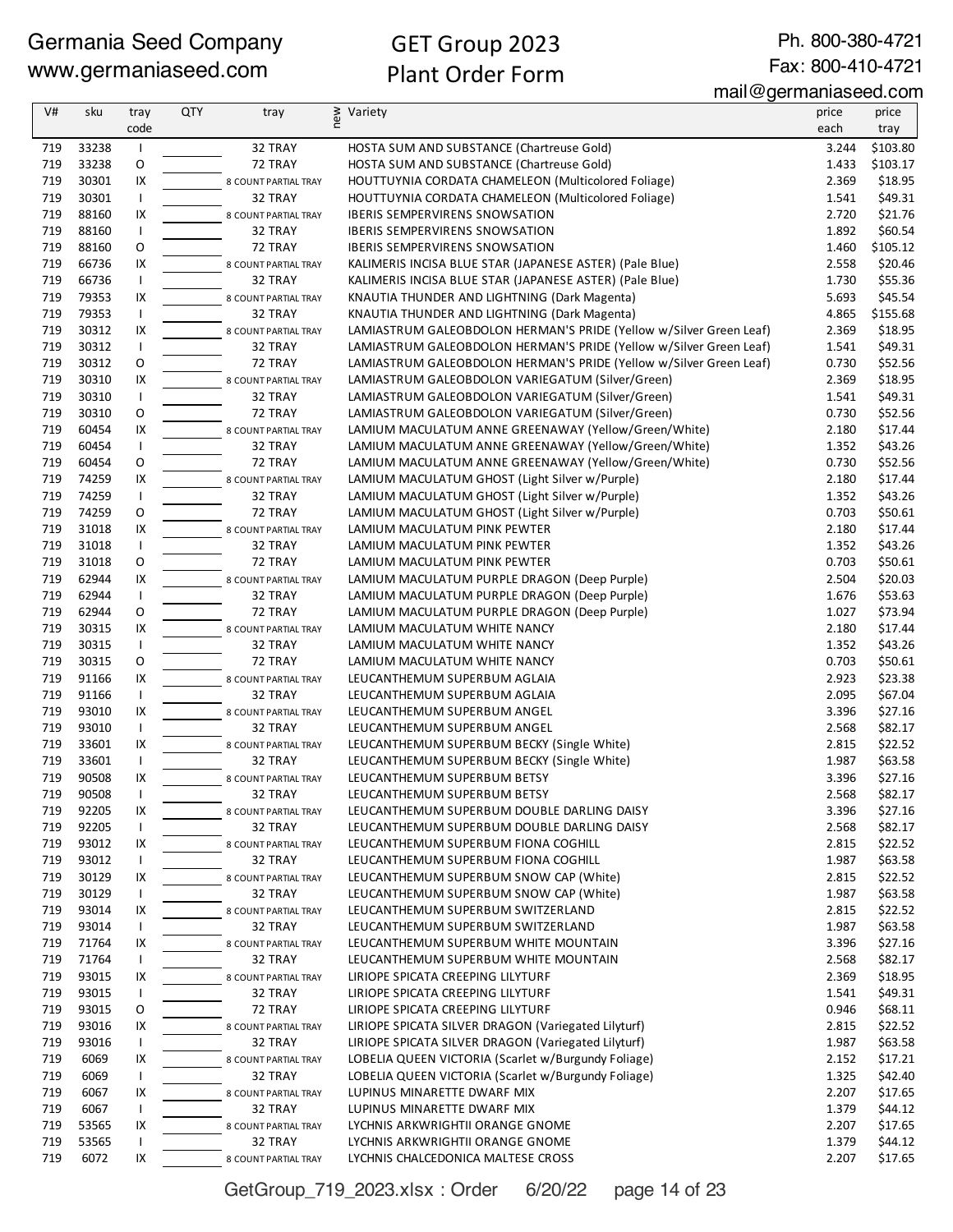Ph. 800-380-4721 Fax: 800-410-4721

| V#         | sku            | tray           | QTY | tray                            | new | Variety                                                                                  | price          | price              |
|------------|----------------|----------------|-----|---------------------------------|-----|------------------------------------------------------------------------------------------|----------------|--------------------|
|            |                | code           |     |                                 |     |                                                                                          | each           | tray               |
| 719        | 33238          | $\overline{1}$ |     | 32 TRAY                         |     | HOSTA SUM AND SUBSTANCE (Chartreuse Gold)                                                | 3.244          | \$103.80           |
| 719        | 33238          | O              |     | 72 TRAY                         |     | HOSTA SUM AND SUBSTANCE (Chartreuse Gold)                                                | 1.433          | \$103.17           |
| 719        | 30301          | IX             |     | 8 COUNT PARTIAL TRAY            |     | HOUTTUYNIA CORDATA CHAMELEON (Multicolored Foliage)                                      | 2.369          | \$18.95            |
| 719        | 30301          | $\mathsf{I}$   |     | 32 TRAY                         |     | HOUTTUYNIA CORDATA CHAMELEON (Multicolored Foliage)                                      | 1.541          | \$49.31            |
| 719        | 88160          | IX             |     | 8 COUNT PARTIAL TRAY            |     | <b>IBERIS SEMPERVIRENS SNOWSATION</b>                                                    | 2.720          | \$21.76            |
| 719        | 88160          | $\mathbf{I}$   |     | 32 TRAY                         |     | <b>IBERIS SEMPERVIRENS SNOWSATION</b>                                                    | 1.892          | \$60.54            |
| 719        | 88160          | O              |     | 72 TRAY                         |     | <b>IBERIS SEMPERVIRENS SNOWSATION</b>                                                    | 1.460          | \$105.12           |
| 719        | 66736          | IX             |     | 8 COUNT PARTIAL TRAY            |     | KALIMERIS INCISA BLUE STAR (JAPANESE ASTER) (Pale Blue)                                  | 2.558          | \$20.46            |
| 719        | 66736          | $\mathbf{I}$   |     | 32 TRAY                         |     | KALIMERIS INCISA BLUE STAR (JAPANESE ASTER) (Pale Blue)                                  | 1.730          | \$55.36            |
| 719        | 79353          | IX             |     | 8 COUNT PARTIAL TRAY            |     | KNAUTIA THUNDER AND LIGHTNING (Dark Magenta)                                             | 5.693          | \$45.54            |
| 719        | 79353          | $\mathbf{I}$   |     | 32 TRAY                         |     | KNAUTIA THUNDER AND LIGHTNING (Dark Magenta)                                             | 4.865          | \$155.68           |
| 719        | 30312          | IX             |     | 8 COUNT PARTIAL TRAY            |     | LAMIASTRUM GALEOBDOLON HERMAN'S PRIDE (Yellow w/Silver Green Leaf)                       | 2.369          | \$18.95            |
| 719        | 30312          | $\mathsf{I}$   |     | 32 TRAY                         |     | LAMIASTRUM GALEOBDOLON HERMAN'S PRIDE (Yellow w/Silver Green Leaf)                       | 1.541          | \$49.31            |
| 719        | 30312          | $\mathsf O$    |     | 72 TRAY                         |     | LAMIASTRUM GALEOBDOLON HERMAN'S PRIDE (Yellow w/Silver Green Leaf)                       | 0.730          | \$52.56            |
| 719        | 30310          | IX             |     | 8 COUNT PARTIAL TRAY            |     | LAMIASTRUM GALEOBDOLON VARIEGATUM (Silver/Green)                                         | 2.369          | \$18.95            |
| 719        | 30310          | $\mathbf{I}$   |     | 32 TRAY                         |     | LAMIASTRUM GALEOBDOLON VARIEGATUM (Silver/Green)                                         | 1.541          | \$49.31            |
| 719        | 30310          | O              |     | 72 TRAY                         |     | LAMIASTRUM GALEOBDOLON VARIEGATUM (Silver/Green)                                         | 0.730          | \$52.56            |
| 719        | 60454          | IX             |     | 8 COUNT PARTIAL TRAY            |     | LAMIUM MACULATUM ANNE GREENAWAY (Yellow/Green/White)                                     | 2.180          | \$17.44            |
| 719        | 60454          | $\overline{1}$ |     | 32 TRAY                         |     | LAMIUM MACULATUM ANNE GREENAWAY (Yellow/Green/White)                                     | 1.352          | \$43.26            |
| 719        | 60454          | O              |     | 72 TRAY                         |     | LAMIUM MACULATUM ANNE GREENAWAY (Yellow/Green/White)                                     | 0.730          | \$52.56            |
| 719        | 74259          | IX             |     | 8 COUNT PARTIAL TRAY            |     | LAMIUM MACULATUM GHOST (Light Silver w/Purple)                                           | 2.180          | \$17.44            |
| 719        | 74259          | $\mathsf{I}$   |     | 32 TRAY                         |     | LAMIUM MACULATUM GHOST (Light Silver w/Purple)                                           | 1.352          | \$43.26            |
| 719        | 74259          | O              |     | 72 TRAY                         |     | LAMIUM MACULATUM GHOST (Light Silver w/Purple)                                           | 0.703          | \$50.61            |
| 719        | 31018          | IX             |     | 8 COUNT PARTIAL TRAY            |     | LAMIUM MACULATUM PINK PEWTER                                                             | 2.180          | \$17.44            |
| 719        | 31018          | $\mathbf{I}$   |     | 32 TRAY                         |     | LAMIUM MACULATUM PINK PEWTER                                                             | 1.352          | \$43.26            |
| 719        | 31018          | O              |     | 72 TRAY                         |     | LAMIUM MACULATUM PINK PEWTER                                                             | 0.703          | \$50.61            |
| 719        | 62944          | IX             |     | 8 COUNT PARTIAL TRAY            |     | LAMIUM MACULATUM PURPLE DRAGON (Deep Purple)                                             | 2.504          | \$20.03            |
| 719        | 62944          | $\overline{1}$ |     | 32 TRAY                         |     | LAMIUM MACULATUM PURPLE DRAGON (Deep Purple)                                             | 1.676          | \$53.63            |
| 719        | 62944          | O              |     | 72 TRAY                         |     | LAMIUM MACULATUM PURPLE DRAGON (Deep Purple)                                             | 1.027          | \$73.94            |
| 719        | 30315          | IX             |     | 8 COUNT PARTIAL TRAY            |     | LAMIUM MACULATUM WHITE NANCY                                                             | 2.180          | \$17.44            |
| 719        | 30315          | $\mathsf{I}$   |     | 32 TRAY                         |     | LAMIUM MACULATUM WHITE NANCY                                                             | 1.352          | \$43.26            |
| 719        | 30315          | O              |     | 72 TRAY                         |     | LAMIUM MACULATUM WHITE NANCY                                                             | 0.703          | \$50.61            |
| 719        | 91166          | IX             |     | 8 COUNT PARTIAL TRAY            |     | LEUCANTHEMUM SUPERBUM AGLAIA                                                             | 2.923          | \$23.38            |
| 719        | 91166          | $\mathbf{I}$   |     | 32 TRAY                         |     | LEUCANTHEMUM SUPERBUM AGLAIA                                                             | 2.095          | \$67.04            |
| 719        | 93010          | IX             |     | 8 COUNT PARTIAL TRAY            |     | LEUCANTHEMUM SUPERBUM ANGEL                                                              | 3.396          | \$27.16            |
| 719        | 93010          | $\mathbf{I}$   |     | 32 TRAY                         |     | LEUCANTHEMUM SUPERBUM ANGEL                                                              | 2.568          | \$82.17            |
| 719        | 33601          | IX             |     | 8 COUNT PARTIAL TRAY            |     | LEUCANTHEMUM SUPERBUM BECKY (Single White)                                               | 2.815          | \$22.52            |
| 719        | 33601          | $\mathbf{I}$   |     | 32 TRAY                         |     | LEUCANTHEMUM SUPERBUM BECKY (Single White)                                               | 1.987          | \$63.58            |
| 719        | 90508          | IX             |     | 8 COUNT PARTIAL TRAY            |     | LEUCANTHEMUM SUPERBUM BETSY                                                              | 3.396          | \$27.16            |
| 719        | 90508          | $\mathbf{I}$   |     | 32 TRAY                         |     | LEUCANTHEMUM SUPERBUM BETSY                                                              | 2.568          | \$82.17            |
| 719        | 92205          | IX             |     | 8 COUNT PARTIAL TRAY            |     | LEUCANTHEMUM SUPERBUM DOUBLE DARLING DAISY                                               | 3.396          | \$27.16            |
| 719        | 92205          | $\overline{1}$ |     | 32 TRAY                         |     | LEUCANTHEMUM SUPERBUM DOUBLE DARLING DAISY                                               | 2.568          | \$82.17            |
| 719        | 93012          | IX             |     | 8 COUNT PARTIAL TRAY            |     | LEUCANTHEMUM SUPERBUM FIONA COGHILL                                                      | 2.815          | \$22.52            |
| 719        | 93012          | $\mathbf{I}$   |     | 32 TRAY                         |     | LEUCANTHEMUM SUPERBUM FIONA COGHILL                                                      | 1.987          | \$63.58            |
| 719        | 30129          | IX             |     | 8 COUNT PARTIAL TRAY            |     | LEUCANTHEMUM SUPERBUM SNOW CAP (White)                                                   | 2.815          | \$22.52            |
| 719        | 30129          | $\mathbf{I}$   |     | 32 TRAY                         |     | LEUCANTHEMUM SUPERBUM SNOW CAP (White)                                                   | 1.987          | \$63.58            |
| 719        | 93014          | IX             |     | 8 COUNT PARTIAL TRAY            |     | LEUCANTHEMUM SUPERBUM SWITZERLAND                                                        | 2.815          | \$22.52            |
| 719        | 93014          | $\mathbf{I}$   |     | 32 TRAY                         |     | LEUCANTHEMUM SUPERBUM SWITZERLAND                                                        | 1.987          | \$63.58            |
| 719        | 71764          | IX             |     | 8 COUNT PARTIAL TRAY            |     | LEUCANTHEMUM SUPERBUM WHITE MOUNTAIN                                                     | 3.396          | \$27.16            |
| 719        | 71764          | $\mathbf{I}$   |     | 32 TRAY                         |     | LEUCANTHEMUM SUPERBUM WHITE MOUNTAIN                                                     | 2.568          | \$82.17            |
| 719        | 93015          | IX             |     | 8 COUNT PARTIAL TRAY            |     | LIRIOPE SPICATA CREEPING LILYTURF                                                        | 2.369          | \$18.95            |
| 719        | 93015          | $\mathbf{I}$   |     | 32 TRAY                         |     | LIRIOPE SPICATA CREEPING LILYTURF                                                        | 1.541          | \$49.31            |
| 719<br>719 | 93015<br>93016 | 0<br>IX        |     | 72 TRAY                         |     | LIRIOPE SPICATA CREEPING LILYTURF<br>LIRIOPE SPICATA SILVER DRAGON (Variegated Lilyturf) | 0.946<br>2.815 | \$68.11<br>\$22.52 |
| 719        | 93016          | $\mathsf{I}$   |     | 8 COUNT PARTIAL TRAY<br>32 TRAY |     | LIRIOPE SPICATA SILVER DRAGON (Variegated Lilyturf)                                      | 1.987          | \$63.58            |
| 719        | 6069           | IX             |     |                                 |     | LOBELIA QUEEN VICTORIA (Scarlet w/Burgundy Foliage)                                      | 2.152          | \$17.21            |
| 719        | 6069           | $\mathsf{I}$   |     | 8 COUNT PARTIAL TRAY<br>32 TRAY |     | LOBELIA QUEEN VICTORIA (Scarlet w/Burgundy Foliage)                                      | 1.325          | \$42.40            |
| 719        | 6067           | IX             |     |                                 |     | LUPINUS MINARETTE DWARF MIX                                                              | 2.207          | \$17.65            |
| 719        | 6067           | $\mathbf{I}$   |     | 8 COUNT PARTIAL TRAY<br>32 TRAY |     | LUPINUS MINARETTE DWARF MIX                                                              | 1.379          | \$44.12            |
| 719        | 53565          | IX             |     | 8 COUNT PARTIAL TRAY            |     | LYCHNIS ARKWRIGHTII ORANGE GNOME                                                         | 2.207          | \$17.65            |
| 719        | 53565          | $\mathbf{I}$   |     | 32 TRAY                         |     | LYCHNIS ARKWRIGHTII ORANGE GNOME                                                         | 1.379          | \$44.12            |
| 719        | 6072           | IX             |     |                                 |     | LYCHNIS CHALCEDONICA MALTESE CROSS                                                       | 2.207          | \$17.65            |
|            |                |                |     | 8 COUNT PARTIAL TRAY            |     |                                                                                          |                |                    |

GetGroup\_719\_2023.xlsx : Order 6/20/22 page 14 of 23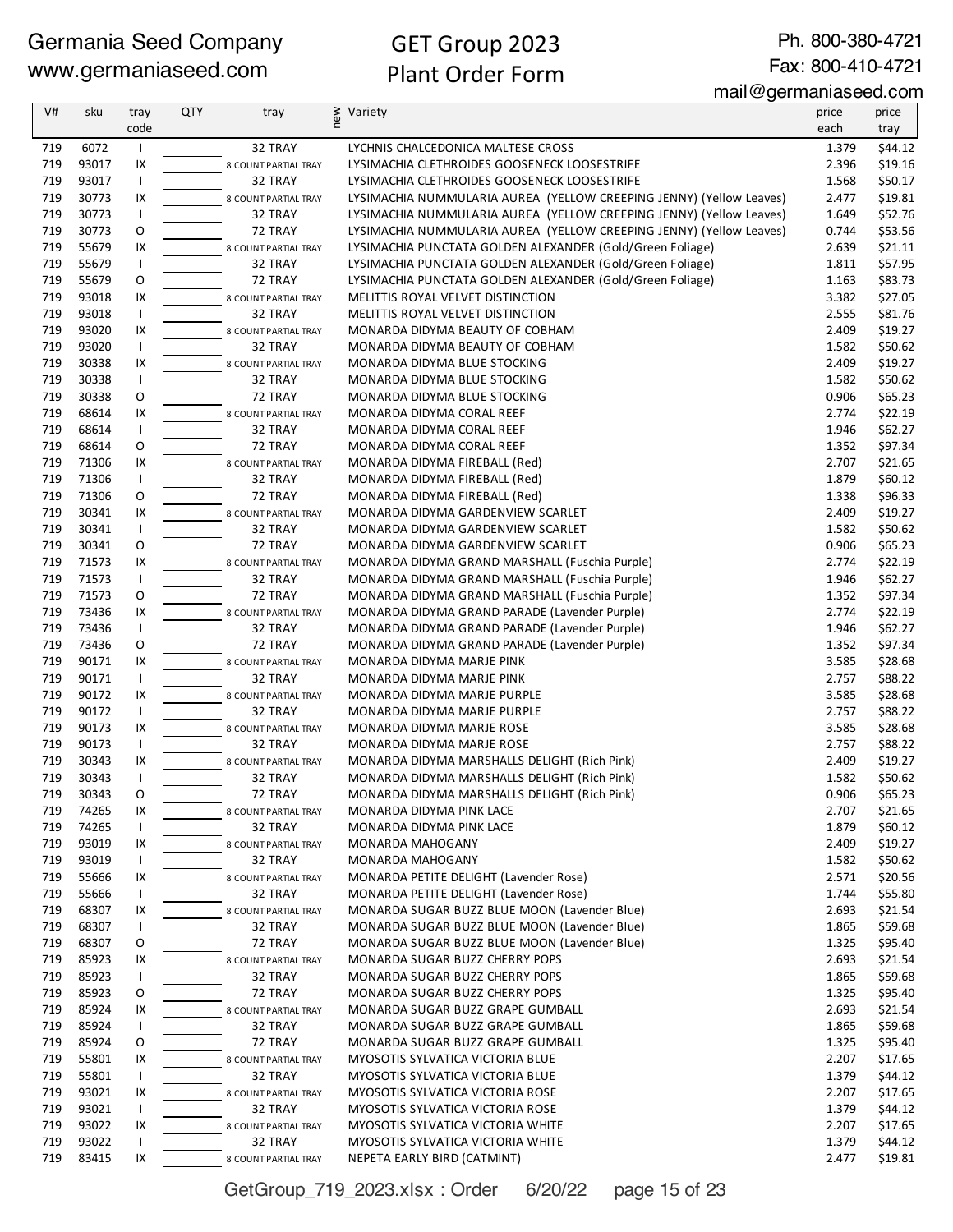Ph. 800-380-4721 Fax: 800-410-4721

mail@germaniaseed.com

| V#  | sku   | tray         | <b>QTY</b> | tray                 | new<br>Variety                                                      | price | price   |
|-----|-------|--------------|------------|----------------------|---------------------------------------------------------------------|-------|---------|
|     |       | code         |            |                      |                                                                     | each  | tray    |
| 719 | 6072  | $\mathbf{I}$ |            | 32 TRAY              | LYCHNIS CHALCEDONICA MALTESE CROSS                                  | 1.379 | \$44.12 |
| 719 | 93017 | IX           |            | 8 COUNT PARTIAL TRAY | LYSIMACHIA CLETHROIDES GOOSENECK LOOSESTRIFE                        | 2.396 | \$19.16 |
| 719 | 93017 | $\mathbf{I}$ |            | 32 TRAY              | LYSIMACHIA CLETHROIDES GOOSENECK LOOSESTRIFE                        | 1.568 | \$50.17 |
| 719 | 30773 | IX           |            | 8 COUNT PARTIAL TRAY | LYSIMACHIA NUMMULARIA AUREA (YELLOW CREEPING JENNY) (Yellow Leaves) | 2.477 | \$19.81 |
| 719 | 30773 | $\mathbf{I}$ |            | 32 TRAY              | LYSIMACHIA NUMMULARIA AUREA (YELLOW CREEPING JENNY) (Yellow Leaves) | 1.649 | \$52.76 |
| 719 | 30773 | O            |            | 72 TRAY              | LYSIMACHIA NUMMULARIA AUREA (YELLOW CREEPING JENNY) (Yellow Leaves) | 0.744 | \$53.56 |
| 719 | 55679 | IX           |            | 8 COUNT PARTIAL TRAY | LYSIMACHIA PUNCTATA GOLDEN ALEXANDER (Gold/Green Foliage)           | 2.639 | \$21.11 |
| 719 | 55679 | $\mathsf{I}$ |            | 32 TRAY              | LYSIMACHIA PUNCTATA GOLDEN ALEXANDER (Gold/Green Foliage)           | 1.811 | \$57.95 |
| 719 | 55679 | O            |            | 72 TRAY              | LYSIMACHIA PUNCTATA GOLDEN ALEXANDER (Gold/Green Foliage)           | 1.163 | \$83.73 |
| 719 | 93018 | IX           |            | 8 COUNT PARTIAL TRAY | MELITTIS ROYAL VELVET DISTINCTION                                   | 3.382 | \$27.05 |
| 719 | 93018 | $\mathsf{I}$ |            | 32 TRAY              | MELITTIS ROYAL VELVET DISTINCTION                                   | 2.555 | \$81.76 |
| 719 | 93020 | IX           |            | 8 COUNT PARTIAL TRAY | MONARDA DIDYMA BEAUTY OF COBHAM                                     | 2.409 | \$19.27 |
| 719 | 93020 | $\mathsf{I}$ |            | 32 TRAY              | MONARDA DIDYMA BEAUTY OF COBHAM                                     | 1.582 | \$50.62 |
| 719 | 30338 | IX           |            | 8 COUNT PARTIAL TRAY | MONARDA DIDYMA BLUE STOCKING                                        | 2.409 | \$19.27 |
| 719 | 30338 | $\mathbf{I}$ |            | 32 TRAY              | MONARDA DIDYMA BLUE STOCKING                                        | 1.582 | \$50.62 |
| 719 | 30338 | O            |            | 72 TRAY              | MONARDA DIDYMA BLUE STOCKING                                        | 0.906 | \$65.23 |
| 719 | 68614 | IX           |            | 8 COUNT PARTIAL TRAY | MONARDA DIDYMA CORAL REEF                                           | 2.774 | \$22.19 |
| 719 | 68614 | $\mathbf{I}$ |            | 32 TRAY              | MONARDA DIDYMA CORAL REEF                                           | 1.946 | \$62.27 |
| 719 | 68614 | O            |            | 72 TRAY              | MONARDA DIDYMA CORAL REEF                                           | 1.352 | \$97.34 |
| 719 | 71306 | IX           |            | 8 COUNT PARTIAL TRAY | MONARDA DIDYMA FIREBALL (Red)                                       | 2.707 | \$21.65 |
| 719 | 71306 | $\mathsf{I}$ |            | 32 TRAY              | MONARDA DIDYMA FIREBALL (Red)                                       | 1.879 | \$60.12 |
| 719 | 71306 | O            |            | 72 TRAY              | MONARDA DIDYMA FIREBALL (Red)                                       | 1.338 | \$96.33 |
| 719 | 30341 | IX           |            | 8 COUNT PARTIAL TRAY | MONARDA DIDYMA GARDENVIEW SCARLET                                   | 2.409 | \$19.27 |
| 719 | 30341 | $\mathsf{I}$ |            | 32 TRAY              | MONARDA DIDYMA GARDENVIEW SCARLET                                   | 1.582 | \$50.62 |
| 719 | 30341 | O            |            | 72 TRAY              | MONARDA DIDYMA GARDENVIEW SCARLET                                   | 0.906 | \$65.23 |
| 719 | 71573 | IX           |            | 8 COUNT PARTIAL TRAY | MONARDA DIDYMA GRAND MARSHALL (Fuschia Purple)                      | 2.774 | \$22.19 |
| 719 | 71573 | $\mathbf{I}$ |            | 32 TRAY              | MONARDA DIDYMA GRAND MARSHALL (Fuschia Purple)                      | 1.946 | \$62.27 |
| 719 | 71573 | O            |            | 72 TRAY              | MONARDA DIDYMA GRAND MARSHALL (Fuschia Purple)                      | 1.352 | \$97.34 |
| 719 | 73436 | IX           |            | 8 COUNT PARTIAL TRAY | MONARDA DIDYMA GRAND PARADE (Lavender Purple)                       | 2.774 | \$22.19 |
| 719 | 73436 | $\mathsf{I}$ |            | 32 TRAY              | MONARDA DIDYMA GRAND PARADE (Lavender Purple)                       | 1.946 | \$62.27 |
| 719 | 73436 | O            |            | 72 TRAY              | MONARDA DIDYMA GRAND PARADE (Lavender Purple)                       | 1.352 | \$97.34 |
| 719 | 90171 | IX           |            | 8 COUNT PARTIAL TRAY | MONARDA DIDYMA MARJE PINK                                           | 3.585 | \$28.68 |
| 719 | 90171 | $\mathsf{I}$ |            | 32 TRAY              | MONARDA DIDYMA MARJE PINK                                           | 2.757 | \$88.22 |
| 719 | 90172 | IX           |            | 8 COUNT PARTIAL TRAY | MONARDA DIDYMA MARJE PURPLE                                         | 3.585 | \$28.68 |
| 719 | 90172 | $\mathsf{I}$ |            | 32 TRAY              | MONARDA DIDYMA MARJE PURPLE                                         | 2.757 | \$88.22 |
| 719 | 90173 | IX           |            | 8 COUNT PARTIAL TRAY | MONARDA DIDYMA MARJE ROSE                                           | 3.585 | \$28.68 |
| 719 | 90173 | $\mathbf{I}$ |            | 32 TRAY              | MONARDA DIDYMA MARJE ROSE                                           | 2.757 | \$88.22 |
| 719 | 30343 | IX           |            | 8 COUNT PARTIAL TRAY | MONARDA DIDYMA MARSHALLS DELIGHT (Rich Pink)                        | 2.409 | \$19.27 |
| 719 | 30343 | $\mathbf{I}$ |            | 32 TRAY              | MONARDA DIDYMA MARSHALLS DELIGHT (Rich Pink)                        | 1.582 | \$50.62 |
| 719 | 30343 | O            |            | 72 TRAY              | MONARDA DIDYMA MARSHALLS DELIGHT (Rich Pink)                        | 0.906 | \$65.23 |
| 719 | 74265 | IX           |            | 8 COUNT PARTIAL TRAY | MONARDA DIDYMA PINK LACE                                            | 2.707 | \$21.65 |
| 719 | 74265 | $\mathbf{I}$ |            | 32 TRAY              | MONARDA DIDYMA PINK LACE                                            | 1.879 | \$60.12 |
| 719 | 93019 | IX           |            | 8 COUNT PARTIAL TRAY | MONARDA MAHOGANY                                                    | 2.409 | \$19.27 |
| 719 | 93019 | I.           |            | 32 TRAY              | MONARDA MAHOGANY                                                    | 1.582 | \$50.62 |
| 719 | 55666 | IX           |            | 8 COUNT PARTIAL TRAY | MONARDA PETITE DELIGHT (Lavender Rose)                              | 2.571 | \$20.56 |
| 719 | 55666 | $\mathbf{I}$ |            | 32 TRAY              | MONARDA PETITE DELIGHT (Lavender Rose)                              | 1.744 | \$55.80 |
| 719 | 68307 | IX           |            | 8 COUNT PARTIAL TRAY | MONARDA SUGAR BUZZ BLUE MOON (Lavender Blue)                        | 2.693 | \$21.54 |
| 719 | 68307 | $\mathbf{I}$ |            | 32 TRAY              | MONARDA SUGAR BUZZ BLUE MOON (Lavender Blue)                        | 1.865 | \$59.68 |
| 719 | 68307 | O            |            | 72 TRAY              | MONARDA SUGAR BUZZ BLUE MOON (Lavender Blue)                        | 1.325 | \$95.40 |
| 719 | 85923 | IX           |            | 8 COUNT PARTIAL TRAY | MONARDA SUGAR BUZZ CHERRY POPS                                      | 2.693 | \$21.54 |
| 719 | 85923 | $\mathbf{I}$ |            | 32 TRAY              | MONARDA SUGAR BUZZ CHERRY POPS                                      | 1.865 | \$59.68 |
| 719 | 85923 | O            |            | 72 TRAY              | MONARDA SUGAR BUZZ CHERRY POPS                                      | 1.325 | \$95.40 |
| 719 | 85924 | IX           |            | 8 COUNT PARTIAL TRAY | MONARDA SUGAR BUZZ GRAPE GUMBALL                                    | 2.693 | \$21.54 |
| 719 | 85924 | $\mathbf{I}$ |            | 32 TRAY              | MONARDA SUGAR BUZZ GRAPE GUMBALL                                    | 1.865 | \$59.68 |
| 719 | 85924 | O            |            | 72 TRAY              | MONARDA SUGAR BUZZ GRAPE GUMBALL                                    | 1.325 | \$95.40 |
| 719 | 55801 | IX           |            | 8 COUNT PARTIAL TRAY | MYOSOTIS SYLVATICA VICTORIA BLUE                                    | 2.207 | \$17.65 |
| 719 | 55801 | $\mathbf{I}$ |            | 32 TRAY              | MYOSOTIS SYLVATICA VICTORIA BLUE                                    | 1.379 | \$44.12 |
| 719 | 93021 | IX           |            | 8 COUNT PARTIAL TRAY | MYOSOTIS SYLVATICA VICTORIA ROSE                                    | 2.207 | \$17.65 |
| 719 | 93021 | $\mathbf{I}$ |            | 32 TRAY              | MYOSOTIS SYLVATICA VICTORIA ROSE                                    | 1.379 | \$44.12 |
| 719 | 93022 | IX           |            | 8 COUNT PARTIAL TRAY | MYOSOTIS SYLVATICA VICTORIA WHITE                                   | 2.207 | \$17.65 |
| 719 | 93022 | $\mathbf{I}$ |            | 32 TRAY              | MYOSOTIS SYLVATICA VICTORIA WHITE                                   | 1.379 | \$44.12 |
| 719 | 83415 | IX           |            | 8 COUNT PARTIAL TRAY | NEPETA EARLY BIRD (CATMINT)                                         | 2.477 | \$19.81 |

GetGroup\_719\_2023.xlsx : Order 6/20/22 page 15 of 23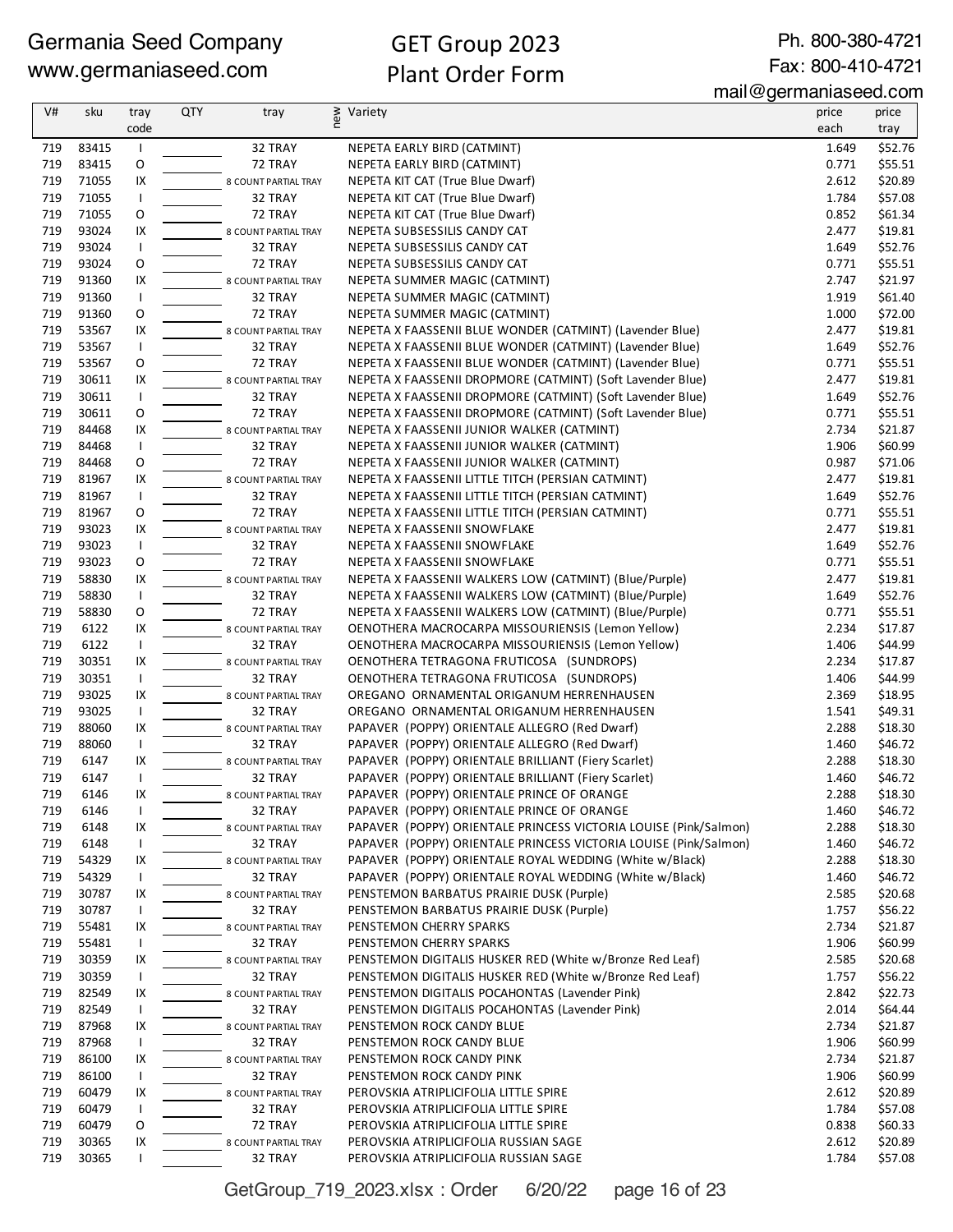Ph. 800-380-4721 Fax: 800-410-4721

mail@germaniaseed.com

| V#  | sku   | tray         | <b>QTY</b> | tray                 | new<br>Variety                                                   | price | price   |
|-----|-------|--------------|------------|----------------------|------------------------------------------------------------------|-------|---------|
|     |       | code         |            |                      |                                                                  | each  | tray    |
| 719 | 83415 |              |            | 32 TRAY              | NEPETA EARLY BIRD (CATMINT)                                      | 1.649 | \$52.76 |
| 719 | 83415 | O            |            | 72 TRAY              | NEPETA EARLY BIRD (CATMINT)                                      | 0.771 | \$55.51 |
| 719 | 71055 | IX           |            | 8 COUNT PARTIAL TRAY | NEPETA KIT CAT (True Blue Dwarf)                                 | 2.612 | \$20.89 |
| 719 | 71055 | $\mathbf{I}$ |            | 32 TRAY              | NEPETA KIT CAT (True Blue Dwarf)                                 | 1.784 | \$57.08 |
| 719 | 71055 | 0            |            | 72 TRAY              | NEPETA KIT CAT (True Blue Dwarf)                                 | 0.852 | \$61.34 |
| 719 | 93024 | IX           |            | 8 COUNT PARTIAL TRAY | NEPETA SUBSESSILIS CANDY CAT                                     | 2.477 | \$19.81 |
| 719 | 93024 | $\mathbf{I}$ |            | 32 TRAY              | NEPETA SUBSESSILIS CANDY CAT                                     | 1.649 | \$52.76 |
| 719 | 93024 | 0            |            | 72 TRAY              | NEPETA SUBSESSILIS CANDY CAT                                     | 0.771 | \$55.51 |
| 719 | 91360 | IX           |            | 8 COUNT PARTIAL TRAY | NEPETA SUMMER MAGIC (CATMINT)                                    | 2.747 | \$21.97 |
| 719 | 91360 | $\mathbf{I}$ |            | 32 TRAY              | NEPETA SUMMER MAGIC (CATMINT)                                    | 1.919 | \$61.40 |
| 719 | 91360 | O            |            | 72 TRAY              | NEPETA SUMMER MAGIC (CATMINT)                                    | 1.000 | \$72.00 |
| 719 | 53567 | IX           |            | 8 COUNT PARTIAL TRAY | NEPETA X FAASSENII BLUE WONDER (CATMINT) (Lavender Blue)         | 2.477 | \$19.81 |
| 719 | 53567 | $\mathsf{I}$ |            | 32 TRAY              | NEPETA X FAASSENII BLUE WONDER (CATMINT) (Lavender Blue)         | 1.649 | \$52.76 |
| 719 | 53567 | O            |            | 72 TRAY              | NEPETA X FAASSENII BLUE WONDER (CATMINT) (Lavender Blue)         | 0.771 | \$55.51 |
| 719 | 30611 | IX           |            | 8 COUNT PARTIAL TRAY | NEPETA X FAASSENII DROPMORE (CATMINT) (Soft Lavender Blue)       | 2.477 | \$19.81 |
| 719 | 30611 | $\mathsf{I}$ |            | 32 TRAY              | NEPETA X FAASSENII DROPMORE (CATMINT) (Soft Lavender Blue)       | 1.649 | \$52.76 |
| 719 | 30611 | O            |            | 72 TRAY              | NEPETA X FAASSENII DROPMORE (CATMINT) (Soft Lavender Blue)       | 0.771 | \$55.51 |
| 719 | 84468 | IX           |            | 8 COUNT PARTIAL TRAY | NEPETA X FAASSENII JUNIOR WALKER (CATMINT)                       | 2.734 | \$21.87 |
| 719 | 84468 | $\mathsf{I}$ |            | 32 TRAY              | NEPETA X FAASSENII JUNIOR WALKER (CATMINT)                       | 1.906 | \$60.99 |
| 719 | 84468 | O            |            | 72 TRAY              | NEPETA X FAASSENII JUNIOR WALKER (CATMINT)                       | 0.987 | \$71.06 |
| 719 | 81967 | IX           |            | 8 COUNT PARTIAL TRAY | NEPETA X FAASSENII LITTLE TITCH (PERSIAN CATMINT)                | 2.477 | \$19.81 |
| 719 | 81967 | $\mathbf{I}$ |            | 32 TRAY              | NEPETA X FAASSENII LITTLE TITCH (PERSIAN CATMINT)                | 1.649 | \$52.76 |
| 719 | 81967 | O            |            | 72 TRAY              | NEPETA X FAASSENII LITTLE TITCH (PERSIAN CATMINT)                | 0.771 | \$55.51 |
| 719 | 93023 | IX           |            | 8 COUNT PARTIAL TRAY | NEPETA X FAASSENII SNOWFLAKE                                     | 2.477 | \$19.81 |
| 719 | 93023 | $\mathbf{I}$ |            | 32 TRAY              | NEPETA X FAASSENII SNOWFLAKE                                     | 1.649 | \$52.76 |
| 719 | 93023 | 0            |            | 72 TRAY              | NEPETA X FAASSENII SNOWFLAKE                                     | 0.771 | \$55.51 |
| 719 | 58830 | IX           |            | 8 COUNT PARTIAL TRAY | NEPETA X FAASSENII WALKERS LOW (CATMINT) (Blue/Purple)           | 2.477 | \$19.81 |
| 719 | 58830 | $\mathsf{I}$ |            | 32 TRAY              | NEPETA X FAASSENII WALKERS LOW (CATMINT) (Blue/Purple)           | 1.649 | \$52.76 |
| 719 | 58830 | O            |            | 72 TRAY              | NEPETA X FAASSENII WALKERS LOW (CATMINT) (Blue/Purple)           | 0.771 | \$55.51 |
| 719 | 6122  | IX           |            | 8 COUNT PARTIAL TRAY | OENOTHERA MACROCARPA MISSOURIENSIS (Lemon Yellow)                | 2.234 | \$17.87 |
| 719 | 6122  | $\mathbf{I}$ |            | 32 TRAY              | OENOTHERA MACROCARPA MISSOURIENSIS (Lemon Yellow)                | 1.406 | \$44.99 |
| 719 | 30351 | IX           |            | 8 COUNT PARTIAL TRAY | OENOTHERA TETRAGONA FRUTICOSA (SUNDROPS)                         | 2.234 | \$17.87 |
| 719 | 30351 | $\mathbf{I}$ |            | 32 TRAY              | OENOTHERA TETRAGONA FRUTICOSA (SUNDROPS)                         | 1.406 | \$44.99 |
| 719 | 93025 | IX           |            | 8 COUNT PARTIAL TRAY | OREGANO ORNAMENTAL ORIGANUM HERRENHAUSEN                         | 2.369 | \$18.95 |
| 719 | 93025 | $\mathsf{I}$ |            | 32 TRAY              | OREGANO ORNAMENTAL ORIGANUM HERRENHAUSEN                         | 1.541 | \$49.31 |
| 719 | 88060 | IX           |            | 8 COUNT PARTIAL TRAY | PAPAVER (POPPY) ORIENTALE ALLEGRO (Red Dwarf)                    | 2.288 | \$18.30 |
| 719 | 88060 | $\mathbf{I}$ |            | 32 TRAY              | PAPAVER (POPPY) ORIENTALE ALLEGRO (Red Dwarf)                    | 1.460 | \$46.72 |
| 719 | 6147  | IX           |            | 8 COUNT PARTIAL TRAY | PAPAVER (POPPY) ORIENTALE BRILLIANT (Fiery Scarlet)              | 2.288 | \$18.30 |
| 719 | 6147  | $\mathbf{I}$ |            | 32 TRAY              | PAPAVER (POPPY) ORIENTALE BRILLIANT (Fiery Scarlet)              | 1.460 | \$46.72 |
| 719 | 6146  | IX           |            | 8 COUNT PARTIAL TRAY | PAPAVER (POPPY) ORIENTALE PRINCE OF ORANGE                       | 2.288 | \$18.30 |
| 719 | 6146  |              |            | 32 TRAY              | PAPAVER (POPPY) ORIENTALE PRINCE OF ORANGE                       | 1.460 | \$46.72 |
| 719 | 6148  | IX           |            | 8 COUNT PARTIAL TRAY | PAPAVER (POPPY) ORIENTALE PRINCESS VICTORIA LOUISE (Pink/Salmon) | 2.288 | \$18.30 |
| 719 | 6148  | <b>I</b>     |            | 32 TRAY              | PAPAVER (POPPY) ORIENTALE PRINCESS VICTORIA LOUISE (Pink/Salmon) | 1.460 | \$46.72 |
| 719 | 54329 | IX           |            | 8 COUNT PARTIAL TRAY | PAPAVER (POPPY) ORIENTALE ROYAL WEDDING (White w/Black)          | 2.288 | \$18.30 |
| 719 | 54329 | <b>I</b>     |            | 32 TRAY              | PAPAVER (POPPY) ORIENTALE ROYAL WEDDING (White w/Black)          | 1.460 | \$46.72 |
| 719 | 30787 | IX           |            | 8 COUNT PARTIAL TRAY | PENSTEMON BARBATUS PRAIRIE DUSK (Purple)                         | 2.585 | \$20.68 |
| 719 | 30787 | $\mathbf{I}$ |            | 32 TRAY              | PENSTEMON BARBATUS PRAIRIE DUSK (Purple)                         | 1.757 | \$56.22 |
| 719 | 55481 | IX           |            | 8 COUNT PARTIAL TRAY | PENSTEMON CHERRY SPARKS                                          | 2.734 | \$21.87 |
| 719 | 55481 | $\mathbf{I}$ |            | 32 TRAY              | PENSTEMON CHERRY SPARKS                                          | 1.906 | \$60.99 |
| 719 | 30359 | IX           |            | 8 COUNT PARTIAL TRAY | PENSTEMON DIGITALIS HUSKER RED (White w/Bronze Red Leaf)         | 2.585 | \$20.68 |
| 719 | 30359 | $\mathbf{I}$ |            | 32 TRAY              | PENSTEMON DIGITALIS HUSKER RED (White w/Bronze Red Leaf)         | 1.757 | \$56.22 |
| 719 | 82549 | IX           |            | 8 COUNT PARTIAL TRAY | PENSTEMON DIGITALIS POCAHONTAS (Lavender Pink)                   | 2.842 | \$22.73 |
| 719 | 82549 | <b>I</b>     |            | 32 TRAY              | PENSTEMON DIGITALIS POCAHONTAS (Lavender Pink)                   | 2.014 | \$64.44 |
| 719 | 87968 | IX           |            | 8 COUNT PARTIAL TRAY | PENSTEMON ROCK CANDY BLUE                                        | 2.734 | \$21.87 |
| 719 | 87968 | $\mathsf{I}$ |            | 32 TRAY              | PENSTEMON ROCK CANDY BLUE                                        | 1.906 | \$60.99 |
| 719 | 86100 | IX           |            | 8 COUNT PARTIAL TRAY | PENSTEMON ROCK CANDY PINK                                        | 2.734 | \$21.87 |
| 719 | 86100 | $\mathbf{I}$ |            | 32 TRAY              | PENSTEMON ROCK CANDY PINK                                        | 1.906 | \$60.99 |
| 719 | 60479 | IX           |            | 8 COUNT PARTIAL TRAY | PEROVSKIA ATRIPLICIFOLIA LITTLE SPIRE                            | 2.612 | \$20.89 |
| 719 | 60479 | $\mathbf{I}$ |            | 32 TRAY              | PEROVSKIA ATRIPLICIFOLIA LITTLE SPIRE                            | 1.784 | \$57.08 |
| 719 | 60479 | O            |            | 72 TRAY              | PEROVSKIA ATRIPLICIFOLIA LITTLE SPIRE                            | 0.838 | \$60.33 |
| 719 | 30365 | IX           |            | 8 COUNT PARTIAL TRAY | PEROVSKIA ATRIPLICIFOLIA RUSSIAN SAGE                            | 2.612 | \$20.89 |
| 719 | 30365 |              |            | 32 TRAY              | PEROVSKIA ATRIPLICIFOLIA RUSSIAN SAGE                            | 1.784 | \$57.08 |

GetGroup\_719\_2023.xlsx : Order 6/20/22 page 16 of 23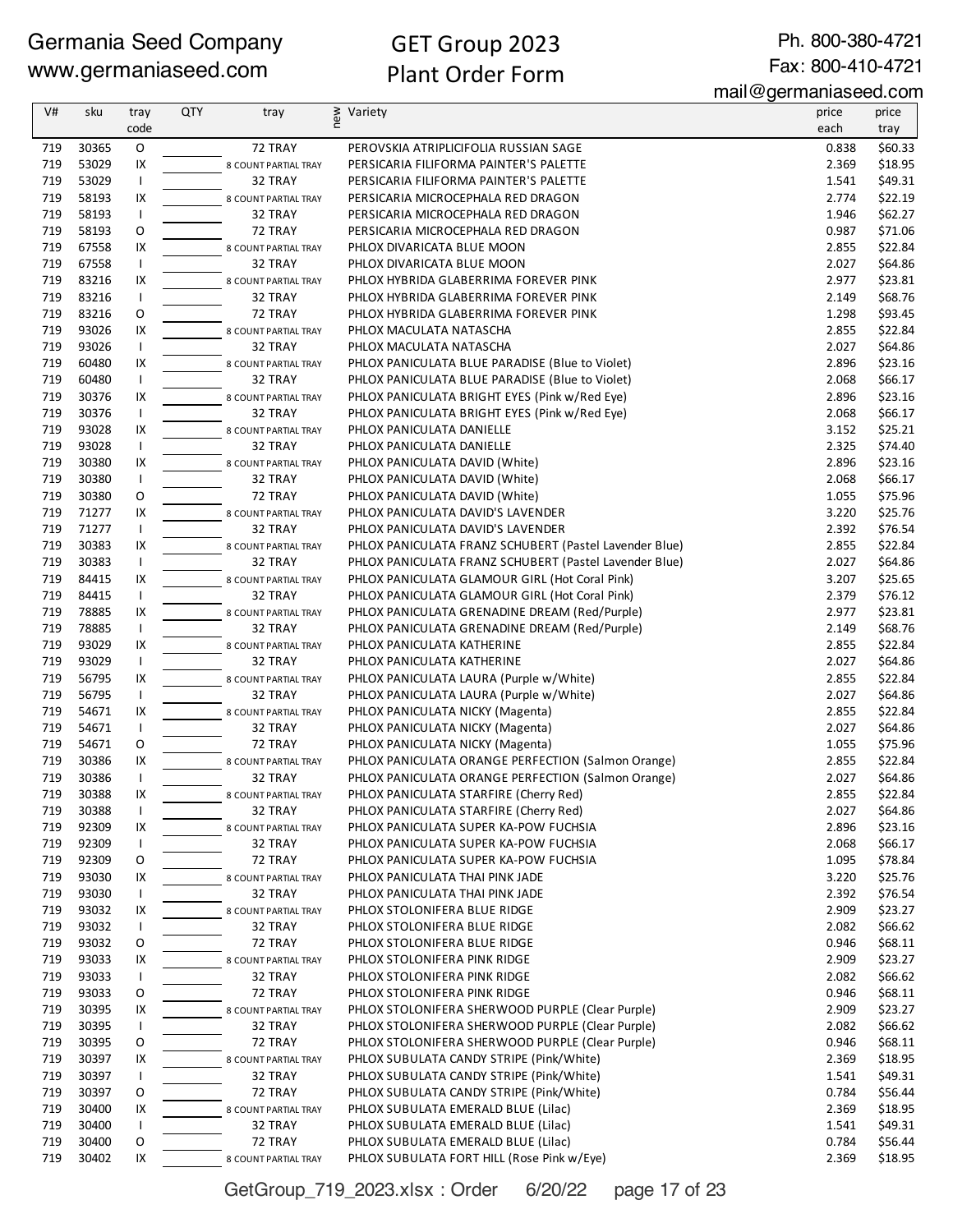# GET Group 2023 Plant Order Form

Ph. 800-380-4721 Fax: 800-410-4721

mail@germaniaseed.com

| V#         | sku            | tray               | <b>QTY</b> | tray                            | ≥ Variety<br>E                                                                   | price          | price              |
|------------|----------------|--------------------|------------|---------------------------------|----------------------------------------------------------------------------------|----------------|--------------------|
|            |                | code               |            |                                 |                                                                                  | each           | tray               |
| 719        | 30365          | O                  |            | 72 TRAY                         | PEROVSKIA ATRIPLICIFOLIA RUSSIAN SAGE                                            | 0.838          | \$60.33            |
| 719        | 53029          | IX                 |            | 8 COUNT PARTIAL TRAY            | PERSICARIA FILIFORMA PAINTER'S PALETTE                                           | 2.369          | \$18.95            |
| 719        | 53029          | $\mathbf{I}$       |            | 32 TRAY                         | PERSICARIA FILIFORMA PAINTER'S PALETTE                                           | 1.541          | \$49.31            |
| 719        | 58193          | IX                 |            | 8 COUNT PARTIAL TRAY            | PERSICARIA MICROCEPHALA RED DRAGON                                               | 2.774          | \$22.19            |
| 719        | 58193          | $\mathsf{I}$       |            | 32 TRAY                         | PERSICARIA MICROCEPHALA RED DRAGON                                               | 1.946          | \$62.27            |
| 719        | 58193          | O                  |            | 72 TRAY                         | PERSICARIA MICROCEPHALA RED DRAGON                                               | 0.987          | \$71.06            |
| 719        | 67558          | IX                 |            | 8 COUNT PARTIAL TRAY            | PHLOX DIVARICATA BLUE MOON                                                       | 2.855          | \$22.84            |
| 719        | 67558          | $\mathbf{I}$       |            | 32 TRAY                         | PHLOX DIVARICATA BLUE MOON                                                       | 2.027          | \$64.86            |
| 719        | 83216          | IX                 |            | 8 COUNT PARTIAL TRAY            | PHLOX HYBRIDA GLABERRIMA FOREVER PINK                                            | 2.977          | \$23.81            |
| 719        | 83216          | $\mathbf{I}$       |            | 32 TRAY                         | PHLOX HYBRIDA GLABERRIMA FOREVER PINK                                            | 2.149          | \$68.76            |
| 719        | 83216          | O                  |            | 72 TRAY                         | PHLOX HYBRIDA GLABERRIMA FOREVER PINK                                            | 1.298          | \$93.45            |
| 719<br>719 | 93026<br>93026 | IX<br>$\mathbf{I}$ |            | 8 COUNT PARTIAL TRAY            | PHLOX MACULATA NATASCHA                                                          | 2.855<br>2.027 | \$22.84<br>\$64.86 |
| 719        | 60480          | IX                 |            | 32 TRAY                         | PHLOX MACULATA NATASCHA<br>PHLOX PANICULATA BLUE PARADISE (Blue to Violet)       | 2.896          | \$23.16            |
| 719        | 60480          | $\mathsf{I}$       |            | 8 COUNT PARTIAL TRAY<br>32 TRAY | PHLOX PANICULATA BLUE PARADISE (Blue to Violet)                                  | 2.068          | \$66.17            |
| 719        | 30376          | IX                 |            | 8 COUNT PARTIAL TRAY            | PHLOX PANICULATA BRIGHT EYES (Pink w/Red Eye)                                    | 2.896          | \$23.16            |
| 719        | 30376          | $\mathbf{I}$       |            | 32 TRAY                         | PHLOX PANICULATA BRIGHT EYES (Pink w/Red Eye)                                    | 2.068          | \$66.17            |
| 719        | 93028          | IX                 |            | 8 COUNT PARTIAL TRAY            | PHLOX PANICULATA DANIELLE                                                        | 3.152          | \$25.21            |
| 719        | 93028          | $\mathsf{I}$       |            | 32 TRAY                         | PHLOX PANICULATA DANIELLE                                                        | 2.325          | \$74.40            |
| 719        | 30380          | IX                 |            | 8 COUNT PARTIAL TRAY            | PHLOX PANICULATA DAVID (White)                                                   | 2.896          | \$23.16            |
| 719        | 30380          | $\mathbf{I}$       |            | 32 TRAY                         | PHLOX PANICULATA DAVID (White)                                                   | 2.068          | \$66.17            |
| 719        | 30380          | O                  |            | 72 TRAY                         | PHLOX PANICULATA DAVID (White)                                                   | 1.055          | \$75.96            |
| 719        | 71277          | IX                 |            | 8 COUNT PARTIAL TRAY            | PHLOX PANICULATA DAVID'S LAVENDER                                                | 3.220          | \$25.76            |
| 719        | 71277          | $\mathbf{I}$       |            | 32 TRAY                         | PHLOX PANICULATA DAVID'S LAVENDER                                                | 2.392          | \$76.54            |
| 719        | 30383          | IX                 |            | 8 COUNT PARTIAL TRAY            | PHLOX PANICULATA FRANZ SCHUBERT (Pastel Lavender Blue)                           | 2.855          | \$22.84            |
| 719        | 30383          | $\mathsf{I}$       |            | 32 TRAY                         | PHLOX PANICULATA FRANZ SCHUBERT (Pastel Lavender Blue)                           | 2.027          | \$64.86            |
| 719        | 84415          | IX                 |            | 8 COUNT PARTIAL TRAY            | PHLOX PANICULATA GLAMOUR GIRL (Hot Coral Pink)                                   | 3.207          | \$25.65            |
| 719        | 84415          | $\mathsf{I}$       |            | 32 TRAY                         | PHLOX PANICULATA GLAMOUR GIRL (Hot Coral Pink)                                   | 2.379          | \$76.12            |
| 719        | 78885          | IX                 |            | 8 COUNT PARTIAL TRAY            | PHLOX PANICULATA GRENADINE DREAM (Red/Purple)                                    | 2.977          | \$23.81            |
| 719        | 78885          | $\mathbf{I}$       |            | 32 TRAY                         | PHLOX PANICULATA GRENADINE DREAM (Red/Purple)                                    | 2.149          | \$68.76            |
| 719        | 93029          | IX                 |            | 8 COUNT PARTIAL TRAY            | PHLOX PANICULATA KATHERINE                                                       | 2.855          | \$22.84            |
| 719        | 93029          | $\mathbf{I}$       |            | 32 TRAY                         | PHLOX PANICULATA KATHERINE                                                       | 2.027          | \$64.86            |
| 719        | 56795          | IX                 |            | 8 COUNT PARTIAL TRAY            | PHLOX PANICULATA LAURA (Purple w/White)                                          | 2.855          | \$22.84            |
| 719        | 56795          | $\mathsf{I}$       |            | 32 TRAY                         | PHLOX PANICULATA LAURA (Purple w/White)                                          | 2.027          | \$64.86            |
| 719        | 54671          | IX                 |            | 8 COUNT PARTIAL TRAY            | PHLOX PANICULATA NICKY (Magenta)                                                 | 2.855          | \$22.84            |
| 719        | 54671          | $\mathbf{I}$       |            | 32 TRAY                         | PHLOX PANICULATA NICKY (Magenta)                                                 | 2.027          | \$64.86            |
| 719        | 54671          | O                  |            | 72 TRAY                         | PHLOX PANICULATA NICKY (Magenta)                                                 | 1.055          | \$75.96            |
| 719        | 30386          | IX                 |            | 8 COUNT PARTIAL TRAY            | PHLOX PANICULATA ORANGE PERFECTION (Salmon Orange)                               | 2.855          | \$22.84            |
| 719        | 30386          | $\mathbf{I}$<br>IX |            | 32 TRAY                         | PHLOX PANICULATA ORANGE PERFECTION (Salmon Orange)                               | 2.027          | \$64.86<br>\$22.84 |
| 719<br>719 | 30388<br>30388 | $\mathsf{I}$       |            | 8 COUNT PARTIAL TRAY<br>32 TRAY | PHLOX PANICULATA STARFIRE (Cherry Red)<br>PHLOX PANICULATA STARFIRE (Cherry Red) | 2.855<br>2.027 | \$64.86            |
| 719        | 92309          | IX                 |            | 8 COUNT PARTIAL TRAY            | PHLOX PANICULATA SUPER KA-POW FUCHSIA                                            | 2.896          | \$23.16            |
| 719        | 92309          | $\mathsf{I}$       |            | 32 TRAY                         | PHLOX PANICULATA SUPER KA-POW FUCHSIA                                            | 2.068          | \$66.17            |
| 719        | 92309          | 0                  |            | 72 TRAY                         | PHLOX PANICULATA SUPER KA-POW FUCHSIA                                            | 1.095          | \$78.84            |
| 719        | 93030          | IX                 |            | 8 COUNT PARTIAL TRAY            | PHLOX PANICULATA THAI PINK JADE                                                  | 3.220          | \$25.76            |
| 719        | 93030          | $\mathsf{I}$       |            | 32 TRAY                         | PHLOX PANICULATA THAI PINK JADE                                                  | 2.392          | \$76.54            |
| 719        | 93032          | IX                 |            | 8 COUNT PARTIAL TRAY            | PHLOX STOLONIFERA BLUE RIDGE                                                     | 2.909          | \$23.27            |
| 719        | 93032          | $\mathbf{I}$       |            | 32 TRAY                         | PHLOX STOLONIFERA BLUE RIDGE                                                     | 2.082          | \$66.62            |
| 719        | 93032          | O                  |            | 72 TRAY                         | PHLOX STOLONIFERA BLUE RIDGE                                                     | 0.946          | \$68.11            |
| 719        | 93033          | IX                 |            | 8 COUNT PARTIAL TRAY            | PHLOX STOLONIFERA PINK RIDGE                                                     | 2.909          | \$23.27            |
| 719        | 93033          | $\mathsf{I}$       |            | 32 TRAY                         | PHLOX STOLONIFERA PINK RIDGE                                                     | 2.082          | \$66.62            |
| 719        | 93033          | O                  |            | 72 TRAY                         | PHLOX STOLONIFERA PINK RIDGE                                                     | 0.946          | \$68.11            |
| 719        | 30395          | IX                 |            | 8 COUNT PARTIAL TRAY            | PHLOX STOLONIFERA SHERWOOD PURPLE (Clear Purple)                                 | 2.909          | \$23.27            |
| 719        | 30395          | $\mathsf{I}$       |            | 32 TRAY                         | PHLOX STOLONIFERA SHERWOOD PURPLE (Clear Purple)                                 | 2.082          | \$66.62            |
| 719        | 30395          | O                  |            | 72 TRAY                         | PHLOX STOLONIFERA SHERWOOD PURPLE (Clear Purple)                                 | 0.946          | \$68.11            |
| 719        | 30397          | IX                 |            | 8 COUNT PARTIAL TRAY            | PHLOX SUBULATA CANDY STRIPE (Pink/White)                                         | 2.369          | \$18.95            |
| 719        | 30397          | $\mathsf{I}$       |            | 32 TRAY                         | PHLOX SUBULATA CANDY STRIPE (Pink/White)                                         | 1.541          | \$49.31            |
| 719        | 30397          | O                  |            | 72 TRAY                         | PHLOX SUBULATA CANDY STRIPE (Pink/White)                                         | 0.784          | \$56.44            |
| 719        | 30400          | IX                 |            | 8 COUNT PARTIAL TRAY            | PHLOX SUBULATA EMERALD BLUE (Lilac)                                              | 2.369          | \$18.95            |
| 719        | 30400          | $\mathbf{I}$       |            | 32 TRAY                         | PHLOX SUBULATA EMERALD BLUE (Lilac)                                              | 1.541          | \$49.31            |
| 719        | 30400          | O                  |            | 72 TRAY                         | PHLOX SUBULATA EMERALD BLUE (Lilac)                                              | 0.784          | \$56.44            |
| 719        | 30402          | IX                 |            | 8 COUNT PARTIAL TRAY            | PHLOX SUBULATA FORT HILL (Rose Pink w/Eye)                                       | 2.369          | \$18.95            |

GetGroup\_719\_2023.xlsx : Order 6/20/22 page 17 of 23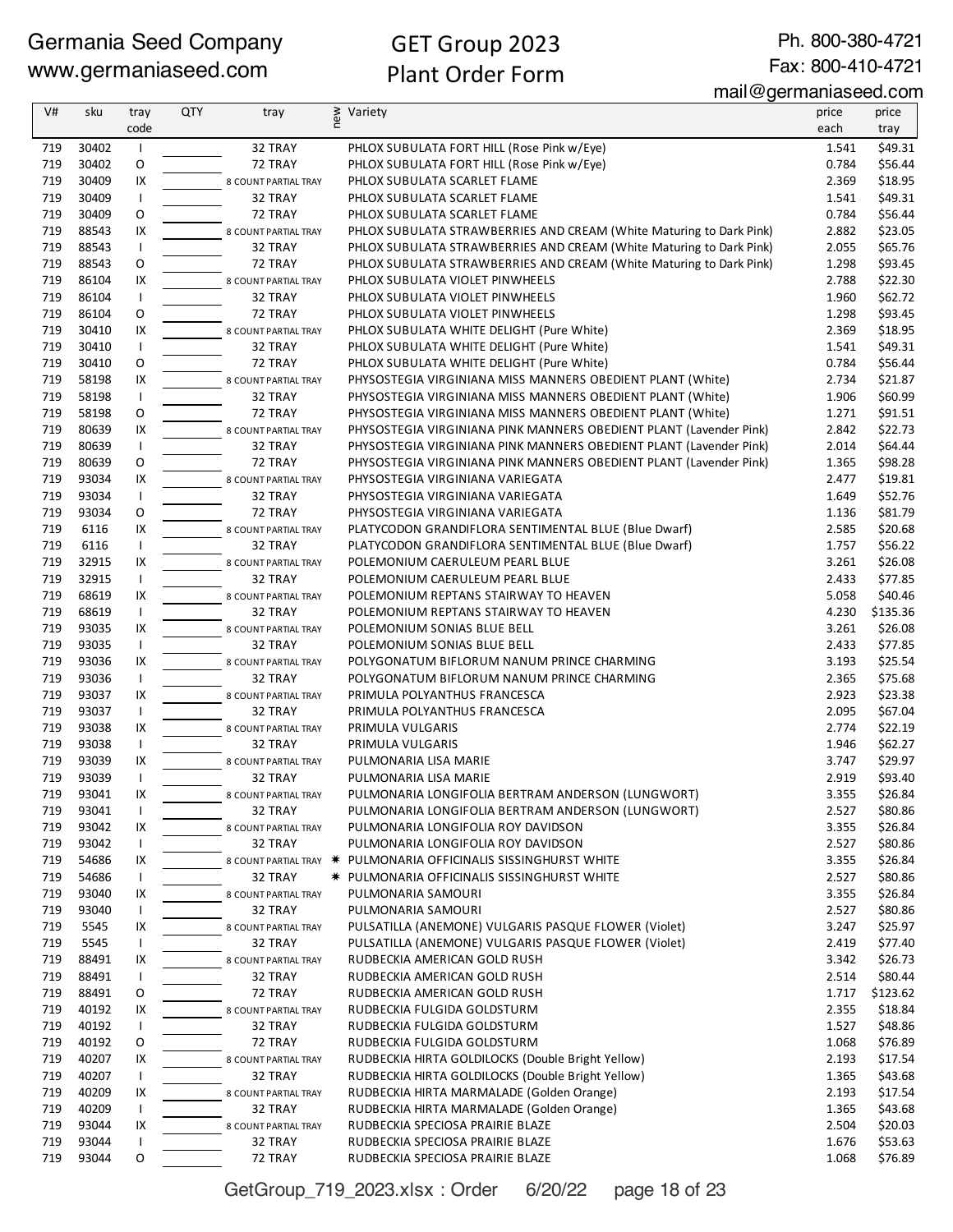Ph. 800-380-4721 Fax: 800-410-4721

mail@germaniaseed.com

| V#  | sku   | tray         | <b>QTY</b> | tray                 | new | Variety                                                             | price | price    |
|-----|-------|--------------|------------|----------------------|-----|---------------------------------------------------------------------|-------|----------|
|     |       | code         |            |                      |     |                                                                     | each  | tray     |
| 719 | 30402 | $\mathbf{I}$ |            | 32 TRAY              |     | PHLOX SUBULATA FORT HILL (Rose Pink w/Eye)                          | 1.541 | \$49.31  |
| 719 | 30402 | O            |            | 72 TRAY              |     | PHLOX SUBULATA FORT HILL (Rose Pink w/Eye)                          | 0.784 | \$56.44  |
| 719 | 30409 | IX           |            | 8 COUNT PARTIAL TRAY |     | PHLOX SUBULATA SCARLET FLAME                                        | 2.369 | \$18.95  |
| 719 | 30409 | $\mathsf{I}$ |            | 32 TRAY              |     | PHLOX SUBULATA SCARLET FLAME                                        | 1.541 | \$49.31  |
| 719 | 30409 | O            |            | 72 TRAY              |     | PHLOX SUBULATA SCARLET FLAME                                        | 0.784 | \$56.44  |
| 719 | 88543 | IX           |            | 8 COUNT PARTIAL TRAY |     | PHLOX SUBULATA STRAWBERRIES AND CREAM (White Maturing to Dark Pink) | 2.882 | \$23.05  |
| 719 | 88543 | $\mathbf{I}$ |            | 32 TRAY              |     | PHLOX SUBULATA STRAWBERRIES AND CREAM (White Maturing to Dark Pink) | 2.055 | \$65.76  |
| 719 | 88543 | O            |            | 72 TRAY              |     | PHLOX SUBULATA STRAWBERRIES AND CREAM (White Maturing to Dark Pink) | 1.298 | \$93.45  |
| 719 | 86104 | IX           |            | 8 COUNT PARTIAL TRAY |     | PHLOX SUBULATA VIOLET PINWHEELS                                     | 2.788 | \$22.30  |
| 719 | 86104 | $\mathbf{I}$ |            | 32 TRAY              |     | PHLOX SUBULATA VIOLET PINWHEELS                                     | 1.960 | \$62.72  |
| 719 | 86104 | O            |            | 72 TRAY              |     | PHLOX SUBULATA VIOLET PINWHEELS                                     | 1.298 | \$93.45  |
| 719 | 30410 | IX           |            | 8 COUNT PARTIAL TRAY |     | PHLOX SUBULATA WHITE DELIGHT (Pure White)                           | 2.369 | \$18.95  |
| 719 | 30410 | $\mathbf{I}$ |            | 32 TRAY              |     | PHLOX SUBULATA WHITE DELIGHT (Pure White)                           | 1.541 | \$49.31  |
| 719 | 30410 | O            |            | 72 TRAY              |     | PHLOX SUBULATA WHITE DELIGHT (Pure White)                           | 0.784 | \$56.44  |
| 719 | 58198 | IX           |            | 8 COUNT PARTIAL TRAY |     | PHYSOSTEGIA VIRGINIANA MISS MANNERS OBEDIENT PLANT (White)          | 2.734 | \$21.87  |
| 719 | 58198 | $\mathsf{I}$ |            | 32 TRAY              |     | PHYSOSTEGIA VIRGINIANA MISS MANNERS OBEDIENT PLANT (White)          | 1.906 | \$60.99  |
| 719 | 58198 | O            |            | 72 TRAY              |     | PHYSOSTEGIA VIRGINIANA MISS MANNERS OBEDIENT PLANT (White)          | 1.271 | \$91.51  |
| 719 | 80639 | IX           |            | 8 COUNT PARTIAL TRAY |     | PHYSOSTEGIA VIRGINIANA PINK MANNERS OBEDIENT PLANT (Lavender Pink)  | 2.842 | \$22.73  |
| 719 | 80639 | $\mathbf{I}$ |            | 32 TRAY              |     | PHYSOSTEGIA VIRGINIANA PINK MANNERS OBEDIENT PLANT (Lavender Pink)  | 2.014 | \$64.44  |
| 719 | 80639 | O            |            | 72 TRAY              |     | PHYSOSTEGIA VIRGINIANA PINK MANNERS OBEDIENT PLANT (Lavender Pink)  | 1.365 | \$98.28  |
| 719 | 93034 | IX           |            | 8 COUNT PARTIAL TRAY |     | PHYSOSTEGIA VIRGINIANA VARIEGATA                                    | 2.477 | \$19.81  |
| 719 | 93034 | $\mathsf{I}$ |            | 32 TRAY              |     | PHYSOSTEGIA VIRGINIANA VARIEGATA                                    | 1.649 | \$52.76  |
| 719 | 93034 | O            |            | 72 TRAY              |     | PHYSOSTEGIA VIRGINIANA VARIEGATA                                    | 1.136 | \$81.79  |
| 719 | 6116  | IX           |            | 8 COUNT PARTIAL TRAY |     | PLATYCODON GRANDIFLORA SENTIMENTAL BLUE (Blue Dwarf)                | 2.585 | \$20.68  |
| 719 | 6116  | $\mathsf{I}$ |            | 32 TRAY              |     | PLATYCODON GRANDIFLORA SENTIMENTAL BLUE (Blue Dwarf)                | 1.757 | \$56.22  |
| 719 | 32915 | IX           |            | 8 COUNT PARTIAL TRAY |     | POLEMONIUM CAERULEUM PEARL BLUE                                     | 3.261 | \$26.08  |
| 719 | 32915 | $\mathbf{I}$ |            | 32 TRAY              |     | POLEMONIUM CAERULEUM PEARL BLUE                                     | 2.433 | \$77.85  |
| 719 | 68619 | IX           |            | 8 COUNT PARTIAL TRAY |     | POLEMONIUM REPTANS STAIRWAY TO HEAVEN                               | 5.058 | \$40.46  |
| 719 | 68619 | $\mathbf{I}$ |            | 32 TRAY              |     | POLEMONIUM REPTANS STAIRWAY TO HEAVEN                               | 4.230 | \$135.36 |
| 719 | 93035 | IX           |            | 8 COUNT PARTIAL TRAY |     | POLEMONIUM SONIAS BLUE BELL                                         | 3.261 | \$26.08  |
| 719 | 93035 | $\mathsf{I}$ |            | 32 TRAY              |     | POLEMONIUM SONIAS BLUE BELL                                         | 2.433 | \$77.85  |
| 719 | 93036 | IX           |            | 8 COUNT PARTIAL TRAY |     | POLYGONATUM BIFLORUM NANUM PRINCE CHARMING                          | 3.193 | \$25.54  |
| 719 | 93036 | $\mathbf{I}$ |            | 32 TRAY              |     | POLYGONATUM BIFLORUM NANUM PRINCE CHARMING                          | 2.365 | \$75.68  |
| 719 | 93037 | IX           |            | 8 COUNT PARTIAL TRAY |     | PRIMULA POLYANTHUS FRANCESCA                                        | 2.923 | \$23.38  |
| 719 | 93037 | $\mathbf{I}$ |            | 32 TRAY              |     | PRIMULA POLYANTHUS FRANCESCA                                        | 2.095 | \$67.04  |
| 719 | 93038 | IX           |            | 8 COUNT PARTIAL TRAY |     | PRIMULA VULGARIS                                                    | 2.774 | \$22.19  |
| 719 | 93038 | $\mathbf{I}$ |            | 32 TRAY              |     | PRIMULA VULGARIS                                                    | 1.946 | \$62.27  |
| 719 | 93039 | IX           |            | 8 COUNT PARTIAL TRAY |     | PULMONARIA LISA MARIE                                               | 3.747 | \$29.97  |
| 719 | 93039 | $\mathsf{I}$ |            | 32 TRAY              |     | PULMONARIA LISA MARIE                                               | 2.919 | \$93.40  |
| 719 | 93041 | IX           |            | 8 COUNT PARTIAL TRAY |     | PULMONARIA LONGIFOLIA BERTRAM ANDERSON (LUNGWORT)                   | 3.355 | \$26.84  |
| 719 | 93041 | $\mathbf{I}$ |            | 32 TRAY              |     | PULMONARIA LONGIFOLIA BERTRAM ANDERSON (LUNGWORT)                   | 2.527 | \$80.86  |
| 719 | 93042 | IX           |            | 8 COUNT PARTIAL TRAY |     | PULMONARIA LONGIFOLIA ROY DAVIDSON                                  | 3.355 | \$26.84  |
| 719 | 93042 | $\mathsf{I}$ |            | 32 TRAY              |     | PULMONARIA LONGIFOLIA ROY DAVIDSON                                  | 2.527 | \$80.86  |
| 719 | 54686 | IX           |            |                      |     | 8 COUNT PARTIAL TRAY * PULMONARIA OFFICINALIS SISSINGHURST WHITE    | 3.355 | \$26.84  |
| 719 | 54686 | $\mathbf{I}$ |            | 32 TRAY              |     | <b>★ PULMONARIA OFFICINALIS SISSINGHURST WHITE</b>                  | 2.527 | \$80.86  |
| 719 | 93040 | IX           |            | 8 COUNT PARTIAL TRAY |     | PULMONARIA SAMOURI                                                  | 3.355 | \$26.84  |
| 719 | 93040 | I            |            | 32 TRAY              |     | PULMONARIA SAMOURI                                                  | 2.527 | \$80.86  |
| 719 | 5545  | IX           |            | 8 COUNT PARTIAL TRAY |     | PULSATILLA (ANEMONE) VULGARIS PASQUE FLOWER (Violet)                | 3.247 | \$25.97  |
| 719 | 5545  | $\mathbf{I}$ |            | 32 TRAY              |     | PULSATILLA (ANEMONE) VULGARIS PASQUE FLOWER (Violet)                | 2.419 | \$77.40  |
| 719 | 88491 | IX           |            | 8 COUNT PARTIAL TRAY |     | RUDBECKIA AMERICAN GOLD RUSH                                        | 3.342 | \$26.73  |
| 719 | 88491 | $\mathsf{I}$ |            | 32 TRAY              |     | RUDBECKIA AMERICAN GOLD RUSH                                        | 2.514 | \$80.44  |
| 719 | 88491 | O            |            | 72 TRAY              |     | RUDBECKIA AMERICAN GOLD RUSH                                        | 1.717 | \$123.62 |
| 719 | 40192 | IX           |            | 8 COUNT PARTIAL TRAY |     | RUDBECKIA FULGIDA GOLDSTURM                                         | 2.355 | \$18.84  |
| 719 | 40192 | $\mathbf{I}$ |            | 32 TRAY              |     | RUDBECKIA FULGIDA GOLDSTURM                                         | 1.527 | \$48.86  |
| 719 | 40192 | O            |            | 72 TRAY              |     | RUDBECKIA FULGIDA GOLDSTURM                                         | 1.068 | \$76.89  |
| 719 | 40207 | IX           |            | 8 COUNT PARTIAL TRAY |     | RUDBECKIA HIRTA GOLDILOCKS (Double Bright Yellow)                   | 2.193 | \$17.54  |
| 719 | 40207 | $\mathsf{l}$ |            | 32 TRAY              |     | RUDBECKIA HIRTA GOLDILOCKS (Double Bright Yellow)                   | 1.365 | \$43.68  |
| 719 | 40209 | IX           |            | 8 COUNT PARTIAL TRAY |     | RUDBECKIA HIRTA MARMALADE (Golden Orange)                           | 2.193 | \$17.54  |
| 719 | 40209 | $\mathbf{I}$ |            | 32 TRAY              |     | RUDBECKIA HIRTA MARMALADE (Golden Orange)                           | 1.365 | \$43.68  |
| 719 | 93044 | IX           |            | 8 COUNT PARTIAL TRAY |     | RUDBECKIA SPECIOSA PRAIRIE BLAZE                                    | 2.504 | \$20.03  |
| 719 | 93044 |              |            | 32 TRAY              |     | RUDBECKIA SPECIOSA PRAIRIE BLAZE                                    | 1.676 | \$53.63  |
| 719 | 93044 | O            |            | 72 TRAY              |     | RUDBECKIA SPECIOSA PRAIRIE BLAZE                                    | 1.068 | \$76.89  |

GetGroup\_719\_2023.xlsx : Order 6/20/22 page 18 of 23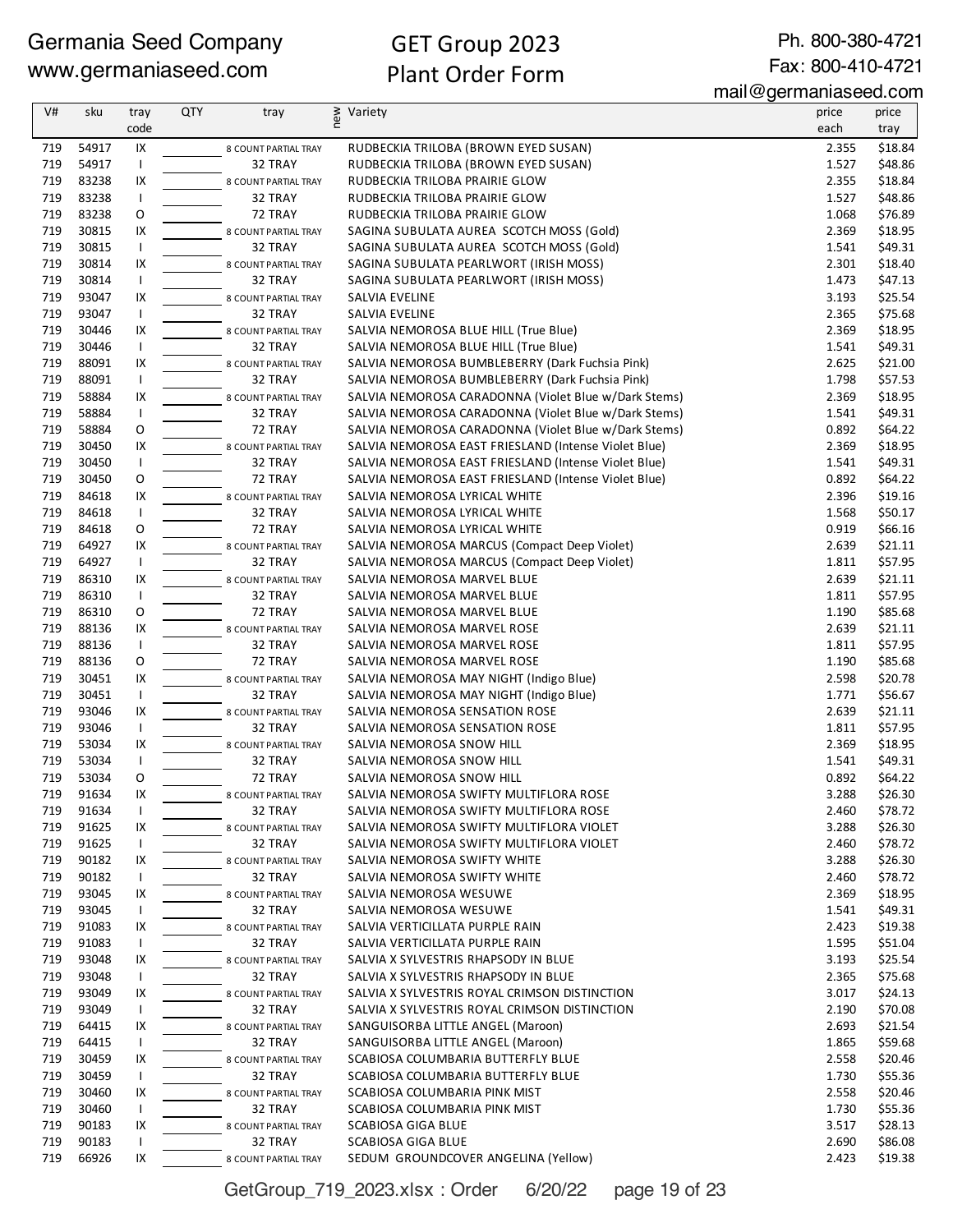# GET Group 2023 Plant Order Form

Ph. 800-380-4721 Fax: 800-410-4721

mail@germaniaseed.com

| V#  | sku   | tray                     | <b>QTY</b> | tray                 | new | Variety                                              | price | price   |
|-----|-------|--------------------------|------------|----------------------|-----|------------------------------------------------------|-------|---------|
|     |       | code                     |            |                      |     |                                                      | each  | tray    |
| 719 | 54917 | IX                       |            | 8 COUNT PARTIAL TRAY |     | RUDBECKIA TRILOBA (BROWN EYED SUSAN)                 | 2.355 | \$18.84 |
| 719 | 54917 | Τ.                       |            | 32 TRAY              |     | RUDBECKIA TRILOBA (BROWN EYED SUSAN)                 | 1.527 | \$48.86 |
| 719 | 83238 | IX                       |            | 8 COUNT PARTIAL TRAY |     | RUDBECKIA TRILOBA PRAIRIE GLOW                       | 2.355 | \$18.84 |
| 719 | 83238 | $\mathsf{I}$             |            | 32 TRAY              |     | RUDBECKIA TRILOBA PRAIRIE GLOW                       | 1.527 | \$48.86 |
| 719 | 83238 | O                        |            | 72 TRAY              |     | RUDBECKIA TRILOBA PRAIRIE GLOW                       | 1.068 | \$76.89 |
| 719 | 30815 | IX                       |            | 8 COUNT PARTIAL TRAY |     | SAGINA SUBULATA AUREA SCOTCH MOSS (Gold)             | 2.369 | \$18.95 |
| 719 | 30815 | $\mathsf{I}$             |            | 32 TRAY              |     | SAGINA SUBULATA AUREA SCOTCH MOSS (Gold)             | 1.541 | \$49.31 |
| 719 | 30814 | IX                       |            | 8 COUNT PARTIAL TRAY |     | SAGINA SUBULATA PEARLWORT (IRISH MOSS)               | 2.301 | \$18.40 |
| 719 | 30814 | $\mathbf{I}$             |            | 32 TRAY              |     | SAGINA SUBULATA PEARLWORT (IRISH MOSS)               | 1.473 | \$47.13 |
| 719 | 93047 | IX                       |            | 8 COUNT PARTIAL TRAY |     | SALVIA EVELINE                                       | 3.193 | \$25.54 |
| 719 | 93047 | $\mathbf{I}$             |            | 32 TRAY              |     | SALVIA EVELINE                                       | 2.365 | \$75.68 |
| 719 | 30446 | IX                       |            | 8 COUNT PARTIAL TRAY |     | SALVIA NEMOROSA BLUE HILL (True Blue)                | 2.369 | \$18.95 |
| 719 | 30446 | $\mathsf{I}$             |            | 32 TRAY              |     | SALVIA NEMOROSA BLUE HILL (True Blue)                | 1.541 | \$49.31 |
| 719 | 88091 | IX                       |            | 8 COUNT PARTIAL TRAY |     | SALVIA NEMOROSA BUMBLEBERRY (Dark Fuchsia Pink)      | 2.625 | \$21.00 |
| 719 | 88091 | Τ.                       |            | 32 TRAY              |     | SALVIA NEMOROSA BUMBLEBERRY (Dark Fuchsia Pink)      | 1.798 | \$57.53 |
| 719 | 58884 | IX                       |            | 8 COUNT PARTIAL TRAY |     | SALVIA NEMOROSA CARADONNA (Violet Blue w/Dark Stems) | 2.369 | \$18.95 |
| 719 | 58884 | $\mathbf{I}$             |            | 32 TRAY              |     | SALVIA NEMOROSA CARADONNA (Violet Blue w/Dark Stems) | 1.541 | \$49.31 |
| 719 | 58884 | O                        |            | 72 TRAY              |     | SALVIA NEMOROSA CARADONNA (Violet Blue w/Dark Stems) | 0.892 | \$64.22 |
| 719 | 30450 | IX                       |            | 8 COUNT PARTIAL TRAY |     | SALVIA NEMOROSA EAST FRIESLAND (Intense Violet Blue) | 2.369 | \$18.95 |
| 719 | 30450 | $\mathbf{I}$             |            | 32 TRAY              |     | SALVIA NEMOROSA EAST FRIESLAND (Intense Violet Blue) | 1.541 | \$49.31 |
| 719 | 30450 | O                        |            | 72 TRAY              |     | SALVIA NEMOROSA EAST FRIESLAND (Intense Violet Blue) | 0.892 | \$64.22 |
| 719 | 84618 | IX                       |            | 8 COUNT PARTIAL TRAY |     | SALVIA NEMOROSA LYRICAL WHITE                        | 2.396 | \$19.16 |
| 719 | 84618 | $\mathsf{I}$             |            | 32 TRAY              |     | SALVIA NEMOROSA LYRICAL WHITE                        | 1.568 | \$50.17 |
| 719 | 84618 | O                        |            | 72 TRAY              |     | SALVIA NEMOROSA LYRICAL WHITE                        | 0.919 | \$66.16 |
| 719 | 64927 | IX                       |            | 8 COUNT PARTIAL TRAY |     | SALVIA NEMOROSA MARCUS (Compact Deep Violet)         | 2.639 | \$21.11 |
| 719 | 64927 | $\mathsf{I}$             |            | 32 TRAY              |     | SALVIA NEMOROSA MARCUS (Compact Deep Violet)         | 1.811 | \$57.95 |
| 719 | 86310 | IX                       |            | 8 COUNT PARTIAL TRAY |     | SALVIA NEMOROSA MARVEL BLUE                          | 2.639 | \$21.11 |
| 719 | 86310 | $\mathbf{I}$             |            | 32 TRAY              |     | SALVIA NEMOROSA MARVEL BLUE                          | 1.811 | \$57.95 |
| 719 | 86310 | 0                        |            | 72 TRAY              |     | SALVIA NEMOROSA MARVEL BLUE                          | 1.190 | \$85.68 |
| 719 | 88136 | IX                       |            | 8 COUNT PARTIAL TRAY |     | SALVIA NEMOROSA MARVEL ROSE                          | 2.639 | \$21.11 |
| 719 | 88136 | $\mathsf{I}$             |            | 32 TRAY              |     | SALVIA NEMOROSA MARVEL ROSE                          | 1.811 | \$57.95 |
| 719 | 88136 | O                        |            | 72 TRAY              |     | SALVIA NEMOROSA MARVEL ROSE                          | 1.190 | \$85.68 |
| 719 | 30451 | IX                       |            | 8 COUNT PARTIAL TRAY |     | SALVIA NEMOROSA MAY NIGHT (Indigo Blue)              | 2.598 | \$20.78 |
| 719 | 30451 | $\mathsf{I}$             |            | 32 TRAY              |     | SALVIA NEMOROSA MAY NIGHT (Indigo Blue)              | 1.771 | \$56.67 |
| 719 | 93046 | IX                       |            | 8 COUNT PARTIAL TRAY |     | SALVIA NEMOROSA SENSATION ROSE                       | 2.639 | \$21.11 |
| 719 | 93046 | $\mathsf{I}$             |            | 32 TRAY              |     | SALVIA NEMOROSA SENSATION ROSE                       | 1.811 | \$57.95 |
| 719 | 53034 | IX                       |            | 8 COUNT PARTIAL TRAY |     | SALVIA NEMOROSA SNOW HILL                            | 2.369 | \$18.95 |
| 719 | 53034 | $\mathbf{I}$             |            | 32 TRAY              |     | SALVIA NEMOROSA SNOW HILL                            | 1.541 | \$49.31 |
| 719 | 53034 | 0                        |            | 72 TRAY              |     | SALVIA NEMOROSA SNOW HILL                            | 0.892 | \$64.22 |
| 719 | 91634 | IX                       |            | 8 COUNT PARTIAL TRAY |     | SALVIA NEMOROSA SWIFTY MULTIFLORA ROSE               | 3.288 | \$26.30 |
| 719 | 91634 | $\overline{\phantom{a}}$ |            | 32 TRAY              |     | SALVIA NEMOROSA SWIFTY MULTIFLORA ROSE               | 2.460 | \$78.72 |
| 719 | 91625 | IX                       |            | 8 COUNT PARTIAL TRAY |     | SALVIA NEMOROSA SWIFTY MULTIFLORA VIOLET             | 3.288 | \$26.30 |
| 719 | 91625 | $\mathbf{I}$             |            | 32 TRAY              |     | SALVIA NEMOROSA SWIFTY MULTIFLORA VIOLET             | 2.460 | \$78.72 |
| 719 | 90182 | IX                       |            | 8 COUNT PARTIAL TRAY |     | SALVIA NEMOROSA SWIFTY WHITE                         | 3.288 | \$26.30 |
| 719 | 90182 | $\mathbf{I}$             |            | 32 TRAY              |     | SALVIA NEMOROSA SWIFTY WHITE                         | 2.460 | \$78.72 |
| 719 | 93045 | IX                       |            | 8 COUNT PARTIAL TRAY |     | SALVIA NEMOROSA WESUWE                               | 2.369 | \$18.95 |
| 719 | 93045 | $\mathbf{I}$             |            | 32 TRAY              |     | SALVIA NEMOROSA WESUWE                               | 1.541 | \$49.31 |
| 719 | 91083 | IX                       |            | 8 COUNT PARTIAL TRAY |     | SALVIA VERTICILLATA PURPLE RAIN                      | 2.423 | \$19.38 |
| 719 | 91083 | $\mathbf{I}$             |            | 32 TRAY              |     | SALVIA VERTICILLATA PURPLE RAIN                      | 1.595 | \$51.04 |
| 719 | 93048 | IX                       |            | 8 COUNT PARTIAL TRAY |     | SALVIA X SYLVESTRIS RHAPSODY IN BLUE                 | 3.193 | \$25.54 |
| 719 | 93048 | $\mathbf{I}$             |            | 32 TRAY              |     | SALVIA X SYLVESTRIS RHAPSODY IN BLUE                 | 2.365 | \$75.68 |
| 719 | 93049 | IX                       |            | 8 COUNT PARTIAL TRAY |     | SALVIA X SYLVESTRIS ROYAL CRIMSON DISTINCTION        | 3.017 | \$24.13 |
| 719 | 93049 | $\mathbf{I}$             |            | 32 TRAY              |     | SALVIA X SYLVESTRIS ROYAL CRIMSON DISTINCTION        | 2.190 | \$70.08 |
| 719 | 64415 | IX                       |            | 8 COUNT PARTIAL TRAY |     | SANGUISORBA LITTLE ANGEL (Maroon)                    | 2.693 | \$21.54 |
| 719 | 64415 | $\mathbf{I}$             |            | 32 TRAY              |     | SANGUISORBA LITTLE ANGEL (Maroon)                    | 1.865 | \$59.68 |
| 719 | 30459 | IX                       |            | 8 COUNT PARTIAL TRAY |     | SCABIOSA COLUMBARIA BUTTERFLY BLUE                   | 2.558 | \$20.46 |
| 719 | 30459 | $\mathbf{I}$             |            | 32 TRAY              |     | SCABIOSA COLUMBARIA BUTTERFLY BLUE                   | 1.730 | \$55.36 |
| 719 | 30460 | IX                       |            | 8 COUNT PARTIAL TRAY |     | SCABIOSA COLUMBARIA PINK MIST                        | 2.558 | \$20.46 |
| 719 | 30460 | $\mathsf{I}$             |            | 32 TRAY              |     | SCABIOSA COLUMBARIA PINK MIST                        | 1.730 | \$55.36 |
| 719 | 90183 | IX                       |            | 8 COUNT PARTIAL TRAY |     | SCABIOSA GIGA BLUE                                   | 3.517 | \$28.13 |
| 719 | 90183 | $\mathbf{I}$             |            | 32 TRAY              |     | SCABIOSA GIGA BLUE                                   | 2.690 | \$86.08 |
| 719 | 66926 | IX                       |            | 8 COUNT PARTIAL TRAY |     | SEDUM GROUNDCOVER ANGELINA (Yellow)                  | 2.423 | \$19.38 |

GetGroup\_719\_2023.xlsx : Order 6/20/22 page 19 of 23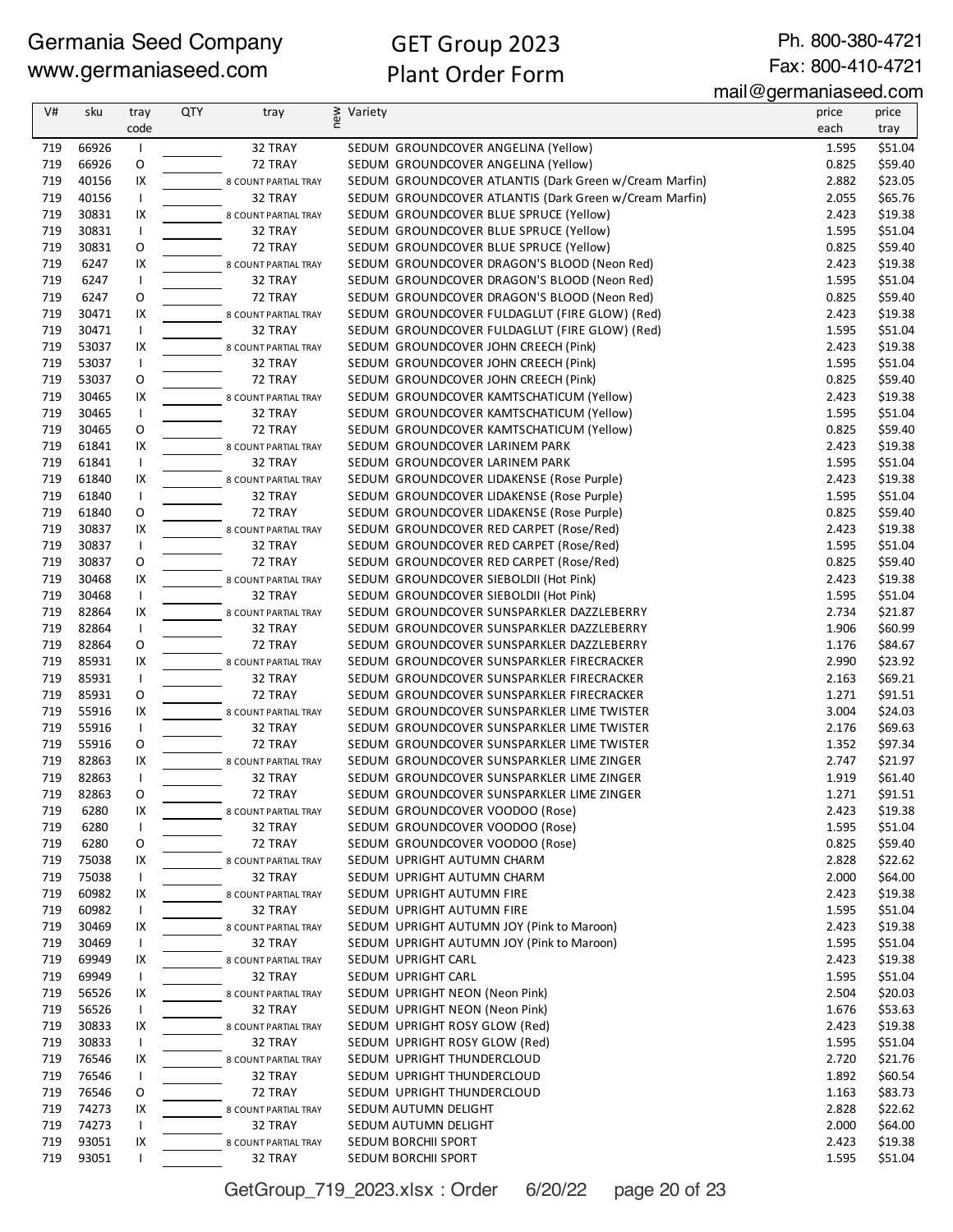# GET Group 2023 Plant Order Form

Ph. 800-380-4721 Fax: 800-410-4721

| V#  | sku   | tray           | <b>QTY</b> | tray                 | new | Variety |                                                        | price | price   |
|-----|-------|----------------|------------|----------------------|-----|---------|--------------------------------------------------------|-------|---------|
|     |       | code           |            |                      |     |         |                                                        | each  | tray    |
| 719 | 66926 | $\mathbf{I}$   |            | 32 TRAY              |     |         | SEDUM GROUNDCOVER ANGELINA (Yellow)                    | 1.595 | \$51.04 |
| 719 | 66926 | O              |            | 72 TRAY              |     |         | SEDUM GROUNDCOVER ANGELINA (Yellow)                    | 0.825 | \$59.40 |
| 719 | 40156 | IX             |            | 8 COUNT PARTIAL TRAY |     |         | SEDUM GROUNDCOVER ATLANTIS (Dark Green w/Cream Marfin) | 2.882 | \$23.05 |
| 719 | 40156 | $\overline{1}$ |            | 32 TRAY              |     |         | SEDUM GROUNDCOVER ATLANTIS (Dark Green w/Cream Marfin) | 2.055 | \$65.76 |
| 719 | 30831 | IX             |            | 8 COUNT PARTIAL TRAY |     |         | SEDUM GROUNDCOVER BLUE SPRUCE (Yellow)                 | 2.423 | \$19.38 |
| 719 | 30831 | $\mathbf{I}$   |            | 32 TRAY              |     |         | SEDUM GROUNDCOVER BLUE SPRUCE (Yellow)                 | 1.595 | \$51.04 |
| 719 | 30831 | O              |            | 72 TRAY              |     |         | SEDUM GROUNDCOVER BLUE SPRUCE (Yellow)                 | 0.825 | \$59.40 |
| 719 | 6247  | IX             |            | 8 COUNT PARTIAL TRAY |     |         | SEDUM GROUNDCOVER DRAGON'S BLOOD (Neon Red)            | 2.423 | \$19.38 |
| 719 | 6247  | $\mathbf{I}$   |            | 32 TRAY              |     |         | SEDUM GROUNDCOVER DRAGON'S BLOOD (Neon Red)            | 1.595 | \$51.04 |
| 719 | 6247  | O              |            | 72 TRAY              |     |         | SEDUM GROUNDCOVER DRAGON'S BLOOD (Neon Red)            | 0.825 | \$59.40 |
| 719 | 30471 | IX             |            | 8 COUNT PARTIAL TRAY |     |         | SEDUM GROUNDCOVER FULDAGLUT (FIRE GLOW) (Red)          | 2.423 | \$19.38 |
| 719 | 30471 | T              |            | 32 TRAY              |     |         | SEDUM GROUNDCOVER FULDAGLUT (FIRE GLOW) (Red)          | 1.595 | \$51.04 |
| 719 | 53037 | IX             |            | 8 COUNT PARTIAL TRAY |     |         | SEDUM GROUNDCOVER JOHN CREECH (Pink)                   | 2.423 | \$19.38 |
| 719 | 53037 | $\mathbf{I}$   |            | 32 TRAY              |     |         | SEDUM GROUNDCOVER JOHN CREECH (Pink)                   | 1.595 | \$51.04 |
| 719 | 53037 | O              |            | 72 TRAY              |     |         | SEDUM GROUNDCOVER JOHN CREECH (Pink)                   | 0.825 | \$59.40 |
| 719 | 30465 | IX             |            | 8 COUNT PARTIAL TRAY |     |         | SEDUM GROUNDCOVER KAMTSCHATICUM (Yellow)               | 2.423 | \$19.38 |
| 719 | 30465 | $\mathbf{I}$   |            | 32 TRAY              |     |         | SEDUM GROUNDCOVER KAMTSCHATICUM (Yellow)               | 1.595 | \$51.04 |
| 719 | 30465 | O              |            | 72 TRAY              |     |         | SEDUM GROUNDCOVER KAMTSCHATICUM (Yellow)               | 0.825 | \$59.40 |
| 719 | 61841 | IX             |            | 8 COUNT PARTIAL TRAY |     |         | SEDUM GROUNDCOVER LARINEM PARK                         | 2.423 | \$19.38 |
| 719 | 61841 | T              |            | 32 TRAY              |     |         | SEDUM GROUNDCOVER LARINEM PARK                         | 1.595 | \$51.04 |
| 719 | 61840 | IX             |            | 8 COUNT PARTIAL TRAY |     |         | SEDUM GROUNDCOVER LIDAKENSE (Rose Purple)              | 2.423 | \$19.38 |
| 719 | 61840 | $\mathbf{I}$   |            | 32 TRAY              |     |         | SEDUM GROUNDCOVER LIDAKENSE (Rose Purple)              | 1.595 | \$51.04 |
| 719 | 61840 | O              |            | 72 TRAY              |     |         | SEDUM GROUNDCOVER LIDAKENSE (Rose Purple)              | 0.825 | \$59.40 |
| 719 | 30837 | IX             |            | 8 COUNT PARTIAL TRAY |     |         | SEDUM GROUNDCOVER RED CARPET (Rose/Red)                | 2.423 | \$19.38 |
| 719 | 30837 | $\mathbf{I}$   |            | 32 TRAY              |     |         | SEDUM GROUNDCOVER RED CARPET (Rose/Red)                | 1.595 | \$51.04 |
| 719 | 30837 | O              |            | 72 TRAY              |     |         | SEDUM GROUNDCOVER RED CARPET (Rose/Red)                | 0.825 | \$59.40 |
| 719 | 30468 | IX             |            | 8 COUNT PARTIAL TRAY |     |         | SEDUM GROUNDCOVER SIEBOLDII (Hot Pink)                 | 2.423 | \$19.38 |
| 719 | 30468 | $\mathbf{I}$   |            | 32 TRAY              |     |         | SEDUM GROUNDCOVER SIEBOLDII (Hot Pink)                 | 1.595 | \$51.04 |
| 719 | 82864 | IX             |            | 8 COUNT PARTIAL TRAY |     |         | SEDUM GROUNDCOVER SUNSPARKLER DAZZLEBERRY              | 2.734 | \$21.87 |
| 719 | 82864 | $\mathbf{I}$   |            | 32 TRAY              |     |         | SEDUM GROUNDCOVER SUNSPARKLER DAZZLEBERRY              | 1.906 | \$60.99 |
| 719 | 82864 | O              |            | 72 TRAY              |     |         | SEDUM GROUNDCOVER SUNSPARKLER DAZZLEBERRY              | 1.176 | \$84.67 |
| 719 | 85931 | IX             |            | 8 COUNT PARTIAL TRAY |     |         | SEDUM GROUNDCOVER SUNSPARKLER FIRECRACKER              | 2.990 | \$23.92 |
| 719 | 85931 | $\mathbf{I}$   |            | 32 TRAY              |     |         | SEDUM GROUNDCOVER SUNSPARKLER FIRECRACKER              | 2.163 | \$69.21 |
| 719 | 85931 | 0              |            | 72 TRAY              |     |         | SEDUM GROUNDCOVER SUNSPARKLER FIRECRACKER              | 1.271 | \$91.51 |
| 719 | 55916 | IX             |            | 8 COUNT PARTIAL TRAY |     |         | SEDUM GROUNDCOVER SUNSPARKLER LIME TWISTER             | 3.004 | \$24.03 |
| 719 | 55916 | $\mathbf{I}$   |            | 32 TRAY              |     |         | SEDUM GROUNDCOVER SUNSPARKLER LIME TWISTER             | 2.176 | \$69.63 |
| 719 | 55916 | O              |            | 72 TRAY              |     |         | SEDUM GROUNDCOVER SUNSPARKLER LIME TWISTER             | 1.352 | \$97.34 |
| 719 | 82863 | IX             |            | 8 COUNT PARTIAL TRAY |     |         | SEDUM GROUNDCOVER SUNSPARKLER LIME ZINGER              | 2.747 | \$21.97 |
| 719 | 82863 | T              |            | 32 TRAY              |     |         | SEDUM GROUNDCOVER SUNSPARKLER LIME ZINGER              | 1.919 | \$61.40 |
| 719 | 82863 | O              |            | 72 TRAY              |     |         | SEDUM GROUNDCOVER SUNSPARKLER LIME ZINGER              | 1.271 | \$91.51 |
| 719 | 6280  | IX             |            | 8 COUNT PARTIAL TRAY |     |         | SEDUM GROUNDCOVER VOODOO (Rose)                        | 2.423 | \$19.38 |
| 719 | 6280  | I.             |            | 32 TRAY              |     |         | SEDUM GROUNDCOVER VOODOO (Rose)                        | 1.595 | \$51.04 |
| 719 | 6280  | 0              |            | 72 TRAY              |     |         | SEDUM GROUNDCOVER VOODOO (Rose)                        | 0.825 | \$59.40 |
| 719 | 75038 | IX             |            | 8 COUNT PARTIAL TRAY |     |         | SEDUM UPRIGHT AUTUMN CHARM                             | 2.828 | \$22.62 |
| 719 | 75038 | $\mathbf{I}$   |            | 32 TRAY              |     |         | SEDUM UPRIGHT AUTUMN CHARM                             | 2.000 | \$64.00 |
| 719 | 60982 | IX             |            | 8 COUNT PARTIAL TRAY |     |         | SEDUM UPRIGHT AUTUMN FIRE                              | 2.423 | \$19.38 |
| 719 | 60982 | ı              |            | 32 TRAY              |     |         | SEDUM UPRIGHT AUTUMN FIRE                              | 1.595 | \$51.04 |
| 719 | 30469 | IX             |            | 8 COUNT PARTIAL TRAY |     |         | SEDUM UPRIGHT AUTUMN JOY (Pink to Maroon)              | 2.423 | \$19.38 |
| 719 | 30469 | $\mathbf{I}$   |            | 32 TRAY              |     |         | SEDUM UPRIGHT AUTUMN JOY (Pink to Maroon)              | 1.595 | \$51.04 |
| 719 | 69949 | IX             |            | 8 COUNT PARTIAL TRAY |     |         | SEDUM UPRIGHT CARL                                     | 2.423 | \$19.38 |
| 719 | 69949 | I.             |            | 32 TRAY              |     |         | SEDUM UPRIGHT CARL                                     | 1.595 | \$51.04 |
| 719 | 56526 | IX             |            | 8 COUNT PARTIAL TRAY |     |         | SEDUM UPRIGHT NEON (Neon Pink)                         | 2.504 | \$20.03 |
| 719 | 56526 | I.             |            | 32 TRAY              |     |         | SEDUM UPRIGHT NEON (Neon Pink)                         | 1.676 | \$53.63 |
| 719 | 30833 | IX             |            | 8 COUNT PARTIAL TRAY |     |         | SEDUM UPRIGHT ROSY GLOW (Red)                          | 2.423 | \$19.38 |
| 719 | 30833 | $\mathbf{I}$   |            | 32 TRAY              |     |         | SEDUM UPRIGHT ROSY GLOW (Red)                          | 1.595 | \$51.04 |
| 719 | 76546 | IX             |            | 8 COUNT PARTIAL TRAY |     |         | SEDUM UPRIGHT THUNDERCLOUD                             | 2.720 | \$21.76 |
| 719 | 76546 | ı              |            | 32 TRAY              |     |         | SEDUM UPRIGHT THUNDERCLOUD                             | 1.892 | \$60.54 |
| 719 | 76546 | 0              |            | 72 TRAY              |     |         | SEDUM UPRIGHT THUNDERCLOUD                             | 1.163 | \$83.73 |
| 719 | 74273 | IX             |            | 8 COUNT PARTIAL TRAY |     |         | SEDUM AUTUMN DELIGHT                                   | 2.828 | \$22.62 |
| 719 | 74273 | 1              |            | 32 TRAY              |     |         | SEDUM AUTUMN DELIGHT                                   | 2.000 | \$64.00 |
| 719 | 93051 | IX             |            | 8 COUNT PARTIAL TRAY |     |         | SEDUM BORCHII SPORT                                    | 2.423 | \$19.38 |
| 719 | 93051 |                |            | 32 TRAY              |     |         | SEDUM BORCHII SPORT                                    | 1.595 | \$51.04 |

GetGroup\_719\_2023.xlsx : Order 6/20/22 page 20 of 23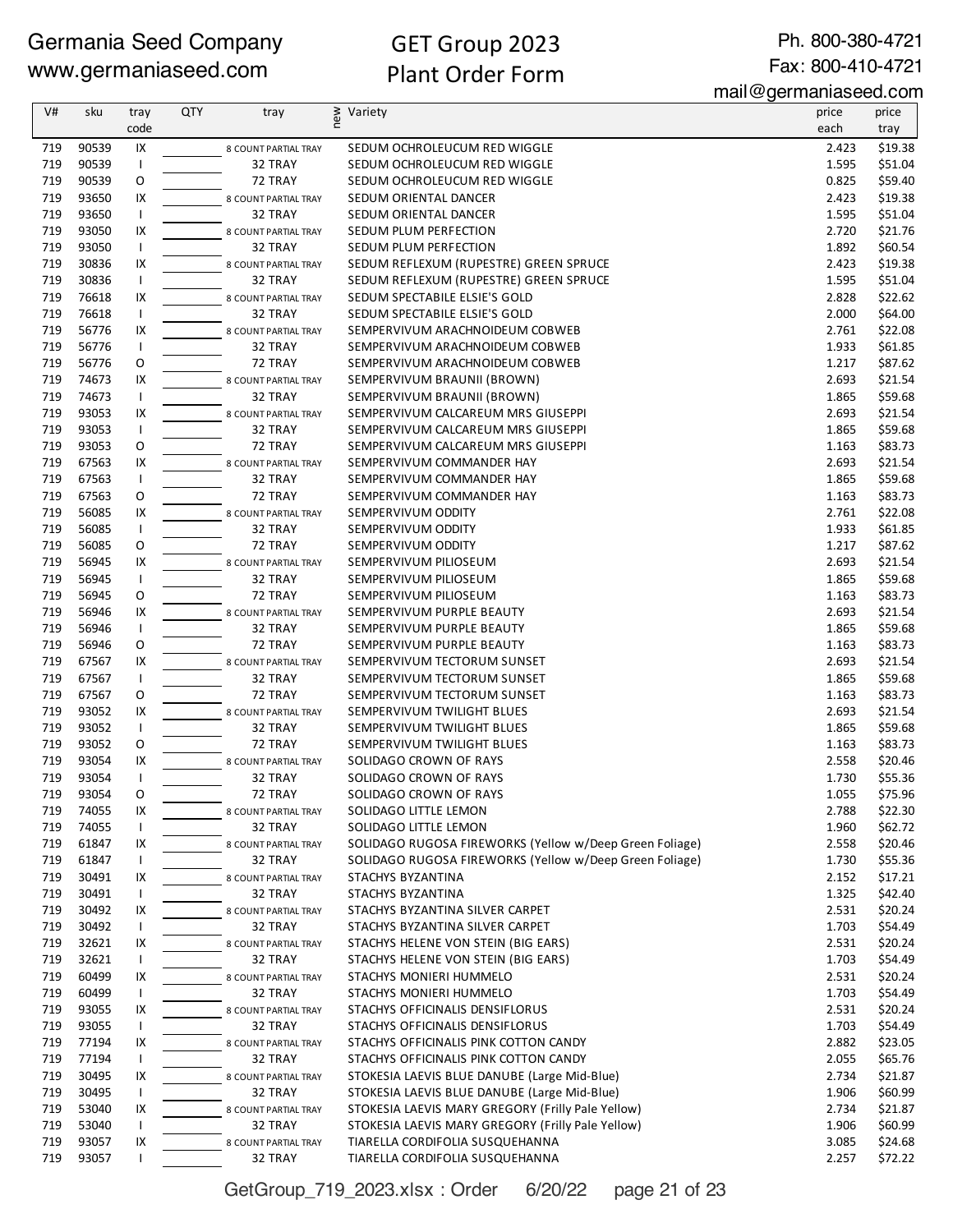Ph. 800-380-4721 Fax: 800-410-4721

mail@germaniaseed.com

| V#         | sku            | tray               | <b>QTY</b> | tray                            | new<br>Variety                                                                        | price          | price              |
|------------|----------------|--------------------|------------|---------------------------------|---------------------------------------------------------------------------------------|----------------|--------------------|
|            |                | code               |            |                                 |                                                                                       | each           | tray               |
| 719        | 90539          | IX                 |            | 8 COUNT PARTIAL TRAY            | SEDUM OCHROLEUCUM RED WIGGLE                                                          | 2.423          | \$19.38            |
| 719        | 90539          | $\mathbf{I}$       |            | 32 TRAY                         | SEDUM OCHROLEUCUM RED WIGGLE                                                          | 1.595          | \$51.04            |
| 719        | 90539          | O                  |            | 72 TRAY                         | SEDUM OCHROLEUCUM RED WIGGLE                                                          | 0.825          | \$59.40            |
| 719        | 93650          | IX                 |            | 8 COUNT PARTIAL TRAY            | SEDUM ORIENTAL DANCER                                                                 | 2.423          | \$19.38            |
| 719        | 93650          | $\mathsf{I}$       |            | 32 TRAY                         | SEDUM ORIENTAL DANCER                                                                 | 1.595          | \$51.04            |
| 719<br>719 | 93050<br>93050 | IX<br>$\mathbf{I}$ |            | 8 COUNT PARTIAL TRAY<br>32 TRAY | SEDUM PLUM PERFECTION                                                                 | 2.720<br>1.892 | \$21.76<br>\$60.54 |
| 719        | 30836          | IX                 |            | 8 COUNT PARTIAL TRAY            | SEDUM PLUM PERFECTION<br>SEDUM REFLEXUM (RUPESTRE) GREEN SPRUCE                       | 2.423          | \$19.38            |
| 719        | 30836          | $\mathbf{I}$       |            | 32 TRAY                         | SEDUM REFLEXUM (RUPESTRE) GREEN SPRUCE                                                | 1.595          | \$51.04            |
| 719        | 76618          | IX                 |            | 8 COUNT PARTIAL TRAY            | SEDUM SPECTABILE ELSIE'S GOLD                                                         | 2.828          | \$22.62            |
| 719        | 76618          | $\mathbf{I}$       |            | 32 TRAY                         | SEDUM SPECTABILE ELSIE'S GOLD                                                         | 2.000          | \$64.00            |
| 719        | 56776          | IX                 |            | 8 COUNT PARTIAL TRAY            | SEMPERVIVUM ARACHNOIDEUM COBWEB                                                       | 2.761          | \$22.08            |
| 719        | 56776          | $\mathsf{I}$       |            | 32 TRAY                         | SEMPERVIVUM ARACHNOIDEUM COBWEB                                                       | 1.933          | \$61.85            |
| 719        | 56776          | O                  |            | 72 TRAY                         | SEMPERVIVUM ARACHNOIDEUM COBWEB                                                       | 1.217          | \$87.62            |
| 719        | 74673          | IX                 |            | 8 COUNT PARTIAL TRAY            | SEMPERVIVUM BRAUNII (BROWN)                                                           | 2.693          | \$21.54            |
| 719        | 74673          | $\mathbf{I}$       |            | 32 TRAY                         | SEMPERVIVUM BRAUNII (BROWN)                                                           | 1.865          | \$59.68            |
| 719        | 93053          | IX                 |            | 8 COUNT PARTIAL TRAY            | SEMPERVIVUM CALCAREUM MRS GIUSEPPI                                                    | 2.693          | \$21.54            |
| 719        | 93053          | $\mathbf{I}$       |            | 32 TRAY                         | SEMPERVIVUM CALCAREUM MRS GIUSEPPI                                                    | 1.865          | \$59.68            |
| 719        | 93053          | O                  |            | 72 TRAY                         | SEMPERVIVUM CALCAREUM MRS GIUSEPPI                                                    | 1.163          | \$83.73            |
| 719        | 67563          | IX                 |            | 8 COUNT PARTIAL TRAY            | SEMPERVIVUM COMMANDER HAY                                                             | 2.693          | \$21.54            |
| 719<br>719 | 67563<br>67563 | $\mathsf{I}$<br>O  |            | 32 TRAY<br>72 TRAY              | SEMPERVIVUM COMMANDER HAY                                                             | 1.865          | \$59.68<br>\$83.73 |
| 719        | 56085          | IX                 |            | 8 COUNT PARTIAL TRAY            | SEMPERVIVUM COMMANDER HAY<br>SEMPERVIVUM ODDITY                                       | 1.163<br>2.761 | \$22.08            |
| 719        | 56085          | $\mathsf{I}$       |            | 32 TRAY                         | SEMPERVIVUM ODDITY                                                                    | 1.933          | \$61.85            |
| 719        | 56085          | O                  |            | 72 TRAY                         | SEMPERVIVUM ODDITY                                                                    | 1.217          | \$87.62            |
| 719        | 56945          | IX                 |            | 8 COUNT PARTIAL TRAY            | SEMPERVIVUM PILIOSEUM                                                                 | 2.693          | \$21.54            |
| 719        | 56945          | $\mathbf{I}$       |            | 32 TRAY                         | SEMPERVIVUM PILIOSEUM                                                                 | 1.865          | \$59.68            |
| 719        | 56945          | O                  |            | 72 TRAY                         | SEMPERVIVUM PILIOSEUM                                                                 | 1.163          | \$83.73            |
| 719        | 56946          | IX                 |            | 8 COUNT PARTIAL TRAY            | SEMPERVIVUM PURPLE BEAUTY                                                             | 2.693          | \$21.54            |
| 719        | 56946          | $\overline{1}$     |            | 32 TRAY                         | SEMPERVIVUM PURPLE BEAUTY                                                             | 1.865          | \$59.68            |
| 719        | 56946          | O                  |            | 72 TRAY                         | SEMPERVIVUM PURPLE BEAUTY                                                             | 1.163          | \$83.73            |
| 719        | 67567          | IX                 |            | 8 COUNT PARTIAL TRAY            | SEMPERVIVUM TECTORUM SUNSET                                                           | 2.693          | \$21.54            |
| 719        | 67567          | $\mathsf{I}$       |            | 32 TRAY                         | SEMPERVIVUM TECTORUM SUNSET                                                           | 1.865          | \$59.68            |
| 719        | 67567          | O                  |            | 72 TRAY                         | SEMPERVIVUM TECTORUM SUNSET                                                           | 1.163          | \$83.73            |
| 719        | 93052          | IX                 |            | 8 COUNT PARTIAL TRAY            | SEMPERVIVUM TWILIGHT BLUES                                                            | 2.693          | \$21.54            |
| 719        | 93052          | $\mathsf{I}$       |            | 32 TRAY                         | SEMPERVIVUM TWILIGHT BLUES                                                            | 1.865          | \$59.68            |
| 719        | 93052          | O                  |            | 72 TRAY                         | SEMPERVIVUM TWILIGHT BLUES                                                            | 1.163          | \$83.73            |
| 719        | 93054          | IX                 |            | 8 COUNT PARTIAL TRAY            | SOLIDAGO CROWN OF RAYS                                                                | 2.558          | \$20.46            |
| 719<br>719 | 93054<br>93054 | $\mathsf{I}$<br>O  |            | 32 TRAY<br>72 TRAY              | SOLIDAGO CROWN OF RAYS                                                                | 1.730<br>1.055 | \$55.36<br>\$75.96 |
| 719        | 74055          | IX                 |            | 8 COUNT PARTIAL TRAY            | SOLIDAGO CROWN OF RAYS<br>SOLIDAGO LITTLE LEMON                                       | 2.788          | \$22.30            |
| 719        | 74055          | $\mathsf{I}$       |            | 32 TRAY                         | SOLIDAGO LITTLE LEMON                                                                 | 1.960          | \$62.72            |
| 719        | 61847          | IX                 |            | 8 COUNT PARTIAL TRAY            | SOLIDAGO RUGOSA FIREWORKS (Yellow w/Deep Green Foliage)                               | 2.558          | \$20.46            |
| 719        | 61847          | $\mathbf{I}$       |            | 32 TRAY                         | SOLIDAGO RUGOSA FIREWORKS (Yellow w/Deep Green Foliage)                               | 1.730          | \$55.36            |
| 719        | 30491          | IX                 |            | 8 COUNT PARTIAL TRAY            | STACHYS BYZANTINA                                                                     | 2.152          | \$17.21            |
| 719        | 30491          | $\mathbf{I}$       |            | 32 TRAY                         | STACHYS BYZANTINA                                                                     | 1.325          | \$42.40            |
| 719        | 30492          | IX                 |            | 8 COUNT PARTIAL TRAY            | STACHYS BYZANTINA SILVER CARPET                                                       | 2.531          | \$20.24            |
| 719        | 30492          |                    |            | 32 TRAY                         | STACHYS BYZANTINA SILVER CARPET                                                       | 1.703          | \$54.49            |
| 719        | 32621          | IX                 |            | 8 COUNT PARTIAL TRAY            | STACHYS HELENE VON STEIN (BIG EARS)                                                   | 2.531          | \$20.24            |
| 719        | 32621          | $\mathbf{I}$       |            | 32 TRAY                         | STACHYS HELENE VON STEIN (BIG EARS)                                                   | 1.703          | \$54.49            |
| 719        | 60499          | IX                 |            | 8 COUNT PARTIAL TRAY            | STACHYS MONIERI HUMMELO                                                               | 2.531          | \$20.24            |
| 719        | 60499          | $\mathsf{I}$       |            | 32 TRAY                         | STACHYS MONIERI HUMMELO                                                               | 1.703          | \$54.49            |
| 719        | 93055          | IX                 |            | 8 COUNT PARTIAL TRAY            | STACHYS OFFICINALIS DENSIFLORUS                                                       | 2.531          | \$20.24            |
| 719        | 93055          | $\mathbf{I}$       |            | 32 TRAY                         | STACHYS OFFICINALIS DENSIFLORUS                                                       | 1.703          | \$54.49            |
| 719<br>719 | 77194<br>77194 | IX                 |            | 8 COUNT PARTIAL TRAY            | STACHYS OFFICINALIS PINK COTTON CANDY                                                 | 2.882          | \$23.05            |
| 719        | 30495          | $\mathsf{I}$<br>IX |            | 32 TRAY                         | STACHYS OFFICINALIS PINK COTTON CANDY<br>STOKESIA LAEVIS BLUE DANUBE (Large Mid-Blue) | 2.055<br>2.734 | \$65.76<br>\$21.87 |
| 719        | 30495          |                    |            | 8 COUNT PARTIAL TRAY<br>32 TRAY | STOKESIA LAEVIS BLUE DANUBE (Large Mid-Blue)                                          | 1.906          | \$60.99            |
| 719        | 53040          | IX                 |            | 8 COUNT PARTIAL TRAY            | STOKESIA LAEVIS MARY GREGORY (Frilly Pale Yellow)                                     | 2.734          | \$21.87            |
| 719        | 53040          | $\mathsf{I}$       |            | 32 TRAY                         | STOKESIA LAEVIS MARY GREGORY (Frilly Pale Yellow)                                     | 1.906          | \$60.99            |
| 719        | 93057          | IX                 |            | 8 COUNT PARTIAL TRAY            | TIARELLA CORDIFOLIA SUSQUEHANNA                                                       | 3.085          | \$24.68            |
| 719        | 93057          | T                  |            | 32 TRAY                         | TIARELLA CORDIFOLIA SUSQUEHANNA                                                       | 2.257          | \$72.22            |
|            |                |                    |            |                                 |                                                                                       |                |                    |

GetGroup\_719\_2023.xlsx : Order 6/20/22 page 21 of 23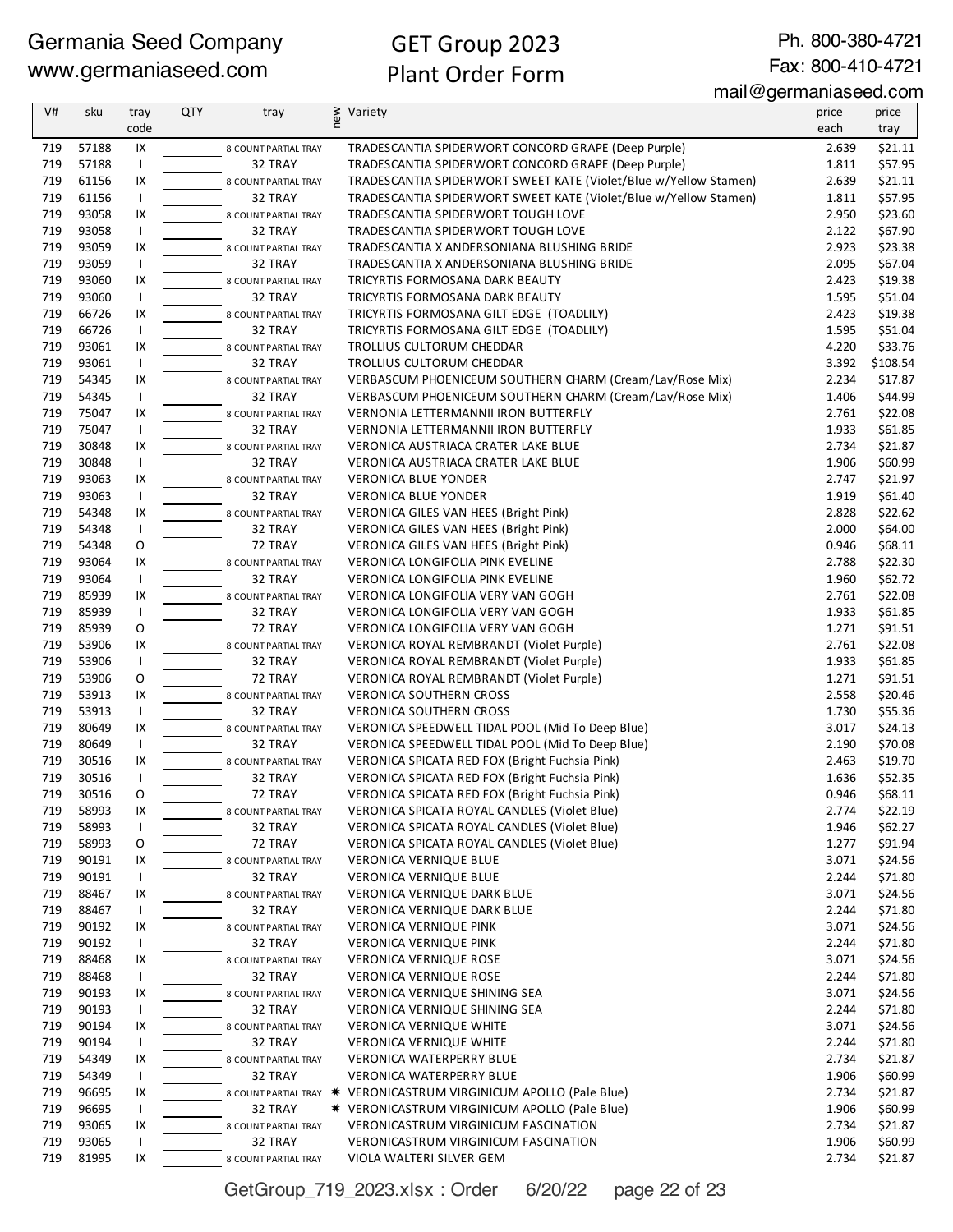Ph. 800-380-4721 Fax: 800-410-4721

| V#  | sku   | tray         | <b>QTY</b> | tray                 | new | Variety                                                            | price | price    |
|-----|-------|--------------|------------|----------------------|-----|--------------------------------------------------------------------|-------|----------|
|     |       | code         |            |                      |     |                                                                    | each  | tray     |
| 719 | 57188 | IX           |            | 8 COUNT PARTIAL TRAY |     | TRADESCANTIA SPIDERWORT CONCORD GRAPE (Deep Purple)                | 2.639 | \$21.11  |
| 719 | 57188 | $\mathsf{I}$ |            | 32 TRAY              |     | TRADESCANTIA SPIDERWORT CONCORD GRAPE (Deep Purple)                | 1.811 | \$57.95  |
| 719 | 61156 | IX           |            | 8 COUNT PARTIAL TRAY |     | TRADESCANTIA SPIDERWORT SWEET KATE (Violet/Blue w/Yellow Stamen)   | 2.639 | \$21.11  |
| 719 | 61156 | $\mathsf{I}$ |            | 32 TRAY              |     | TRADESCANTIA SPIDERWORT SWEET KATE (Violet/Blue w/Yellow Stamen)   | 1.811 | \$57.95  |
| 719 | 93058 | IX           |            | 8 COUNT PARTIAL TRAY |     | TRADESCANTIA SPIDERWORT TOUGH LOVE                                 | 2.950 | \$23.60  |
| 719 | 93058 | $\mathbf{I}$ |            | 32 TRAY              |     | TRADESCANTIA SPIDERWORT TOUGH LOVE                                 | 2.122 | \$67.90  |
| 719 | 93059 | IX           |            | 8 COUNT PARTIAL TRAY |     | TRADESCANTIA X ANDERSONIANA BLUSHING BRIDE                         | 2.923 | \$23.38  |
| 719 | 93059 | $\mathsf{I}$ |            | 32 TRAY              |     | TRADESCANTIA X ANDERSONIANA BLUSHING BRIDE                         | 2.095 | \$67.04  |
| 719 | 93060 | IX           |            | 8 COUNT PARTIAL TRAY |     | TRICYRTIS FORMOSANA DARK BEAUTY                                    | 2.423 | \$19.38  |
| 719 | 93060 | $\mathbf{I}$ |            | 32 TRAY              |     | TRICYRTIS FORMOSANA DARK BEAUTY                                    | 1.595 | \$51.04  |
| 719 | 66726 | IX           |            | 8 COUNT PARTIAL TRAY |     | TRICYRTIS FORMOSANA GILT EDGE (TOADLILY)                           | 2.423 | \$19.38  |
| 719 | 66726 | $\mathbf{I}$ |            | 32 TRAY              |     | TRICYRTIS FORMOSANA GILT EDGE (TOADLILY)                           | 1.595 | \$51.04  |
| 719 | 93061 | IX           |            | 8 COUNT PARTIAL TRAY |     | TROLLIUS CULTORUM CHEDDAR                                          | 4.220 | \$33.76  |
| 719 | 93061 | $\mathbf{I}$ |            | 32 TRAY              |     | TROLLIUS CULTORUM CHEDDAR                                          | 3.392 | \$108.54 |
| 719 | 54345 | IX           |            | 8 COUNT PARTIAL TRAY |     | VERBASCUM PHOENICEUM SOUTHERN CHARM (Cream/Lav/Rose Mix)           | 2.234 | \$17.87  |
| 719 | 54345 | $\mathsf{I}$ |            | 32 TRAY              |     | VERBASCUM PHOENICEUM SOUTHERN CHARM (Cream/Lav/Rose Mix)           | 1.406 | \$44.99  |
| 719 | 75047 | IX           |            | 8 COUNT PARTIAL TRAY |     | <b>VERNONIA LETTERMANNII IRON BUTTERFLY</b>                        | 2.761 | \$22.08  |
| 719 | 75047 | $\mathbf{I}$ |            | 32 TRAY              |     | VERNONIA LETTERMANNII IRON BUTTERFLY                               | 1.933 | \$61.85  |
| 719 | 30848 | IX           |            | 8 COUNT PARTIAL TRAY |     | VERONICA AUSTRIACA CRATER LAKE BLUE                                | 2.734 | \$21.87  |
| 719 | 30848 | $\mathsf{I}$ |            | 32 TRAY              |     | VERONICA AUSTRIACA CRATER LAKE BLUE                                | 1.906 | \$60.99  |
| 719 | 93063 | IX           |            | 8 COUNT PARTIAL TRAY |     | <b>VERONICA BLUE YONDER</b>                                        | 2.747 | \$21.97  |
| 719 | 93063 | $\mathsf{I}$ |            | 32 TRAY              |     | <b>VERONICA BLUE YONDER</b>                                        | 1.919 | \$61.40  |
| 719 | 54348 | IX           |            | 8 COUNT PARTIAL TRAY |     | VERONICA GILES VAN HEES (Bright Pink)                              | 2.828 | \$22.62  |
| 719 | 54348 | $\mathbf{I}$ |            | 32 TRAY              |     | VERONICA GILES VAN HEES (Bright Pink)                              | 2.000 | \$64.00  |
| 719 | 54348 | O            |            | 72 TRAY              |     | VERONICA GILES VAN HEES (Bright Pink)                              | 0.946 | \$68.11  |
| 719 | 93064 | IX           |            | 8 COUNT PARTIAL TRAY |     | VERONICA LONGIFOLIA PINK EVELINE                                   | 2.788 | \$22.30  |
| 719 | 93064 | $\mathbf{I}$ |            | 32 TRAY              |     | VERONICA LONGIFOLIA PINK EVELINE                                   | 1.960 | \$62.72  |
| 719 | 85939 | IX           |            | 8 COUNT PARTIAL TRAY |     | VERONICA LONGIFOLIA VERY VAN GOGH                                  | 2.761 | \$22.08  |
| 719 | 85939 | $\mathbf{I}$ |            | 32 TRAY              |     | VERONICA LONGIFOLIA VERY VAN GOGH                                  | 1.933 | \$61.85  |
| 719 | 85939 | O            |            | 72 TRAY              |     | VERONICA LONGIFOLIA VERY VAN GOGH                                  | 1.271 | \$91.51  |
| 719 | 53906 | IX           |            | 8 COUNT PARTIAL TRAY |     | VERONICA ROYAL REMBRANDT (Violet Purple)                           | 2.761 | \$22.08  |
| 719 | 53906 | $\mathbf{I}$ |            | 32 TRAY              |     | VERONICA ROYAL REMBRANDT (Violet Purple)                           | 1.933 | \$61.85  |
| 719 | 53906 | O            |            | 72 TRAY              |     | VERONICA ROYAL REMBRANDT (Violet Purple)                           | 1.271 | \$91.51  |
| 719 | 53913 | IX           |            | 8 COUNT PARTIAL TRAY |     | <b>VERONICA SOUTHERN CROSS</b>                                     | 2.558 | \$20.46  |
| 719 | 53913 | $\mathsf{I}$ |            | 32 TRAY              |     | <b>VERONICA SOUTHERN CROSS</b>                                     | 1.730 | \$55.36  |
| 719 | 80649 | IX           |            | 8 COUNT PARTIAL TRAY |     | VERONICA SPEEDWELL TIDAL POOL (Mid To Deep Blue)                   | 3.017 | \$24.13  |
| 719 | 80649 | $\mathbf{I}$ |            | 32 TRAY              |     | VERONICA SPEEDWELL TIDAL POOL (Mid To Deep Blue)                   | 2.190 | \$70.08  |
| 719 | 30516 | IX           |            | 8 COUNT PARTIAL TRAY |     | VERONICA SPICATA RED FOX (Bright Fuchsia Pink)                     | 2.463 | \$19.70  |
| 719 | 30516 |              |            | 32 TRAY              |     | VERONICA SPICATA RED FOX (Bright Fuchsia Pink)                     | 1.636 | \$52.35  |
| 719 | 30516 | 0            |            | 72 TRAY              |     | VERONICA SPICATA RED FOX (Bright Fuchsia Pink)                     | 0.946 | \$68.11  |
| 719 | 58993 | IX           |            | 8 COUNT PARTIAL TRAY |     | VERONICA SPICATA ROYAL CANDLES (Violet Blue)                       | 2.774 | \$22.19  |
| 719 | 58993 | $\mathbf{I}$ |            | 32 TRAY              |     | VERONICA SPICATA ROYAL CANDLES (Violet Blue)                       | 1.946 | \$62.27  |
| 719 | 58993 | O            |            | 72 TRAY              |     | VERONICA SPICATA ROYAL CANDLES (Violet Blue)                       | 1.277 | \$91.94  |
| 719 | 90191 | IX           |            | 8 COUNT PARTIAL TRAY |     | <b>VERONICA VERNIQUE BLUE</b>                                      | 3.071 | \$24.56  |
| 719 | 90191 | $\mathbf{I}$ |            | 32 TRAY              |     | VERONICA VERNIQUE BLUE                                             | 2.244 | \$71.80  |
| 719 | 88467 | IX           |            | 8 COUNT PARTIAL TRAY |     | <b>VERONICA VERNIQUE DARK BLUE</b>                                 | 3.071 | \$24.56  |
| 719 | 88467 | $\mathbf{I}$ |            | 32 TRAY              |     | VERONICA VERNIQUE DARK BLUE                                        | 2.244 | \$71.80  |
| 719 | 90192 | IX           |            | 8 COUNT PARTIAL TRAY |     | <b>VERONICA VERNIQUE PINK</b>                                      | 3.071 | \$24.56  |
| 719 | 90192 | $\mathbf{I}$ |            | 32 TRAY              |     | VERONICA VERNIQUE PINK                                             | 2.244 | \$71.80  |
| 719 | 88468 | IX           |            | 8 COUNT PARTIAL TRAY |     | <b>VERONICA VERNIQUE ROSE</b>                                      | 3.071 | \$24.56  |
| 719 | 88468 | $\mathbf{I}$ |            | 32 TRAY              |     | VERONICA VERNIQUE ROSE                                             | 2.244 | \$71.80  |
| 719 | 90193 | IX           |            | 8 COUNT PARTIAL TRAY |     | VERONICA VERNIQUE SHINING SEA                                      | 3.071 | \$24.56  |
| 719 | 90193 | $\mathbf{I}$ |            | 32 TRAY              |     | VERONICA VERNIQUE SHINING SEA                                      | 2.244 | \$71.80  |
| 719 | 90194 | IX           |            | 8 COUNT PARTIAL TRAY |     | VERONICA VERNIQUE WHITE                                            | 3.071 | \$24.56  |
| 719 | 90194 | $\mathbf{I}$ |            | 32 TRAY              |     | VERONICA VERNIQUE WHITE                                            | 2.244 | \$71.80  |
| 719 | 54349 | IX           |            | 8 COUNT PARTIAL TRAY |     | VERONICA WATERPERRY BLUE                                           | 2.734 | \$21.87  |
| 719 | 54349 | $\mathbf{I}$ |            | 32 TRAY              |     | VERONICA WATERPERRY BLUE                                           | 1.906 | \$60.99  |
| 719 | 96695 | IX           |            |                      |     | 8 COUNT PARTIAL TRAY * VERONICASTRUM VIRGINICUM APOLLO (Pale Blue) | 2.734 | \$21.87  |
| 719 | 96695 | $\mathbf{I}$ |            | 32 TRAY              |     | <b>* VERONICASTRUM VIRGINICUM APOLLO (Pale Blue)</b>               | 1.906 | \$60.99  |
| 719 | 93065 | IX           |            | 8 COUNT PARTIAL TRAY |     | VERONICASTRUM VIRGINICUM FASCINATION                               | 2.734 | \$21.87  |
| 719 | 93065 |              |            | 32 TRAY              |     | VERONICASTRUM VIRGINICUM FASCINATION                               | 1.906 | \$60.99  |
| 719 | 81995 | IX           |            | 8 COUNT PARTIAL TRAY |     | VIOLA WALTERI SILVER GEM                                           | 2.734 | \$21.87  |

GetGroup\_719\_2023.xlsx : Order 6/20/22 page 22 of 23